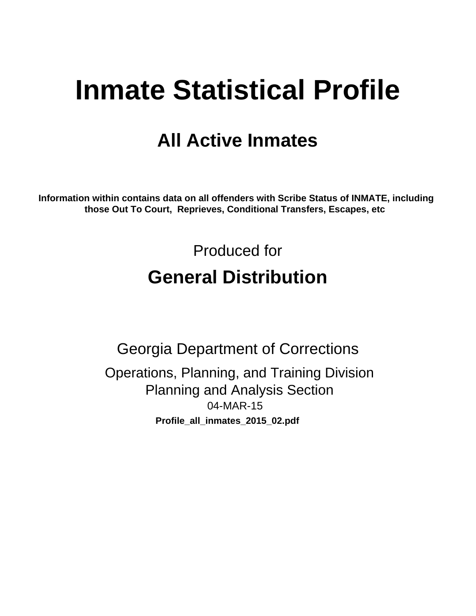# **Inmate Statistical Profile**

# **All Active Inmates**

Information within contains data on all offenders with Scribe Status of INMATE, including those Out To Court, Reprieves, Conditional Transfers, Escapes, etc

> Produced for **General Distribution**

**Georgia Department of Corrections** Operations, Planning, and Training Division **Planning and Analysis Section** 04-MAR-15 Profile\_all\_inmates\_2015\_02.pdf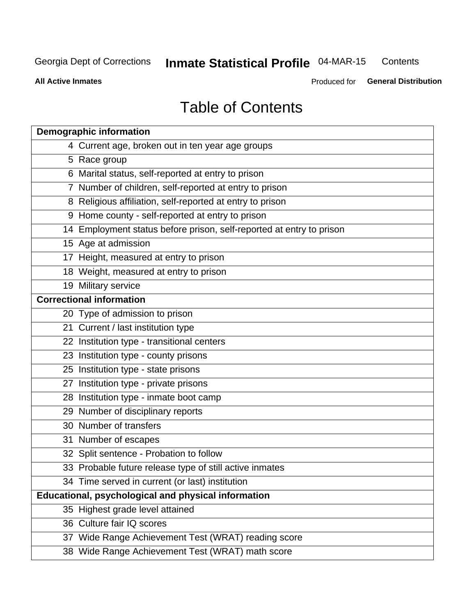#### **Inmate Statistical Profile 04-MAR-15** Contents

**All Active Inmates** 

Produced for General Distribution

# **Table of Contents**

| <b>Demographic information</b>                                       |
|----------------------------------------------------------------------|
| 4 Current age, broken out in ten year age groups                     |
| 5 Race group                                                         |
| 6 Marital status, self-reported at entry to prison                   |
| 7 Number of children, self-reported at entry to prison               |
| 8 Religious affiliation, self-reported at entry to prison            |
| 9 Home county - self-reported at entry to prison                     |
| 14 Employment status before prison, self-reported at entry to prison |
| 15 Age at admission                                                  |
| 17 Height, measured at entry to prison                               |
| 18 Weight, measured at entry to prison                               |
| 19 Military service                                                  |
| <b>Correctional information</b>                                      |
| 20 Type of admission to prison                                       |
| 21 Current / last institution type                                   |
| 22 Institution type - transitional centers                           |
| 23 Institution type - county prisons                                 |
| 25 Institution type - state prisons                                  |
| 27 Institution type - private prisons                                |
| 28 Institution type - inmate boot camp                               |
| 29 Number of disciplinary reports                                    |
| 30 Number of transfers                                               |
| 31 Number of escapes                                                 |
| 32 Split sentence - Probation to follow                              |
| 33 Probable future release type of still active inmates              |
| 34 Time served in current (or last) institution                      |
| <b>Educational, psychological and physical information</b>           |
| 35 Highest grade level attained                                      |
| 36 Culture fair IQ scores                                            |
| 37 Wide Range Achievement Test (WRAT) reading score                  |
| 38 Wide Range Achievement Test (WRAT) math score                     |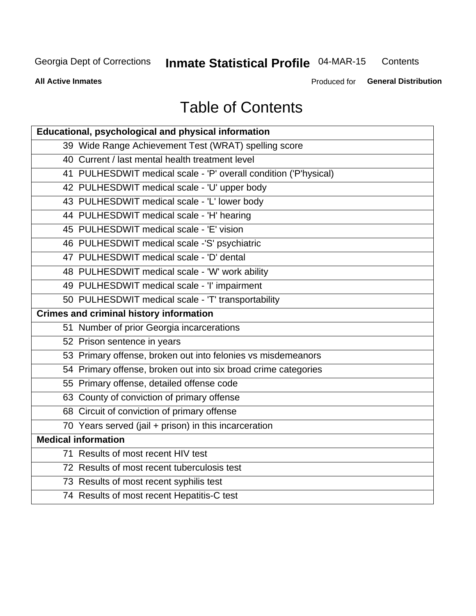#### **Inmate Statistical Profile 04-MAR-15** Contents

**All Active Inmates** 

Produced for General Distribution

# **Table of Contents**

| <b>Educational, psychological and physical information</b>       |
|------------------------------------------------------------------|
| 39 Wide Range Achievement Test (WRAT) spelling score             |
| 40 Current / last mental health treatment level                  |
| 41 PULHESDWIT medical scale - 'P' overall condition ('P'hysical) |
| 42 PULHESDWIT medical scale - 'U' upper body                     |
| 43 PULHESDWIT medical scale - 'L' lower body                     |
| 44 PULHESDWIT medical scale - 'H' hearing                        |
| 45 PULHESDWIT medical scale - 'E' vision                         |
| 46 PULHESDWIT medical scale -'S' psychiatric                     |
| 47 PULHESDWIT medical scale - 'D' dental                         |
| 48 PULHESDWIT medical scale - 'W' work ability                   |
| 49 PULHESDWIT medical scale - 'I' impairment                     |
| 50 PULHESDWIT medical scale - 'T' transportability               |
| <b>Crimes and criminal history information</b>                   |
| 51 Number of prior Georgia incarcerations                        |
| 52 Prison sentence in years                                      |
| 53 Primary offense, broken out into felonies vs misdemeanors     |
| 54 Primary offense, broken out into six broad crime categories   |
| 55 Primary offense, detailed offense code                        |
| 63 County of conviction of primary offense                       |
| 68 Circuit of conviction of primary offense                      |
| 70 Years served (jail + prison) in this incarceration            |
| <b>Medical information</b>                                       |
| 71 Results of most recent HIV test                               |
| 72 Results of most recent tuberculosis test                      |
| 73 Results of most recent syphilis test                          |
| 74 Results of most recent Hepatitis-C test                       |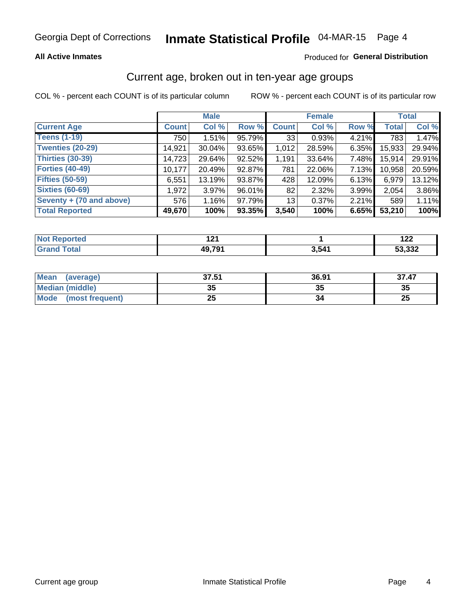#### **All Active Inmates**

### Produced for General Distribution

### Current age, broken out in ten-year age groups

COL % - percent each COUNT is of its particular column

|                          |                    | <b>Male</b> |        |              | <b>Female</b> |       |              | <b>Total</b> |  |
|--------------------------|--------------------|-------------|--------|--------------|---------------|-------|--------------|--------------|--|
| <b>Current Age</b>       | Count <sup>1</sup> | Col %       | Row %  | <b>Count</b> | Col %         | Row % | <b>Total</b> | Col %        |  |
| <b>Teens (1-19)</b>      | 750                | 1.51%       | 95.79% | 33           | 0.93%         | 4.21% | 783          | 1.47%        |  |
| <b>Twenties (20-29)</b>  | 14,921             | $30.04\%$   | 93.65% | 1,012        | 28.59%        | 6.35% | 15,933       | 29.94%       |  |
| <b>Thirties (30-39)</b>  | 14,723             | 29.64%      | 92.52% | 1,191        | 33.64%        | 7.48% | 15,914       | 29.91%       |  |
| <b>Forties (40-49)</b>   | 10,177             | 20.49%      | 92.87% | 781          | 22.06%        | 7.13% | 10,958       | 20.59%       |  |
| <b>Fifties (50-59)</b>   | 6,551              | 13.19%      | 93.87% | 428          | 12.09%        | 6.13% | 6,979        | 13.12%       |  |
| <b>Sixties (60-69)</b>   | 1,972              | $3.97\%$    | 96.01% | 82           | 2.32%         | 3.99% | 2,054        | 3.86%        |  |
| Seventy + (70 and above) | 576                | 1.16%       | 97.79% | 13           | 0.37%         | 2.21% | 589          | 1.11%        |  |
| <b>Total Reported</b>    | 49,670             | 100%        | 93.35% | 3,540        | 100%          | 6.65% | 53,210       | 100%         |  |

| <b>Not</b><br>.<br>τeα<br>$\sim$ | $\sim$<br>.  |       | 00<br>144     |
|----------------------------------|--------------|-------|---------------|
| $T \wedge f \wedge f$            | <b>49791</b> | 3,541 | מממי<br>ി.ఎఎ∡ |

| <b>Mean</b><br>(average)       | 37.51    | 36.91 | 37.47    |
|--------------------------------|----------|-------|----------|
| Median (middle)                | 25<br>vu | JJ    | 35       |
| <b>Mode</b><br>(most frequent) | つら<br>ZJ |       | つじ<br>ZJ |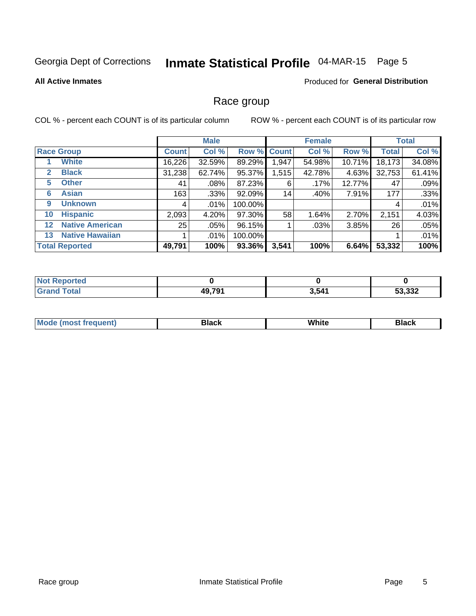# Inmate Statistical Profile 04-MAR-15 Page 5

#### **All Active Inmates**

### **Produced for General Distribution**

### Race group

COL % - percent each COUNT is of its particular column

|                   |                        | <b>Male</b>  |         |         | <b>Female</b> |        |        | <b>Total</b> |        |
|-------------------|------------------------|--------------|---------|---------|---------------|--------|--------|--------------|--------|
|                   | <b>Race Group</b>      | <b>Count</b> | Col %   |         | Row % Count   | Col %  | Row %  | <b>Total</b> | Col %  |
|                   | <b>White</b>           | 16,226       | 32.59%  | 89.29%  | 1,947         | 54.98% | 10.71% | 18,173       | 34.08% |
| 2                 | <b>Black</b>           | 31,238       | 62.74%  | 95.37%  | 1,515         | 42.78% | 4.63%  | 32,753       | 61.41% |
| 5                 | <b>Other</b>           | 41           | $.08\%$ | 87.23%  | 6             | .17%   | 12.77% | 47           | .09%   |
| 6                 | <b>Asian</b>           | 163          | $.33\%$ | 92.09%  | 14            | .40%   | 7.91%  | 177          | .33%   |
| 9                 | <b>Unknown</b>         | 4            | $.01\%$ | 100.00% |               |        |        | 4            | .01%   |
| 10                | <b>Hispanic</b>        | 2,093        | 4.20%   | 97.30%  | 58            | 1.64%  | 2.70%  | 2,151        | 4.03%  |
| $12 \overline{ }$ | <b>Native American</b> | 25           | $.05\%$ | 96.15%  |               | .03%   | 3.85%  | 26           | .05%   |
| 13                | <b>Native Hawaiian</b> |              | $.01\%$ | 100.00% |               |        |        |              | .01%   |
|                   | <b>Total Reported</b>  | 49,791       | 100%    | 93.36%  | 3,541         | 100%   | 6.64%  | 53,332       | 100%   |

| <b>Not Reported</b> |        |       |        |
|---------------------|--------|-------|--------|
| <b>Fotal</b>        | 49,791 | 3,541 | 53,332 |

| <b>Mode</b><br>---<br>most frequent) | Black | White | <b>Black</b> |
|--------------------------------------|-------|-------|--------------|
|                                      |       |       |              |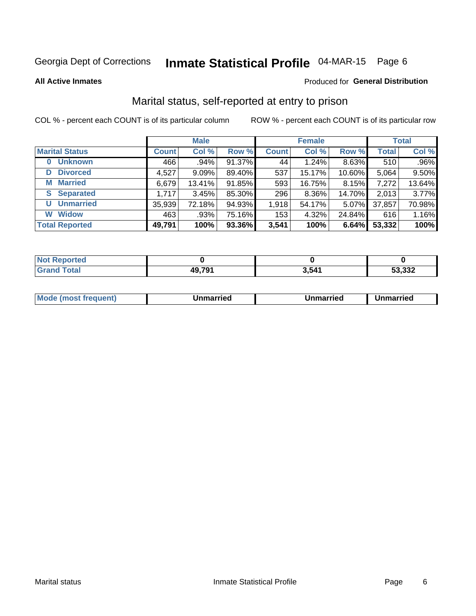# Inmate Statistical Profile 04-MAR-15 Page 6

**All Active Inmates** 

### Produced for General Distribution

## Marital status, self-reported at entry to prison

COL % - percent each COUNT is of its particular column

|                            | <b>Male</b>  |          |        |              | <b>Female</b> | <b>Total</b> |              |        |
|----------------------------|--------------|----------|--------|--------------|---------------|--------------|--------------|--------|
| <b>Marital Status</b>      | <b>Count</b> | Col %    | Row %  | <b>Count</b> | Col %         | Row %        | <b>Total</b> | Col %  |
| <b>Unknown</b><br>$\bf{0}$ | 466          | .94%     | 91.37% | 44           | 1.24%         | 8.63%        | 510          | .96%   |
| <b>Divorced</b><br>D       | 4,527        | $9.09\%$ | 89.40% | 537          | 15.17%        | 10.60%       | 5,064        | 9.50%  |
| <b>Married</b><br>М        | 6,679        | 13.41%   | 91.85% | 593          | 16.75%        | 8.15%        | 7,272        | 13.64% |
| <b>Separated</b><br>S.     | 1,717        | 3.45%    | 85.30% | 296          | 8.36%         | 14.70%       | 2,013        | 3.77%  |
| <b>Unmarried</b><br>U      | 35,939       | 72.18%   | 94.93% | 1,918        | 54.17%        | 5.07%        | 37,857       | 70.98% |
| <b>Widow</b><br>W          | 463          | .93%     | 75.16% | 153          | 4.32%         | 24.84%       | 616          | 1.16%  |
| <b>Total Reported</b>      | 49,791       | 100%     | 93.36% | 3,541        | 100%          | 6.64%        | 53,332       | 100%   |

| rted<br><b>NOT</b> |        |       |        |
|--------------------|--------|-------|--------|
|                    | 49.791 | 3,541 | 53,332 |

|--|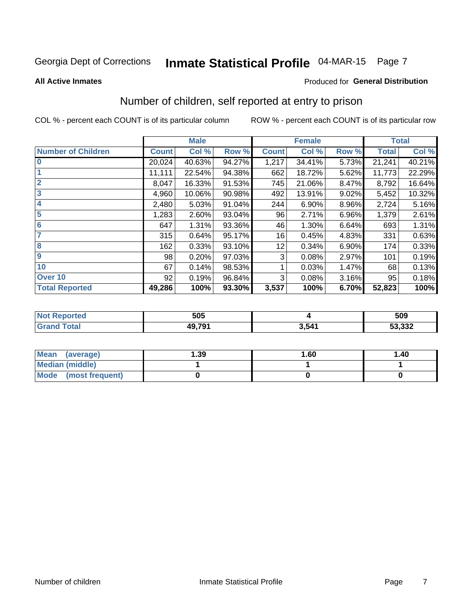# Inmate Statistical Profile 04-MAR-15 Page 7

#### **All Active Inmates**

### **Produced for General Distribution**

# Number of children, self reported at entry to prison

COL % - percent each COUNT is of its particular column

|                           |              | <b>Male</b> |        |              | <b>Female</b> | <b>Total</b> |              |        |
|---------------------------|--------------|-------------|--------|--------------|---------------|--------------|--------------|--------|
| <b>Number of Children</b> | <b>Count</b> | Col %       | Row %  | <b>Count</b> | Col %         | Row %        | <b>Total</b> | Col %  |
| $\bf{0}$                  | 20,024       | 40.63%      | 94.27% | 1,217        | 34.41%        | 5.73%        | 21,241       | 40.21% |
|                           | 11,111       | 22.54%      | 94.38% | 662          | 18.72%        | 5.62%        | 11,773       | 22.29% |
| $\overline{2}$            | 8,047        | 16.33%      | 91.53% | 745          | 21.06%        | 8.47%        | 8,792        | 16.64% |
| 3                         | 4,960        | 10.06%      | 90.98% | 492          | 13.91%        | 9.02%        | 5,452        | 10.32% |
| 4                         | 2,480        | 5.03%       | 91.04% | 244          | 6.90%         | 8.96%        | 2,724        | 5.16%  |
| 5                         | 1,283        | 2.60%       | 93.04% | 96           | 2.71%         | 6.96%        | 1,379        | 2.61%  |
| 6                         | 647          | 1.31%       | 93.36% | 46           | 1.30%         | 6.64%        | 693          | 1.31%  |
| 7                         | 315          | 0.64%       | 95.17% | 16           | 0.45%         | 4.83%        | 331          | 0.63%  |
| 8                         | 162          | 0.33%       | 93.10% | 12           | 0.34%         | 6.90%        | 174          | 0.33%  |
| $\boldsymbol{9}$          | 98           | 0.20%       | 97.03% | 3            | 0.08%         | 2.97%        | 101          | 0.19%  |
| 10                        | 67           | 0.14%       | 98.53% |              | 0.03%         | 1.47%        | 68           | 0.13%  |
| Over 10                   | 92           | 0.19%       | 96.84% | 3            | 0.08%         | 3.16%        | 95           | 0.18%  |
| <b>Total Reported</b>     | 49,286       | 100%        | 93.30% | 3,537        | 100%          | 6.70%        | 52,823       | 100%   |

| 505          |       | 509              |
|--------------|-------|------------------|
| <b>49791</b> | 3,541 | E2.222<br>ວວ.ວວ∠ |

| <b>Mean</b><br>(average) | 1.39 | 1.60 | 1.40 |
|--------------------------|------|------|------|
| Median (middle)          |      |      |      |
| Mode<br>(most frequent)  |      |      |      |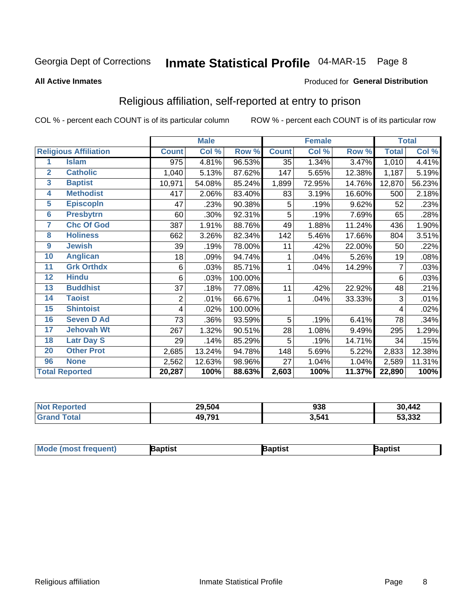# Inmate Statistical Profile 04-MAR-15 Page 8

#### **All Active Inmates**

### Produced for General Distribution

## Religious affiliation, self-reported at entry to prison

COL % - percent each COUNT is of its particular column

|                 |                              |              | <b>Male</b> |                  |              | <b>Female</b> |        |              | <b>Total</b> |
|-----------------|------------------------------|--------------|-------------|------------------|--------------|---------------|--------|--------------|--------------|
|                 | <b>Religious Affiliation</b> | <b>Count</b> | Col %       | Row <sup>%</sup> | <b>Count</b> | Col %         | Row %  | <b>Total</b> | CoI%         |
| 1               | <b>Islam</b>                 | 975          | 4.81%       | 96.53%           | 35           | 1.34%         | 3.47%  | 1,010        | 4.41%        |
| $\overline{2}$  | <b>Catholic</b>              | 1,040        | 5.13%       | 87.62%           | 147          | 5.65%         | 12.38% | 1,187        | 5.19%        |
| $\mathbf{3}$    | <b>Baptist</b>               | 10,971       | 54.08%      | 85.24%           | 1,899        | 72.95%        | 14.76% | 12,870       | 56.23%       |
| 4               | <b>Methodist</b>             | 417          | 2.06%       | 83.40%           | 83           | 3.19%         | 16.60% | 500          | 2.18%        |
| $\overline{5}$  | <b>EpiscopIn</b>             | 47           | .23%        | 90.38%           | 5            | .19%          | 9.62%  | 52           | .23%         |
| $6\overline{6}$ | <b>Presbytrn</b>             | 60           | .30%        | 92.31%           | 5            | .19%          | 7.69%  | 65           | .28%         |
| 7               | <b>Chc Of God</b>            | 387          | 1.91%       | 88.76%           | 49           | 1.88%         | 11.24% | 436          | 1.90%        |
| 8               | <b>Holiness</b>              | 662          | 3.26%       | 82.34%           | 142          | 5.46%         | 17.66% | 804          | 3.51%        |
| 9               | <b>Jewish</b>                | 39           | .19%        | 78.00%           | 11           | .42%          | 22.00% | 50           | .22%         |
| 10              | <b>Anglican</b>              | 18           | .09%        | 94.74%           |              | .04%          | 5.26%  | 19           | .08%         |
| 11              | <b>Grk Orthdx</b>            | 6            | .03%        | 85.71%           |              | .04%          | 14.29% | 7            | .03%         |
| 12              | <b>Hindu</b>                 | 6            | .03%        | 100.00%          |              |               |        | 6            | .03%         |
| 13              | <b>Buddhist</b>              | 37           | .18%        | 77.08%           | 11           | .42%          | 22.92% | 48           | .21%         |
| 14              | <b>Taoist</b>                | 2            | .01%        | 66.67%           | 1            | .04%          | 33.33% | 3            | .01%         |
| 15              | <b>Shintoist</b>             | 4            | .02%        | 100.00%          |              |               |        | 4            | .02%         |
| 16              | <b>Seven D Ad</b>            | 73           | .36%        | 93.59%           | 5            | .19%          | 6.41%  | 78           | .34%         |
| $\overline{17}$ | <b>Jehovah Wt</b>            | 267          | 1.32%       | 90.51%           | 28           | 1.08%         | 9.49%  | 295          | 1.29%        |
| 18              | <b>Latr Day S</b>            | 29           | .14%        | 85.29%           | 5            | .19%          | 14.71% | 34           | .15%         |
| 20              | <b>Other Prot</b>            | 2,685        | 13.24%      | 94.78%           | 148          | 5.69%         | 5.22%  | 2,833        | 12.38%       |
| 96              | <b>None</b>                  | 2,562        | 12.63%      | 98.96%           | 27           | 1.04%         | 1.04%  | 2,589        | 11.31%       |
|                 | <b>Total Reported</b>        | 20,287       | 100%        | 88.63%           | 2,603        | 100%          | 11.37% | 22,890       | 100%         |

| 29.504 | nag   | ,442 |
|--------|-------|------|
| $\sim$ | ววด   | 30   |
| 49,791 | 3,541 |      |

| M <sub>o</sub><br>'ent). | aptist | }aptist | 3aptisเ |
|--------------------------|--------|---------|---------|
|                          |        |         |         |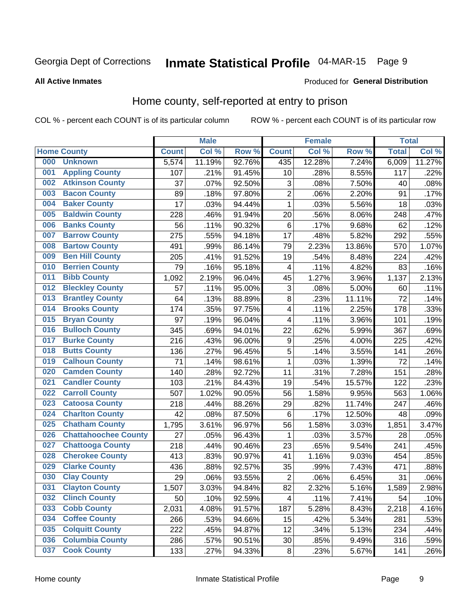# Inmate Statistical Profile 04-MAR-15 Page 9

#### **All Active Inmates**

#### Produced for General Distribution

## Home county, self-reported at entry to prison

COL % - percent each COUNT is of its particular column

|     |                             |              | <b>Male</b> |        |                  | <b>Female</b> |        | <b>Total</b> |        |
|-----|-----------------------------|--------------|-------------|--------|------------------|---------------|--------|--------------|--------|
|     | <b>Home County</b>          | <b>Count</b> | Col %       | Row %  | <b>Count</b>     | Col %         | Row %  | <b>Total</b> | Col %  |
| 000 | <b>Unknown</b>              | 5,574        | 11.19%      | 92.76% | 435              | 12.28%        | 7.24%  | 6,009        | 11.27% |
| 001 | <b>Appling County</b>       | 107          | .21%        | 91.45% | 10               | .28%          | 8.55%  | 117          | .22%   |
| 002 | <b>Atkinson County</b>      | 37           | .07%        | 92.50% | 3                | .08%          | 7.50%  | 40           | .08%   |
| 003 | <b>Bacon County</b>         | 89           | .18%        | 97.80% | $\overline{2}$   | .06%          | 2.20%  | 91           | .17%   |
| 004 | <b>Baker County</b>         | 17           | .03%        | 94.44% | $\mathbf{1}$     | .03%          | 5.56%  | 18           | .03%   |
| 005 | <b>Baldwin County</b>       | 228          | .46%        | 91.94% | 20               | .56%          | 8.06%  | 248          | .47%   |
| 006 | <b>Banks County</b>         | 56           | .11%        | 90.32% | $\,6$            | .17%          | 9.68%  | 62           | .12%   |
| 007 | <b>Barrow County</b>        | 275          | .55%        | 94.18% | 17               | .48%          | 5.82%  | 292          | .55%   |
| 008 | <b>Bartow County</b>        | 491          | .99%        | 86.14% | 79               | 2.23%         | 13.86% | 570          | 1.07%  |
| 009 | <b>Ben Hill County</b>      | 205          | .41%        | 91.52% | 19               | .54%          | 8.48%  | 224          | .42%   |
| 010 | <b>Berrien County</b>       | 79           | .16%        | 95.18% | 4                | .11%          | 4.82%  | 83           | .16%   |
| 011 | <b>Bibb County</b>          | 1,092        | 2.19%       | 96.04% | 45               | 1.27%         | 3.96%  | 1,137        | 2.13%  |
| 012 | <b>Bleckley County</b>      | 57           | .11%        | 95.00% | 3                | .08%          | 5.00%  | 60           | .11%   |
| 013 | <b>Brantley County</b>      | 64           | .13%        | 88.89% | 8                | .23%          | 11.11% | 72           | .14%   |
| 014 | <b>Brooks County</b>        | 174          | .35%        | 97.75% | $\overline{4}$   | .11%          | 2.25%  | 178          | .33%   |
| 015 | <b>Bryan County</b>         | 97           | .19%        | 96.04% | 4                | .11%          | 3.96%  | 101          | .19%   |
| 016 | <b>Bulloch County</b>       | 345          | .69%        | 94.01% | 22               | .62%          | 5.99%  | 367          | .69%   |
| 017 | <b>Burke County</b>         | 216          | .43%        | 96.00% | $\boldsymbol{9}$ | .25%          | 4.00%  | 225          | .42%   |
| 018 | <b>Butts County</b>         | 136          | .27%        | 96.45% | 5                | .14%          | 3.55%  | 141          | .26%   |
| 019 | <b>Calhoun County</b>       | 71           | .14%        | 98.61% | $\mathbf{1}$     | .03%          | 1.39%  | 72           | .14%   |
| 020 | <b>Camden County</b>        | 140          | .28%        | 92.72% | 11               | .31%          | 7.28%  | 151          | .28%   |
| 021 | <b>Candler County</b>       | 103          | .21%        | 84.43% | 19               | .54%          | 15.57% | 122          | .23%   |
| 022 | <b>Carroll County</b>       | 507          | 1.02%       | 90.05% | 56               | 1.58%         | 9.95%  | 563          | 1.06%  |
| 023 | <b>Catoosa County</b>       | 218          | .44%        | 88.26% | 29               | .82%          | 11.74% | 247          | .46%   |
| 024 | <b>Charlton County</b>      | 42           | .08%        | 87.50% | 6                | .17%          | 12.50% | 48           | .09%   |
| 025 | <b>Chatham County</b>       | 1,795        | 3.61%       | 96.97% | 56               | 1.58%         | 3.03%  | 1,851        | 3.47%  |
| 026 | <b>Chattahoochee County</b> | 27           | .05%        | 96.43% | 1                | .03%          | 3.57%  | 28           | .05%   |
| 027 | <b>Chattooga County</b>     | 218          | .44%        | 90.46% | 23               | .65%          | 9.54%  | 241          | .45%   |
| 028 | <b>Cherokee County</b>      | 413          | .83%        | 90.97% | 41               | 1.16%         | 9.03%  | 454          | .85%   |
| 029 | <b>Clarke County</b>        | 436          | .88%        | 92.57% | 35               | .99%          | 7.43%  | 471          | .88%   |
| 030 | <b>Clay County</b>          | 29           | .06%        | 93.55% | $\overline{2}$   | .06%          | 6.45%  | 31           | .06%   |
| 031 | <b>Clayton County</b>       | 1,507        | 3.03%       | 94.84% | 82               | 2.32%         | 5.16%  | 1,589        | 2.98%  |
| 032 | <b>Clinch County</b>        | 50           | .10%        | 92.59% | 4                | .11%          | 7.41%  | 54           | .10%   |
| 033 | <b>Cobb County</b>          | 2,031        | 4.08%       | 91.57% | 187              | 5.28%         | 8.43%  | 2,218        | 4.16%  |
| 034 | <b>Coffee County</b>        | 266          | .53%        | 94.66% | 15               | .42%          | 5.34%  | 281          | .53%   |
| 035 | <b>Colquitt County</b>      | 222          | .45%        | 94.87% | 12               | .34%          | 5.13%  | 234          | .44%   |
| 036 | <b>Columbia County</b>      | 286          | .57%        | 90.51% | 30               | .85%          | 9.49%  | 316          | .59%   |
| 037 | <b>Cook County</b>          | 133          | .27%        | 94.33% | $\bf 8$          | .23%          | 5.67%  | 141          | .26%   |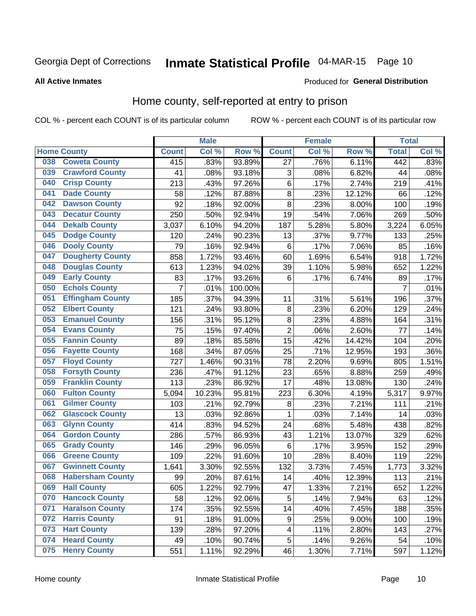# Inmate Statistical Profile 04-MAR-15 Page 10

#### **All Active Inmates**

### Produced for General Distribution

### Home county, self-reported at entry to prison

COL % - percent each COUNT is of its particular column

|     |                         |                  | <b>Male</b> |         |                  | <b>Female</b> |        | <b>Total</b>   |       |
|-----|-------------------------|------------------|-------------|---------|------------------|---------------|--------|----------------|-------|
|     | <b>Home County</b>      | <b>Count</b>     | Col %       | Row %   | <b>Count</b>     | Col %         | Row %  | <b>Total</b>   | Col % |
| 038 | <b>Coweta County</b>    | $\overline{415}$ | .83%        | 93.89%  | $\overline{27}$  | .76%          | 6.11%  | 442            | .83%  |
| 039 | <b>Crawford County</b>  | 41               | .08%        | 93.18%  | 3                | .08%          | 6.82%  | 44             | .08%  |
| 040 | <b>Crisp County</b>     | 213              | .43%        | 97.26%  | $\,6$            | .17%          | 2.74%  | 219            | .41%  |
| 041 | <b>Dade County</b>      | 58               | .12%        | 87.88%  | 8                | .23%          | 12.12% | 66             | .12%  |
| 042 | <b>Dawson County</b>    | 92               | .18%        | 92.00%  | 8                | .23%          | 8.00%  | 100            | .19%  |
| 043 | <b>Decatur County</b>   | 250              | .50%        | 92.94%  | 19               | .54%          | 7.06%  | 269            | .50%  |
| 044 | <b>Dekalb County</b>    | 3,037            | 6.10%       | 94.20%  | 187              | 5.28%         | 5.80%  | 3,224          | 6.05% |
| 045 | <b>Dodge County</b>     | 120              | .24%        | 90.23%  | 13               | .37%          | 9.77%  | 133            | .25%  |
| 046 | <b>Dooly County</b>     | 79               | .16%        | 92.94%  | 6                | .17%          | 7.06%  | 85             | .16%  |
| 047 | <b>Dougherty County</b> | 858              | 1.72%       | 93.46%  | 60               | 1.69%         | 6.54%  | 918            | 1.72% |
| 048 | <b>Douglas County</b>   | 613              | 1.23%       | 94.02%  | 39               | 1.10%         | 5.98%  | 652            | 1.22% |
| 049 | <b>Early County</b>     | 83               | .17%        | 93.26%  | $6\phantom{1}6$  | .17%          | 6.74%  | 89             | .17%  |
| 050 | <b>Echols County</b>    | 7                | .01%        | 100.00% |                  |               |        | $\overline{7}$ | .01%  |
| 051 | <b>Effingham County</b> | 185              | .37%        | 94.39%  | 11               | .31%          | 5.61%  | 196            | .37%  |
| 052 | <b>Elbert County</b>    | 121              | .24%        | 93.80%  | $\bf 8$          | .23%          | 6.20%  | 129            | .24%  |
| 053 | <b>Emanuel County</b>   | 156              | .31%        | 95.12%  | 8                | .23%          | 4.88%  | 164            | .31%  |
| 054 | <b>Evans County</b>     | 75               | .15%        | 97.40%  | $\mathbf 2$      | .06%          | 2.60%  | 77             | .14%  |
| 055 | <b>Fannin County</b>    | 89               | .18%        | 85.58%  | 15               | .42%          | 14.42% | 104            | .20%  |
| 056 | <b>Fayette County</b>   | 168              | .34%        | 87.05%  | 25               | .71%          | 12.95% | 193            | .36%  |
| 057 | <b>Floyd County</b>     | 727              | 1.46%       | 90.31%  | 78               | 2.20%         | 9.69%  | 805            | 1.51% |
| 058 | <b>Forsyth County</b>   | 236              | .47%        | 91.12%  | 23               | .65%          | 8.88%  | 259            | .49%  |
| 059 | <b>Franklin County</b>  | 113              | .23%        | 86.92%  | 17               | .48%          | 13.08% | 130            | .24%  |
| 060 | <b>Fulton County</b>    | 5,094            | 10.23%      | 95.81%  | 223              | 6.30%         | 4.19%  | 5,317          | 9.97% |
| 061 | <b>Gilmer County</b>    | 103              | .21%        | 92.79%  | 8                | .23%          | 7.21%  | 111            | .21%  |
| 062 | <b>Glascock County</b>  | 13               | .03%        | 92.86%  | 1                | .03%          | 7.14%  | 14             | .03%  |
| 063 | <b>Glynn County</b>     | 414              | .83%        | 94.52%  | 24               | .68%          | 5.48%  | 438            | .82%  |
| 064 | <b>Gordon County</b>    | 286              | .57%        | 86.93%  | 43               | 1.21%         | 13.07% | 329            | .62%  |
| 065 | <b>Grady County</b>     | 146              | .29%        | 96.05%  | $\,6$            | .17%          | 3.95%  | 152            | .29%  |
| 066 | <b>Greene County</b>    | 109              | .22%        | 91.60%  | 10               | .28%          | 8.40%  | 119            | .22%  |
| 067 | <b>Gwinnett County</b>  | 1,641            | 3.30%       | 92.55%  | 132              | 3.73%         | 7.45%  | 1,773          | 3.32% |
| 068 | <b>Habersham County</b> | 99               | .20%        | 87.61%  | 14               | .40%          | 12.39% | 113            | .21%  |
| 069 | <b>Hall County</b>      | 605              | 1.22%       | 92.79%  | 47               | 1.33%         | 7.21%  | 652            | 1.22% |
| 070 | <b>Hancock County</b>   | 58               | .12%        | 92.06%  | 5                | .14%          | 7.94%  | 63             | .12%  |
| 071 | <b>Haralson County</b>  | 174              | .35%        | 92.55%  | 14               | .40%          | 7.45%  | 188            | .35%  |
| 072 | <b>Harris County</b>    | 91               | .18%        | 91.00%  | $\boldsymbol{9}$ | .25%          | 9.00%  | 100            | .19%  |
| 073 | <b>Hart County</b>      | 139              | .28%        | 97.20%  | 4                | .11%          | 2.80%  | 143            | .27%  |
| 074 | <b>Heard County</b>     | 49               | .10%        | 90.74%  | $\mathbf 5$      | .14%          | 9.26%  | 54             | .10%  |
| 075 | <b>Henry County</b>     | 551              | 1.11%       | 92.29%  | 46               | 1.30%         | 7.71%  | 597            | 1.12% |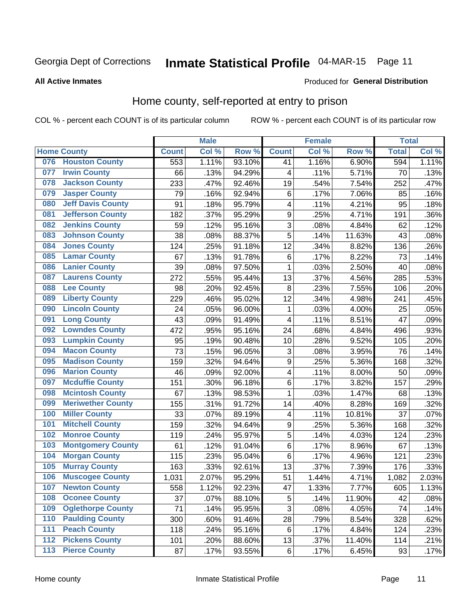# Inmate Statistical Profile 04-MAR-15 Page 11

#### **All Active Inmates**

#### Produced for General Distribution

### Home county, self-reported at entry to prison

COL % - percent each COUNT is of its particular column

|                  |                          |              | <b>Male</b> |                  |                         | <b>Female</b>     |        | <b>Total</b> |       |
|------------------|--------------------------|--------------|-------------|------------------|-------------------------|-------------------|--------|--------------|-------|
|                  | <b>Home County</b>       | <b>Count</b> | Col %       | Row <sup>%</sup> | <b>Count</b>            | Col %             | Row %  | <b>Total</b> | Col % |
| 076              | <b>Houston County</b>    | 553          | 1.11%       | 93.10%           | 41                      | 1.16%             | 6.90%  | 594          | 1.11% |
| 077              | <b>Irwin County</b>      | 66           | .13%        | 94.29%           | 4                       | .11%              | 5.71%  | 70           | .13%  |
| 078              | <b>Jackson County</b>    | 233          | .47%        | 92.46%           | 19                      | .54%              | 7.54%  | 252          | .47%  |
| 079              | <b>Jasper County</b>     | 79           | .16%        | 92.94%           | 6                       | .17%              | 7.06%  | 85           | .16%  |
| 080              | <b>Jeff Davis County</b> | 91           | .18%        | 95.79%           | $\overline{\mathbf{4}}$ | .11%              | 4.21%  | 95           | .18%  |
| 081              | <b>Jefferson County</b>  | 182          | .37%        | 95.29%           | 9                       | .25%              | 4.71%  | 191          | .36%  |
| 082              | <b>Jenkins County</b>    | 59           | .12%        | 95.16%           | 3                       | .08%              | 4.84%  | 62           | .12%  |
| 083              | <b>Johnson County</b>    | 38           | .08%        | 88.37%           | 5                       | .14%              | 11.63% | 43           | .08%  |
| 084              | <b>Jones County</b>      | 124          | .25%        | 91.18%           | 12                      | .34%              | 8.82%  | 136          | .26%  |
| 085              | <b>Lamar County</b>      | 67           | .13%        | 91.78%           | $\,6$                   | .17%              | 8.22%  | 73           | .14%  |
| 086              | <b>Lanier County</b>     | 39           | .08%        | 97.50%           | 1                       | .03%              | 2.50%  | 40           | .08%  |
| 087              | <b>Laurens County</b>    | 272          | .55%        | 95.44%           | 13                      | .37%              | 4.56%  | 285          | .53%  |
| 088              | <b>Lee County</b>        | 98           | .20%        | 92.45%           | 8                       | $\overline{.}23%$ | 7.55%  | 106          | .20%  |
| 089              | <b>Liberty County</b>    | 229          | .46%        | 95.02%           | 12                      | .34%              | 4.98%  | 241          | .45%  |
| 090              | <b>Lincoln County</b>    | 24           | .05%        | 96.00%           | 1                       | .03%              | 4.00%  | 25           | .05%  |
| 091              | <b>Long County</b>       | 43           | .09%        | 91.49%           | $\overline{\mathbf{4}}$ | .11%              | 8.51%  | 47           | .09%  |
| 092              | <b>Lowndes County</b>    | 472          | .95%        | 95.16%           | 24                      | .68%              | 4.84%  | 496          | .93%  |
| 093              | <b>Lumpkin County</b>    | 95           | .19%        | 90.48%           | 10                      | .28%              | 9.52%  | 105          | .20%  |
| 094              | <b>Macon County</b>      | 73           | .15%        | 96.05%           | 3                       | .08%              | 3.95%  | 76           | .14%  |
| 095              | <b>Madison County</b>    | 159          | .32%        | 94.64%           | 9                       | .25%              | 5.36%  | 168          | .32%  |
| 096              | <b>Marion County</b>     | 46           | .09%        | 92.00%           | $\overline{\mathbf{4}}$ | .11%              | 8.00%  | 50           | .09%  |
| 097              | <b>Mcduffie County</b>   | 151          | .30%        | 96.18%           | 6                       | .17%              | 3.82%  | 157          | .29%  |
| 098              | <b>Mcintosh County</b>   | 67           | .13%        | 98.53%           | 1                       | .03%              | 1.47%  | 68           | .13%  |
| 099              | <b>Meriwether County</b> | 155          | .31%        | 91.72%           | 14                      | .40%              | 8.28%  | 169          | .32%  |
| 100              | <b>Miller County</b>     | 33           | .07%        | 89.19%           | 4                       | .11%              | 10.81% | 37           | .07%  |
| 101              | <b>Mitchell County</b>   | 159          | .32%        | 94.64%           | $\boldsymbol{9}$        | .25%              | 5.36%  | 168          | .32%  |
| 102              | <b>Monroe County</b>     | 119          | .24%        | 95.97%           | $\overline{5}$          | .14%              | 4.03%  | 124          | .23%  |
| 103              | <b>Montgomery County</b> | 61           | .12%        | 91.04%           | 6                       | .17%              | 8.96%  | 67           | .13%  |
| 104              | <b>Morgan County</b>     | 115          | .23%        | 95.04%           | 6                       | .17%              | 4.96%  | 121          | .23%  |
| 105              | <b>Murray County</b>     | 163          | .33%        | 92.61%           | 13                      | .37%              | 7.39%  | 176          | .33%  |
| 106              | <b>Muscogee County</b>   | 1,031        | 2.07%       | 95.29%           | 51                      | 1.44%             | 4.71%  | 1,082        | 2.03% |
| 107              | <b>Newton County</b>     | 558          | 1.12%       | 92.23%           | 47                      | 1.33%             | 7.77%  | 605          | 1.13% |
| 108              | <b>Oconee County</b>     | 37           | .07%        | 88.10%           | 5                       | .14%              | 11.90% | 42           | .08%  |
| 109              | <b>Oglethorpe County</b> | 71           | .14%        | 95.95%           | $\overline{3}$          | .08%              | 4.05%  | 74           | .14%  |
| 110              | <b>Paulding County</b>   | 300          | .60%        | 91.46%           | 28                      | .79%              | 8.54%  | 328          | .62%  |
| 111              | <b>Peach County</b>      | 118          | .24%        | 95.16%           | 6                       | .17%              | 4.84%  | 124          | .23%  |
| $\overline{112}$ | <b>Pickens County</b>    | 101          | .20%        | 88.60%           | 13                      | .37%              | 11.40% | 114          | .21%  |
| 113              | <b>Pierce County</b>     | 87           | .17%        | 93.55%           | $\,6\,$                 | .17%              | 6.45%  | 93           | .17%  |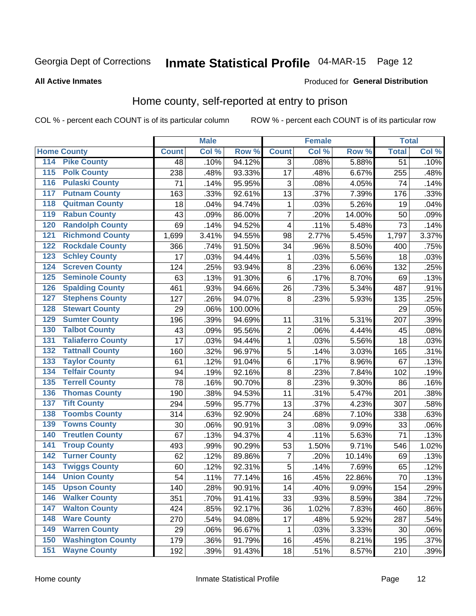# Inmate Statistical Profile 04-MAR-15 Page 12

**All Active Inmates** 

#### Produced for General Distribution

### Home county, self-reported at entry to prison

COL % - percent each COUNT is of its particular column

|                                          |              | <b>Male</b> |         |                         | <b>Female</b> |        | <b>Total</b>    |       |
|------------------------------------------|--------------|-------------|---------|-------------------------|---------------|--------|-----------------|-------|
| <b>Home County</b>                       | <b>Count</b> | Col %       | Row %   | <b>Count</b>            | Col %         | Row %  | <b>Total</b>    | Col % |
| 114<br><b>Pike County</b>                | 48           | .10%        | 94.12%  | 3                       | .08%          | 5.88%  | $\overline{51}$ | .10%  |
| <b>Polk County</b><br>115                | 238          | .48%        | 93.33%  | 17                      | .48%          | 6.67%  | 255             | .48%  |
| <b>Pulaski County</b><br>116             | 71           | .14%        | 95.95%  | 3                       | .08%          | 4.05%  | 74              | .14%  |
| <b>Putnam County</b><br>117              | 163          | .33%        | 92.61%  | 13                      | .37%          | 7.39%  | 176             | .33%  |
| 118<br><b>Quitman County</b>             | 18           | .04%        | 94.74%  | 1                       | .03%          | 5.26%  | 19              | .04%  |
| <b>Rabun County</b><br>119               | 43           | .09%        | 86.00%  | $\overline{7}$          | .20%          | 14.00% | 50              | .09%  |
| <b>Randolph County</b><br>120            | 69           | .14%        | 94.52%  | $\overline{\mathbf{4}}$ | .11%          | 5.48%  | 73              | .14%  |
| <b>Richmond County</b><br>121            | 1,699        | 3.41%       | 94.55%  | 98                      | 2.77%         | 5.45%  | 1,797           | 3.37% |
| <b>Rockdale County</b><br>122            | 366          | .74%        | 91.50%  | 34                      | .96%          | 8.50%  | 400             | .75%  |
| <b>Schley County</b><br>123              | 17           | .03%        | 94.44%  | 1                       | .03%          | 5.56%  | 18              | .03%  |
| <b>Screven County</b><br>124             | 124          | .25%        | 93.94%  | 8                       | .23%          | 6.06%  | 132             | .25%  |
| <b>Seminole County</b><br>125            | 63           | .13%        | 91.30%  | 6                       | .17%          | 8.70%  | 69              | .13%  |
| <b>Spalding County</b><br>126            | 461          | .93%        | 94.66%  | 26                      | .73%          | 5.34%  | 487             | .91%  |
| <b>Stephens County</b><br>127            | 127          | .26%        | 94.07%  | 8                       | .23%          | 5.93%  | 135             | .25%  |
| <b>Stewart County</b><br>128             | 29           | .06%        | 100.00% |                         |               |        | 29              | .05%  |
| <b>Sumter County</b><br>129              | 196          | .39%        | 94.69%  | 11                      | .31%          | 5.31%  | 207             | .39%  |
| <b>Talbot County</b><br>130              | 43           | .09%        | 95.56%  | $\overline{c}$          | .06%          | 4.44%  | 45              | .08%  |
| <b>Taliaferro County</b><br>131          | 17           | .03%        | 94.44%  | 1                       | .03%          | 5.56%  | 18              | .03%  |
| <b>Tattnall County</b><br>132            | 160          | .32%        | 96.97%  | $\overline{5}$          | .14%          | 3.03%  | 165             | .31%  |
| <b>Taylor County</b><br>133              | 61           | .12%        | 91.04%  | 6                       | .17%          | 8.96%  | 67              | .13%  |
| <b>Telfair County</b><br>134             | 94           | .19%        | 92.16%  | 8                       | .23%          | 7.84%  | 102             | .19%  |
| <b>Terrell County</b><br>135             | 78           | .16%        | 90.70%  | 8                       | .23%          | 9.30%  | 86              | .16%  |
| <b>Thomas County</b><br>136              | 190          | .38%        | 94.53%  | 11                      | .31%          | 5.47%  | 201             | .38%  |
| <b>Tift County</b><br>137                | 294          | .59%        | 95.77%  | 13                      | .37%          | 4.23%  | 307             | .58%  |
| <b>Toombs County</b><br>138              | 314          | .63%        | 92.90%  | 24                      | .68%          | 7.10%  | 338             | .63%  |
| <b>Towns County</b><br>139               | 30           | .06%        | 90.91%  | 3                       | .08%          | 9.09%  | 33              | .06%  |
| <b>Treutlen County</b><br>140            | 67           | .13%        | 94.37%  | 4                       | .11%          | 5.63%  | 71              | .13%  |
| <b>Troup County</b><br>141               | 493          | .99%        | 90.29%  | 53                      | 1.50%         | 9.71%  | 546             | 1.02% |
| <b>Turner County</b><br>$\overline{142}$ | 62           | .12%        | 89.86%  | $\overline{7}$          | .20%          | 10.14% | 69              | .13%  |
| <b>Twiggs County</b><br>143              | 60           | .12%        | 92.31%  | 5                       | .14%          | 7.69%  | 65              | .12%  |
| <b>Union County</b><br>144               | 54           | .11%        | 77.14%  | 16                      | .45%          | 22.86% | 70              | .13%  |
| 145<br><b>Upson County</b>               | 140          | .28%        | 90.91%  | 14                      | .40%          | 9.09%  | 154             | .29%  |
| <b>Walker County</b><br>146              | 351          | .70%        | 91.41%  | 33                      | .93%          | 8.59%  | 384             | .72%  |
| <b>Walton County</b><br>147              | 424          | .85%        | 92.17%  | 36                      | 1.02%         | 7.83%  | 460             | .86%  |
| <b>Ware County</b><br>148                | 270          | .54%        | 94.08%  | 17                      | .48%          | 5.92%  | 287             | .54%  |
| <b>Warren County</b><br>149              | 29           | .06%        | 96.67%  | 1                       | .03%          | 3.33%  | 30              | .06%  |
| <b>Washington County</b><br>150          | 179          | .36%        | 91.79%  | 16                      | .45%          | 8.21%  | 195             | .37%  |
| <b>Wayne County</b><br>151               | 192          | .39%        | 91.43%  | 18                      | .51%          | 8.57%  | 210             | .39%  |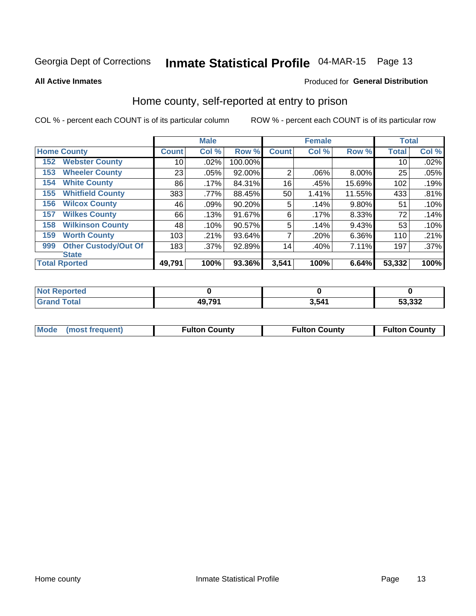# Inmate Statistical Profile 04-MAR-15 Page 13

**All Active Inmates** 

### Produced for General Distribution

### Home county, self-reported at entry to prison

COL % - percent each COUNT is of its particular column

|     |                             |              | <b>Male</b> |         |                | <b>Female</b> |          | <b>Total</b> |         |
|-----|-----------------------------|--------------|-------------|---------|----------------|---------------|----------|--------------|---------|
|     | <b>Home County</b>          | <b>Count</b> | Col %       | Row %   | <b>Count</b>   | Col %         | Row %    | <b>Total</b> | Col %   |
| 152 | <b>Webster County</b>       | 10           | .02%        | 100.00% |                |               |          | 10           | .02%    |
| 153 | <b>Wheeler County</b>       | 23           | .05%        | 92.00%  | $\overline{2}$ | .06%          | 8.00%    | 25           | .05%    |
| 154 | <b>White County</b>         | 86           | .17%        | 84.31%  | 16             | .45%          | 15.69%   | 102          | .19%    |
| 155 | <b>Whitfield County</b>     | 383          | .77%        | 88.45%  | 50             | 1.41%         | 11.55%   | 433          | .81%    |
| 156 | <b>Wilcox County</b>        | 46           | .09%        | 90.20%  | 5              | .14%          | $9.80\%$ | 51           | .10%    |
| 157 | <b>Wilkes County</b>        | 66           | .13%        | 91.67%  | 6              | .17%          | 8.33%    | 72           | .14%    |
| 158 | <b>Wilkinson County</b>     | 48           | .10%        | 90.57%  | 5              | .14%          | 9.43%    | 53           | .10%    |
| 159 | <b>Worth County</b>         | 103          | .21%        | 93.64%  | 7              | .20%          | $6.36\%$ | 110          | .21%    |
| 999 | <b>Other Custody/Out Of</b> | 183          | .37%        | 92.89%  | 14             | .40%          | 7.11%    | 197          | $.37\%$ |
|     | <b>State</b>                |              |             |         |                |               |          |              |         |
|     | <b>Total Rported</b>        | 49,791       | 100%        | 93.36%  | 3,541          | 100%          | 6.64%    | 53,332       | 100%    |

| Reported<br>NOT |        |       |        |
|-----------------|--------|-------|--------|
| <b>c</b> otal   | 49,791 | 3,541 | 53,332 |

|  | Mode (most frequent) | <b>Fulton County</b> | <b>Fulton County</b> | <b>Fulton County</b> |
|--|----------------------|----------------------|----------------------|----------------------|
|--|----------------------|----------------------|----------------------|----------------------|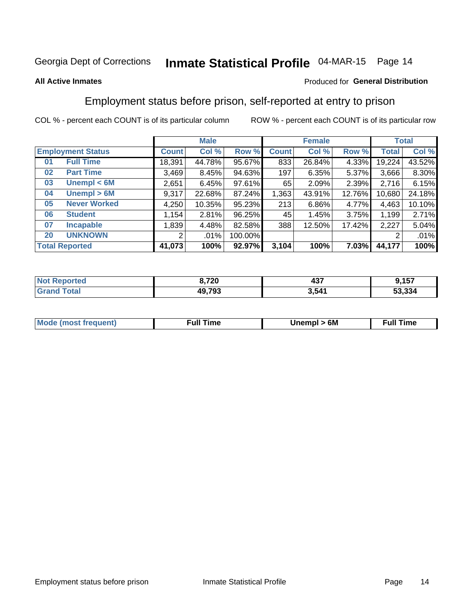# Inmate Statistical Profile 04-MAR-15 Page 14

#### **All Active Inmates**

### Produced for General Distribution

### Employment status before prison, self-reported at entry to prison

COL % - percent each COUNT is of its particular column

|                           | <b>Male</b>  |        |           |              | <b>Female</b> | <b>Total</b> |        |        |
|---------------------------|--------------|--------|-----------|--------------|---------------|--------------|--------|--------|
| <b>Employment Status</b>  | <b>Count</b> | Col %  | Row %     | <b>Count</b> | Col %         | Row %        | Total  | Col %  |
| <b>Full Time</b><br>01    | 18,391       | 44.78% | 95.67%    | 833          | 26.84%        | 4.33%        | 19,224 | 43.52% |
| <b>Part Time</b><br>02    | 3,469        | 8.45%  | 94.63%    | 197          | 6.35%         | 5.37%        | 3,666  | 8.30%  |
| Unempl $<$ 6M<br>03       | 2,651        | 6.45%  | $97.61\%$ | 65           | 2.09%         | 2.39%        | 2,716  | 6.15%  |
| Unempl > 6M<br>04         | 9,317        | 22.68% | 87.24%    | 1,363        | 43.91%        | 12.76%       | 10,680 | 24.18% |
| <b>Never Worked</b><br>05 | 4,250        | 10.35% | 95.23%    | 213          | 6.86%         | 4.77%        | 4,463  | 10.10% |
| <b>Student</b><br>06      | ,154         | 2.81%  | 96.25%    | 45           | 1.45%         | 3.75%        | 1,199  | 2.71%  |
| 07<br><b>Incapable</b>    | ,839         | 4.48%  | 82.58%    | 388          | 12.50%        | 17.42%       | 2,227  | 5.04%  |
| <b>UNKNOWN</b><br>20      | 2            | .01%   | 100.00%   |              |               |              | 2      | .01%   |
| <b>Total Reported</b>     | 41,073       | 100%   | 92.97%    | 3,104        | 100%          | 7.03%        | 44,177 | 100%   |

| <b>Not Reported</b> | 8,720  | $10-$<br>491 | 9,157  |
|---------------------|--------|--------------|--------|
| <b>Grand Total</b>  | 49,793 | 3,541        | 53,334 |

| <b>Mode (most frequent)</b> | 6M<br><b>Jnempl</b> | <b>Full Time</b> |
|-----------------------------|---------------------|------------------|
|                             |                     |                  |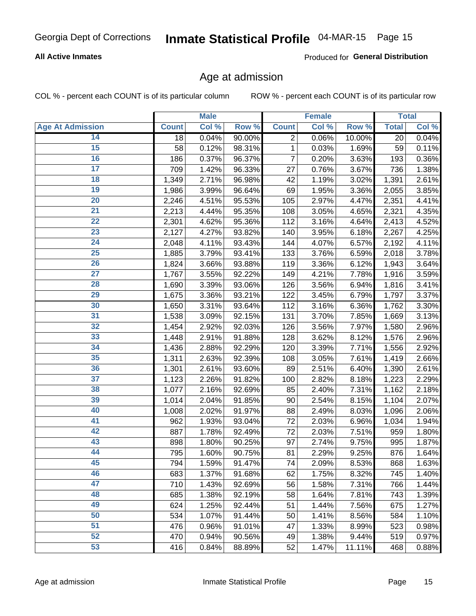### **All Active Inmates**

Produced for General Distribution

### Age at admission

COL % - percent each COUNT is of its particular column

|                         |              | <b>Male</b> |        |              | Female |        |              | <b>Total</b> |
|-------------------------|--------------|-------------|--------|--------------|--------|--------|--------------|--------------|
| <b>Age At Admission</b> | <b>Count</b> | Col %       | Row %  | <b>Count</b> | Col %  | Row %  | <b>Total</b> | Col %        |
| 14                      | 18           | 0.04%       | 90.00% | 2            | 0.06%  | 10.00% | 20           | 0.04%        |
| $\overline{15}$         | 58           | 0.12%       | 98.31% | $\mathbf{1}$ | 0.03%  | 1.69%  | 59           | 0.11%        |
| 16                      | 186          | 0.37%       | 96.37% | 7            | 0.20%  | 3.63%  | 193          | 0.36%        |
| $\overline{17}$         | 709          | 1.42%       | 96.33% | 27           | 0.76%  | 3.67%  | 736          | 1.38%        |
| $\overline{18}$         | 1,349        | 2.71%       | 96.98% | 42           | 1.19%  | 3.02%  | 1,391        | 2.61%        |
| 19                      | 1,986        | 3.99%       | 96.64% | 69           | 1.95%  | 3.36%  | 2,055        | 3.85%        |
| $\overline{20}$         | 2,246        | 4.51%       | 95.53% | 105          | 2.97%  | 4.47%  | 2,351        | 4.41%        |
| $\overline{21}$         | 2,213        | 4.44%       | 95.35% | 108          | 3.05%  | 4.65%  | 2,321        | 4.35%        |
| $\overline{22}$         | 2,301        | 4.62%       | 95.36% | 112          | 3.16%  | 4.64%  | 2,413        | 4.52%        |
| 23                      | 2,127        | 4.27%       | 93.82% | 140          | 3.95%  | 6.18%  | 2,267        | 4.25%        |
| $\overline{24}$         | 2,048        | 4.11%       | 93.43% | 144          | 4.07%  | 6.57%  | 2,192        | 4.11%        |
| 25                      | 1,885        | 3.79%       | 93.41% | 133          | 3.76%  | 6.59%  | 2,018        | 3.78%        |
| $\overline{26}$         | 1,824        | 3.66%       | 93.88% | 119          | 3.36%  | 6.12%  | 1,943        | 3.64%        |
| $\overline{27}$         | 1,767        | 3.55%       | 92.22% | 149          | 4.21%  | 7.78%  | 1,916        | 3.59%        |
| 28                      | 1,690        | 3.39%       | 93.06% | 126          | 3.56%  | 6.94%  | 1,816        | 3.41%        |
| 29                      | 1,675        | 3.36%       | 93.21% | 122          | 3.45%  | 6.79%  | 1,797        | 3.37%        |
| 30                      | 1,650        | 3.31%       | 93.64% | 112          | 3.16%  | 6.36%  | 1,762        | 3.30%        |
| $\overline{31}$         | 1,538        | 3.09%       | 92.15% | 131          | 3.70%  | 7.85%  | 1,669        | 3.13%        |
| 32                      | 1,454        | 2.92%       | 92.03% | 126          | 3.56%  | 7.97%  | 1,580        | 2.96%        |
| 33                      | 1,448        | 2.91%       | 91.88% | 128          | 3.62%  | 8.12%  | 1,576        | 2.96%        |
| 34                      | 1,436        | 2.88%       | 92.29% | 120          | 3.39%  | 7.71%  | 1,556        | 2.92%        |
| 35                      | 1,311        | 2.63%       | 92.39% | 108          | 3.05%  | 7.61%  | 1,419        | 2.66%        |
| 36                      | 1,301        | 2.61%       | 93.60% | 89           | 2.51%  | 6.40%  | 1,390        | 2.61%        |
| $\overline{37}$         | 1,123        | 2.26%       | 91.82% | 100          | 2.82%  | 8.18%  | 1,223        | 2.29%        |
| 38                      | 1,077        | 2.16%       | 92.69% | 85           | 2.40%  | 7.31%  | 1,162        | 2.18%        |
| 39                      | 1,014        | 2.04%       | 91.85% | 90           | 2.54%  | 8.15%  | 1,104        | 2.07%        |
| 40                      | 1,008        | 2.02%       | 91.97% | 88           | 2.49%  | 8.03%  | 1,096        | 2.06%        |
| 41                      | 962          | 1.93%       | 93.04% | 72           | 2.03%  | 6.96%  | 1,034        | 1.94%        |
| 42                      | 887          | 1.78%       | 92.49% | 72           | 2.03%  | 7.51%  | 959          | 1.80%        |
| 43                      | 898          | 1.80%       | 90.25% | 97           | 2.74%  | 9.75%  | 995          | 1.87%        |
| 44                      | 795          | 1.60%       | 90.75% | 81           | 2.29%  | 9.25%  | 876          | 1.64%        |
| 45                      | 794          | 1.59%       | 91.47% | 74           | 2.09%  | 8.53%  | 868          | 1.63%        |
| 46                      | 683          | 1.37%       | 91.68% | 62           | 1.75%  | 8.32%  | 745          | 1.40%        |
| 47                      | 710          | 1.43%       | 92.69% | 56           | 1.58%  | 7.31%  | 766          | 1.44%        |
| 48                      | 685          | 1.38%       | 92.19% | 58           | 1.64%  | 7.81%  | 743          | 1.39%        |
| 49                      | 624          | 1.25%       | 92.44% | 51           | 1.44%  | 7.56%  | 675          | 1.27%        |
| 50                      | 534          | 1.07%       | 91.44% | 50           | 1.41%  | 8.56%  | 584          | 1.10%        |
| 51                      | 476          | 0.96%       | 91.01% | 47           | 1.33%  | 8.99%  | 523          | 0.98%        |
| 52                      | 470          | 0.94%       | 90.56% | 49           | 1.38%  | 9.44%  | 519          | 0.97%        |
| 53                      | 416          | 0.84%       | 88.89% | 52           | 1.47%  | 11.11% | 468          | 0.88%        |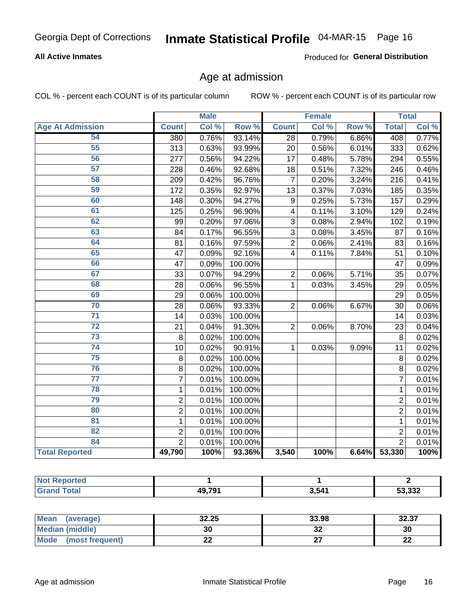### **All Active Inmates**

Produced for General Distribution

### Age at admission

COL % - percent each COUNT is of its particular column

|                         |                | <b>Male</b> |         |                 | <b>Female</b> |       | <b>Total</b>    |       |
|-------------------------|----------------|-------------|---------|-----------------|---------------|-------|-----------------|-------|
| <b>Age At Admission</b> | <b>Count</b>   | Col %       | Row %   | <b>Count</b>    | Col %         | Row % | <b>Total</b>    | Col % |
| 54                      | 380            | 0.76%       | 93.14%  | 28              | 0.79%         | 6.86% | 408             | 0.77% |
| 55                      | 313            | 0.63%       | 93.99%  | 20              | 0.56%         | 6.01% | 333             | 0.62% |
| 56                      | 277            | 0.56%       | 94.22%  | 17              | 0.48%         | 5.78% | 294             | 0.55% |
| 57                      | 228            | 0.46%       | 92.68%  | 18              | 0.51%         | 7.32% | 246             | 0.46% |
| 58                      | 209            | 0.42%       | 96.76%  | $\overline{7}$  | 0.20%         | 3.24% | 216             | 0.41% |
| 59                      | 172            | 0.35%       | 92.97%  | $\overline{13}$ | 0.37%         | 7.03% | 185             | 0.35% |
| 60                      | 148            | 0.30%       | 94.27%  | 9               | 0.25%         | 5.73% | 157             | 0.29% |
| 61                      | 125            | 0.25%       | 96.90%  | 4               | 0.11%         | 3.10% | 129             | 0.24% |
| 62                      | 99             | 0.20%       | 97.06%  | 3               | 0.08%         | 2.94% | 102             | 0.19% |
| 63                      | 84             | 0.17%       | 96.55%  | 3               | 0.08%         | 3.45% | 87              | 0.16% |
| 64                      | 81             | 0.16%       | 97.59%  | $\overline{2}$  | 0.06%         | 2.41% | 83              | 0.16% |
| 65                      | 47             | 0.09%       | 92.16%  | $\overline{4}$  | 0.11%         | 7.84% | 51              | 0.10% |
| 66                      | 47             | 0.09%       | 100.00% |                 |               |       | 47              | 0.09% |
| 67                      | 33             | 0.07%       | 94.29%  | $\overline{c}$  | 0.06%         | 5.71% | $\overline{35}$ | 0.07% |
| 68                      | 28             | 0.06%       | 96.55%  | 1               | 0.03%         | 3.45% | 29              | 0.05% |
| 69                      | 29             | 0.06%       | 100.00% |                 |               |       | 29              | 0.05% |
| 70                      | 28             | 0.06%       | 93.33%  | $\overline{2}$  | 0.06%         | 6.67% | 30              | 0.06% |
| $\overline{71}$         | 14             | 0.03%       | 100.00% |                 |               |       | 14              | 0.03% |
| $\overline{72}$         | 21             | 0.04%       | 91.30%  | $\overline{2}$  | 0.06%         | 8.70% | 23              | 0.04% |
| 73                      | 8              | 0.02%       | 100.00% |                 |               |       | 8               | 0.02% |
| 74                      | 10             | 0.02%       | 90.91%  | $\mathbf{1}$    | 0.03%         | 9.09% | 11              | 0.02% |
| 75                      | $\bf 8$        | 0.02%       | 100.00% |                 |               |       | 8               | 0.02% |
| 76                      | 8              | 0.02%       | 100.00% |                 |               |       | 8               | 0.02% |
| $\overline{77}$         | $\overline{7}$ | 0.01%       | 100.00% |                 |               |       | $\overline{7}$  | 0.01% |
| 78                      | $\mathbf 1$    | 0.01%       | 100.00% |                 |               |       | $\mathbf{1}$    | 0.01% |
| 79                      | $\overline{c}$ | 0.01%       | 100.00% |                 |               |       | $\overline{2}$  | 0.01% |
| 80                      | $\overline{2}$ | 0.01%       | 100.00% |                 |               |       | $\overline{2}$  | 0.01% |
| 81                      | $\mathbf{1}$   | 0.01%       | 100.00% |                 |               |       | $\mathbf{1}$    | 0.01% |
| $\overline{82}$         | $\overline{c}$ | 0.01%       | 100.00% |                 |               |       | $\overline{2}$  | 0.01% |
| 84                      | $\overline{2}$ | 0.01%       | 100.00% |                 |               |       | $\overline{2}$  | 0.01% |
| <b>Total Reported</b>   | 49,790         | 100%        | 93.36%  | 3,540           | 100%          | 6.64% | 53,330          | 100%  |

| <b>eported</b><br><b>N</b> |                    |       |        |
|----------------------------|--------------------|-------|--------|
| <b>Total</b>               | 10 70 <sup>-</sup> | 3,541 | 53,332 |

| <b>Mean</b><br>(average)       | 32.25 | 33.98   | 32.37    |
|--------------------------------|-------|---------|----------|
| <b>Median (middle)</b>         | 30    | ົ<br>ЭZ | 30       |
| <b>Mode</b><br>(most frequent) | ∸∸    | ^7      | n,<br>LL |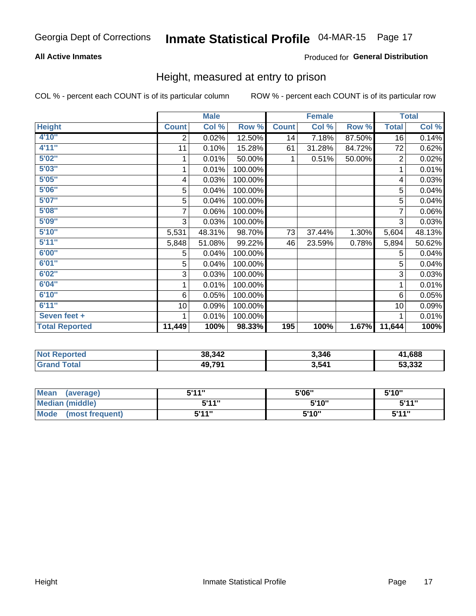### **All Active Inmates**

### Produced for General Distribution

### Height, measured at entry to prison

COL % - percent each COUNT is of its particular column

|                       |              | <b>Male</b> |         |              | <b>Female</b> |        |                 | <b>Total</b> |
|-----------------------|--------------|-------------|---------|--------------|---------------|--------|-----------------|--------------|
| <b>Height</b>         | <b>Count</b> | Col %       | Row %   | <b>Count</b> | Col %         | Row %  | <b>Total</b>    | Col %        |
| 4'10"                 | 2            | 0.02%       | 12.50%  | 14           | 7.18%         | 87.50% | $\overline{16}$ | 0.14%        |
| 4'11''                | 11           | 0.10%       | 15.28%  | 61           | 31.28%        | 84.72% | 72              | 0.62%        |
| 5'02''                |              | 0.01%       | 50.00%  | 1.           | 0.51%         | 50.00% | $\overline{2}$  | 0.02%        |
| 5'03''                |              | 0.01%       | 100.00% |              |               |        |                 | 0.01%        |
| 5'05''                | 4            | 0.03%       | 100.00% |              |               |        | 4               | 0.03%        |
| 5'06"                 | 5            | 0.04%       | 100.00% |              |               |        | 5               | 0.04%        |
| 5'07''                | 5            | 0.04%       | 100.00% |              |               |        | 5               | 0.04%        |
| 5'08''                | 7            | 0.06%       | 100.00% |              |               |        |                 | 0.06%        |
| 5'09''                | 3            | 0.03%       | 100.00% |              |               |        | 3               | 0.03%        |
| 5'10''                | 5,531        | 48.31%      | 98.70%  | 73           | 37.44%        | 1.30%  | 5,604           | 48.13%       |
| 5'11''                | 5,848        | 51.08%      | 99.22%  | 46           | 23.59%        | 0.78%  | 5,894           | 50.62%       |
| 6'00''                | 5            | 0.04%       | 100.00% |              |               |        | 5               | 0.04%        |
| 6'01''                | 5            | 0.04%       | 100.00% |              |               |        | 5               | 0.04%        |
| 6'02''                | 3            | 0.03%       | 100.00% |              |               |        | 3               | 0.03%        |
| 6'04"                 |              | 0.01%       | 100.00% |              |               |        | 1               | 0.01%        |
| 6'10''                | 6            | 0.05%       | 100.00% |              |               |        | 6               | 0.05%        |
| 6'11''                | 10           | 0.09%       | 100.00% |              |               |        | 10              | 0.09%        |
| Seven feet +          |              | 0.01%       | 100.00% |              |               |        |                 | 0.01%        |
| <b>Total Reported</b> | 11,449       | 100%        | 98.33%  | 195          | 100%          | 1.67%  | 11,644          | 100%         |

| тес<br>N | 38,342 | 3,346 | 688,            |
|----------|--------|-------|-----------------|
|          | 49 791 | 3,541 | よつ つつつ<br>∡כס.י |

| <b>Mean</b><br>(average) | 544"  | 5'06"  | 5'10" |
|--------------------------|-------|--------|-------|
| <b>Median (middle)</b>   | 5'11" | 5'10"  | 5'11" |
| Mode<br>(most frequent)  | 5'11" | 5'10'' | 544 " |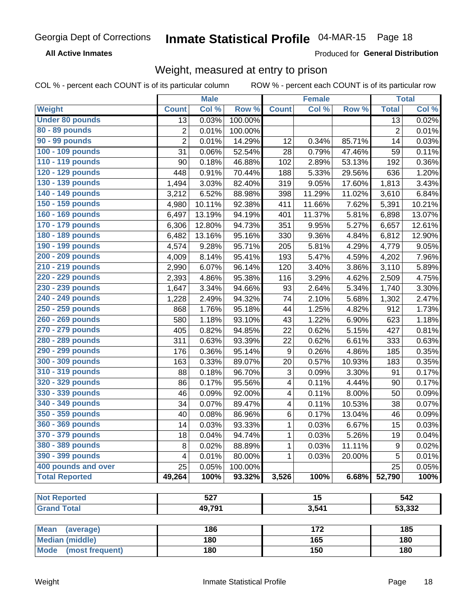**All Active Inmates** 

Produced for General Distribution

# Weight, measured at entry to prison

COL % - percent each COUNT is of its particular column

|                                |                | <b>Male</b> |         |                           | <b>Female</b>    |        |                | <b>Total</b> |
|--------------------------------|----------------|-------------|---------|---------------------------|------------------|--------|----------------|--------------|
| Weight                         | <b>Count</b>   | Col %       | Row %   | <b>Count</b>              | Col %            | Row %  | <b>Total</b>   | Col %        |
| <b>Under 80 pounds</b>         | 13             | 0.03%       | 100.00% |                           |                  |        | 13             | 0.02%        |
| 80 - 89 pounds                 | 2              | 0.01%       | 100.00% |                           |                  |        | $\overline{2}$ | 0.01%        |
| <b>90 - 99 pounds</b>          | $\overline{2}$ | 0.01%       | 14.29%  | 12                        | 0.34%            | 85.71% | 14             | 0.03%        |
| 100 - 109 pounds               | 31             | 0.06%       | 52.54%  | 28                        | 0.79%            | 47.46% | 59             | 0.11%        |
| 110 - 119 pounds               | 90             | 0.18%       | 46.88%  | 102                       | 2.89%            | 53.13% | 192            | 0.36%        |
| 120 - 129 pounds               | 448            | 0.91%       | 70.44%  | 188                       | 5.33%            | 29.56% | 636            | 1.20%        |
| 130 - 139 pounds               | 1,494          | 3.03%       | 82.40%  | 319                       | 9.05%            | 17.60% | 1,813          | 3.43%        |
| 140 - 149 pounds               | 3,212          | 6.52%       | 88.98%  | 398                       | 11.29%           | 11.02% | 3,610          | 6.84%        |
| 150 - 159 pounds               | 4,980          | 10.11%      | 92.38%  | 411                       | 11.66%           | 7.62%  | 5,391          | 10.21%       |
| 160 - 169 pounds               | 6,497          | 13.19%      | 94.19%  | 401                       | 11.37%           | 5.81%  | 6,898          | 13.07%       |
| 170 - 179 pounds               | 6,306          | 12.80%      | 94.73%  | 351                       | 9.95%            | 5.27%  | 6,657          | 12.61%       |
| 180 - 189 pounds               | 6,482          | 13.16%      | 95.16%  | 330                       | 9.36%            | 4.84%  | 6,812          | 12.90%       |
| 190 - 199 pounds               | 4,574          | 9.28%       | 95.71%  | 205                       | 5.81%            | 4.29%  | 4,779          | 9.05%        |
| 200 - 209 pounds               | 4,009          | 8.14%       | 95.41%  | 193                       | 5.47%            | 4.59%  | 4,202          | 7.96%        |
| 210 - 219 pounds               | 2,990          | 6.07%       | 96.14%  | 120                       | 3.40%            | 3.86%  | 3,110          | 5.89%        |
| 220 - 229 pounds               | 2,393          | 4.86%       | 95.38%  | 116                       | 3.29%            | 4.62%  | 2,509          | 4.75%        |
| 230 - 239 pounds               | 1,647          | 3.34%       | 94.66%  | 93                        | 2.64%            | 5.34%  | 1,740          | 3.30%        |
| 240 - 249 pounds               | 1,228          | 2.49%       | 94.32%  | 74                        | 2.10%            | 5.68%  | 1,302          | 2.47%        |
| 250 - 259 pounds               | 868            | 1.76%       | 95.18%  | 44                        | 1.25%            | 4.82%  | 912            | 1.73%        |
| 260 - 269 pounds               | 580            | 1.18%       | 93.10%  | 43                        | 1.22%            | 6.90%  | 623            | 1.18%        |
| 270 - 279 pounds               | 405            | 0.82%       | 94.85%  | 22                        | 0.62%            | 5.15%  | 427            | 0.81%        |
| 280 - 289 pounds               | 311            | 0.63%       | 93.39%  | 22                        | 0.62%            | 6.61%  | 333            | 0.63%        |
| 290 - 299 pounds               | 176            | 0.36%       | 95.14%  | 9                         | 0.26%            | 4.86%  | 185            | 0.35%        |
| 300 - 309 pounds               | 163            | 0.33%       | 89.07%  | 20                        | 0.57%            | 10.93% | 183            | 0.35%        |
| 310 - 319 pounds               | 88             | 0.18%       | 96.70%  | $\ensuremath{\mathsf{3}}$ | 0.09%            | 3.30%  | 91             | 0.17%        |
| 320 - 329 pounds               | 86             | 0.17%       | 95.56%  | 4                         | 0.11%            | 4.44%  | 90             | 0.17%        |
| 330 - 339 pounds               | 46             | 0.09%       | 92.00%  | 4                         | 0.11%            | 8.00%  | 50             | 0.09%        |
| 340 - 349 pounds               | 34             | 0.07%       | 89.47%  | 4                         | 0.11%            | 10.53% | 38             | 0.07%        |
| 350 - 359 pounds               | 40             | 0.08%       | 86.96%  | 6                         | 0.17%            | 13.04% | 46             | 0.09%        |
| 360 - 369 pounds               | 14             | 0.03%       | 93.33%  | 1                         | 0.03%            | 6.67%  | 15             | 0.03%        |
| 370 - 379 pounds               | 18             | 0.04%       | 94.74%  | 1                         | 0.03%            | 5.26%  | 19             | 0.04%        |
| 380 - 389 pounds               | 8              | 0.02%       | 88.89%  | 1                         | 0.03%            | 11.11% | 9              | 0.02%        |
| 390 - 399 pounds               | 4              | 0.01%       | 80.00%  | 1                         | 0.03%            | 20.00% | 5              | 0.01%        |
| 400 pounds and over            | 25             | 0.05%       | 100.00% |                           |                  |        | 25             | 0.05%        |
| <b>Total Reported</b>          | 49,264         | 100%        | 93.32%  | 3,526                     | 100%             | 6.68%  | 52,790         | 100%         |
|                                |                |             |         |                           |                  |        |                |              |
| <b>Not Reported</b>            |                | 527         |         |                           | $\overline{15}$  |        |                | 542          |
| <b>Grand Total</b>             |                | 49,791      |         |                           | 3,541            |        |                | 53,332       |
| <b>Mean</b><br>(average)       |                | 186         |         |                           | $\overline{172}$ |        |                | 185          |
| <b>Median (middle)</b>         |                | 180         |         |                           | 165              |        |                | 180          |
| <b>Mode</b><br>(most frequent) |                | 180         |         |                           | 150              |        |                | 180          |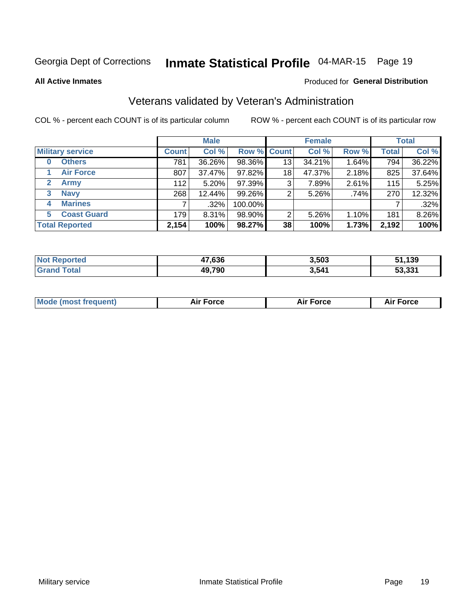# Inmate Statistical Profile 04-MAR-15 Page 19

**All Active Inmates** 

#### Produced for General Distribution

# Veterans validated by Veteran's Administration

COL % - percent each COUNT is of its particular column

|                          | <b>Male</b>  |        |             | <b>Female</b> |        |       | <b>Total</b> |        |
|--------------------------|--------------|--------|-------------|---------------|--------|-------|--------------|--------|
| <b>Military service</b>  | <b>Count</b> | Col %  | Row % Count |               | Col %  | Row % | <b>Total</b> | Col %  |
| <b>Others</b><br>0       | 781          | 36.26% | 98.36%      | 13            | 34.21% | 1.64% | 794          | 36.22% |
| <b>Air Force</b>         | 807          | 37.47% | 97.82%      | 18            | 47.37% | 2.18% | 825          | 37.64% |
| 2<br><b>Army</b>         | 112          | 5.20%  | 97.39%      | 3             | 7.89%  | 2.61% | 115          | 5.25%  |
| <b>Navy</b><br>3         | 268          | 12.44% | 99.26%      | 2             | 5.26%  | .74%  | 270          | 12.32% |
| <b>Marines</b><br>4      |              | .32%   | 100.00%     |               |        |       |              | .32%   |
| <b>Coast Guard</b><br>5. | 179          | 8.31%  | 98.90%      | 2             | 5.26%  | 1.10% | 181          | 8.26%  |
| <b>Total Reported</b>    | 2,154        | 100%   | 98.27%      | 38            | 100%   | 1.73% | 2,192        | 100%   |

| rted<br>NOI | 47,636 | 3,503 | 31,139                 |
|-------------|--------|-------|------------------------|
|             | 49,790 | 3,541 | ED 001<br>5.331<br>ה ה |

| <b>Mode (most frequent)</b> | <b>Force</b> | <b>Force</b> | Force |
|-----------------------------|--------------|--------------|-------|
|                             |              |              |       |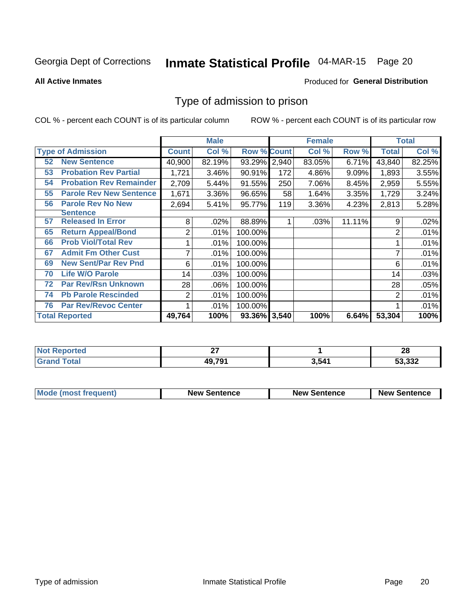# Inmate Statistical Profile 04-MAR-15 Page 20

**All Active Inmates** 

#### Produced for General Distribution

### Type of admission to prison

COL % - percent each COUNT is of its particular column

|    |                                |                | <b>Male</b> |                    |       | <b>Female</b> |        |                | <b>Total</b> |
|----|--------------------------------|----------------|-------------|--------------------|-------|---------------|--------|----------------|--------------|
|    | <b>Type of Admission</b>       | <b>Count</b>   | Col %       | <b>Row % Count</b> |       | Col %         | Row %  | <b>Total</b>   | Col %        |
| 52 | <b>New Sentence</b>            | 40,900         | 82.19%      | 93.29%             | 2,940 | 83.05%        | 6.71%  | 43,840         | 82.25%       |
| 53 | <b>Probation Rev Partial</b>   | 1,721          | 3.46%       | 90.91%             | 172   | 4.86%         | 9.09%  | 1,893          | 3.55%        |
| 54 | <b>Probation Rev Remainder</b> | 2,709          | 5.44%       | 91.55%             | 250   | 7.06%         | 8.45%  | 2,959          | 5.55%        |
| 55 | <b>Parole Rev New Sentence</b> | 1,671          | 3.36%       | 96.65%             | 58    | 1.64%         | 3.35%  | 1,729          | 3.24%        |
| 56 | <b>Parole Rev No New</b>       | 2,694          | 5.41%       | 95.77%             | 119   | 3.36%         | 4.23%  | 2,813          | 5.28%        |
|    | <b>Sentence</b>                |                |             |                    |       |               |        |                |              |
| 57 | <b>Released In Error</b>       | 8              | .02%        | 88.89%             |       | .03%          | 11.11% | 9              | .02%         |
| 65 | <b>Return Appeal/Bond</b>      | 2              | .01%        | 100.00%            |       |               |        | 2              | .01%         |
| 66 | <b>Prob Viol/Total Rev</b>     |                | .01%        | 100.00%            |       |               |        |                | .01%         |
| 67 | <b>Admit Fm Other Cust</b>     | 7              | .01%        | 100.00%            |       |               |        | ⇁              | .01%         |
| 69 | <b>New Sent/Par Rev Pnd</b>    | 6              | .01%        | 100.00%            |       |               |        | 6              | .01%         |
| 70 | <b>Life W/O Parole</b>         | 14             | .03%        | 100.00%            |       |               |        | 14             | .03%         |
| 72 | <b>Par Rev/Rsn Unknown</b>     | 28             | .06%        | 100.00%            |       |               |        | 28             | .05%         |
| 74 | <b>Pb Parole Rescinded</b>     | $\overline{2}$ | .01%        | 100.00%            |       |               |        | $\overline{2}$ | .01%         |
| 76 | <b>Par Rev/Revoc Center</b>    |                | .01%        | 100.00%            |       |               |        |                | .01%         |
|    | <b>Total Reported</b>          | 49,764         | 100%        | 93.36% 3,540       |       | 100%          | 6.64%  | 53,304         | 100%         |

| لمنتقله والمتعارض والمتناور<br>ттео<br>n n | $\sim$<br>-- |      | ഹ<br>zo |
|--------------------------------------------|--------------|------|---------|
| $f$ $f \circ f \circ f$                    | 49,791       | -541 | 53,332  |

| <b>Mode (most frequent)</b> | <b>New Sentence</b> | <b>New Sentence</b> | <b>New Sentence</b> |
|-----------------------------|---------------------|---------------------|---------------------|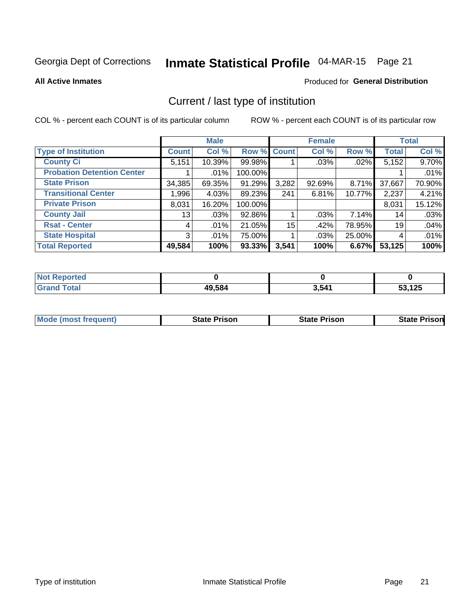# Inmate Statistical Profile 04-MAR-15 Page 21

**All Active Inmates** 

#### Produced for General Distribution

# Current / last type of institution

COL % - percent each COUNT is of its particular column

|                                   |                | <b>Male</b> |             |       | <b>Female</b> |        |              | <b>Total</b> |
|-----------------------------------|----------------|-------------|-------------|-------|---------------|--------|--------------|--------------|
| <b>Type of Institution</b>        | <b>Count</b>   | Col %       | Row % Count |       | Col %         | Row %  | <b>Total</b> | Col %        |
| <b>County Ci</b>                  | 5,151          | 10.39%      | 99.98%      |       | .03%          | .02%   | 5,152        | 9.70%        |
| <b>Probation Detention Center</b> |                | .01%        | 100.00%     |       |               |        |              | .01%         |
| <b>State Prison</b>               | 34,385         | 69.35%      | 91.29%      | 3,282 | 92.69%        | 8.71%  | 37,667       | 70.90%       |
| <b>Transitional Center</b>        | 1,996          | 4.03%       | 89.23%      | 241   | 6.81%         | 10.77% | 2,237        | 4.21%        |
| <b>Private Prison</b>             | 8,031          | 16.20%      | 100.00%     |       |               |        | 8,031        | 15.12%       |
| <b>County Jail</b>                | 13             | .03%        | 92.86%      |       | .03%          | 7.14%  | 14           | .03%         |
| <b>Rsat - Center</b>              | 4              | .01%        | 21.05%      | 15    | .42%          | 78.95% | 19           | .04%         |
| <b>State Hospital</b>             | 3 <sup>1</sup> | .01%        | 75.00%      |       | .03%          | 25.00% | 4            | .01%         |
| <b>Total Reported</b>             | 49,584         | 100%        | $93.33\%$   | 3,541 | 100%          | 6.67%  | 53,125       | 100%         |

| $N$<br>Reported    |        |       |              |
|--------------------|--------|-------|--------------|
| <b>Grand Total</b> | 49,584 | 3,541 | 53,125<br>J. |

| <b>Mode (most frequent)</b> | <b>State Prison</b> | <b>State Prison</b> | <b>State Prisonl</b> |
|-----------------------------|---------------------|---------------------|----------------------|
|                             |                     |                     |                      |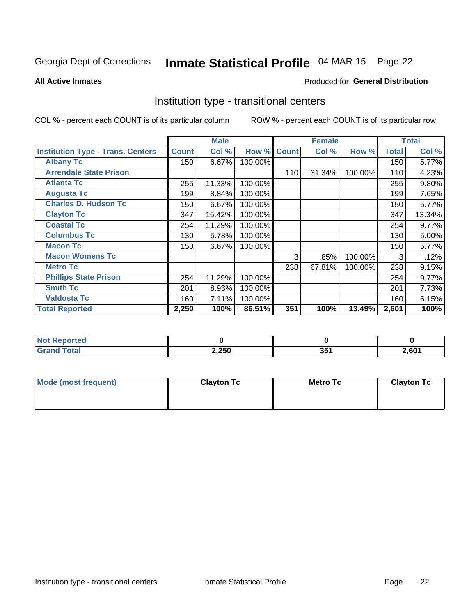# Inmate Statistical Profile 04-MAR-15 Page 22

**All Active Inmates** 

#### Produced for General Distribution

### Institution type - transitional centers

COL % - percent each COUNT is of its particular column

|                                          |              | <b>Male</b> |         |              | <b>Female</b> |         |              | <b>Total</b> |
|------------------------------------------|--------------|-------------|---------|--------------|---------------|---------|--------------|--------------|
| <b>Institution Type - Trans. Centers</b> | <b>Count</b> | Col %       | Row %   | <b>Count</b> | Col %         | Row %   | <b>Total</b> | Col %        |
| <b>Albany Tc</b>                         | 150          | 6.67%       | 100.00% |              |               |         | 150          | 5.77%        |
| <b>Arrendale State Prison</b>            |              |             |         | 110          | 31.34%        | 100.00% | 110          | 4.23%        |
| <b>Atlanta Tc</b>                        | 255          | 11.33%      | 100.00% |              |               |         | 255          | $9.80\%$     |
| <b>Augusta Tc</b>                        | 199          | 8.84%       | 100.00% |              |               |         | 199          | 7.65%        |
| <b>Charles D. Hudson Tc</b>              | 150          | 6.67%       | 100.00% |              |               |         | 150          | 5.77%        |
| <b>Clayton Tc</b>                        | 347          | 15.42%      | 100.00% |              |               |         | 347          | 13.34%       |
| <b>Coastal Tc</b>                        | 254          | 11.29%      | 100.00% |              |               |         | 254          | 9.77%        |
| <b>Columbus Tc</b>                       | 130          | 5.78%       | 100.00% |              |               |         | 130          | 5.00%        |
| <b>Macon Tc</b>                          | 150          | 6.67%       | 100.00% |              |               |         | 150          | 5.77%        |
| <b>Macon Womens Tc</b>                   |              |             |         | 3            | .85%          | 100.00% | 3            | .12%         |
| <b>Metro Tc</b>                          |              |             |         | 238          | 67.81%        | 100.00% | 238          | 9.15%        |
| <b>Phillips State Prison</b>             | 254          | 11.29%      | 100.00% |              |               |         | 254          | 9.77%        |
| <b>Smith Tc</b>                          | 201          | 8.93%       | 100.00% |              |               |         | 201          | 7.73%        |
| <b>Valdosta Tc</b>                       | 160          | 7.11%       | 100.00% |              |               |         | 160          | 6.15%        |
| <b>Total Reported</b>                    | 2,250        | 100%        | 86.51%  | 351          | 100%          | 13.49%  | 2,601        | 100%         |

| <b>orted</b><br>$\sim$ |       |     |       |
|------------------------|-------|-----|-------|
| <b>ota</b>             | 2,250 | つにく | 2,601 |

| Mode (most frequent) | <b>Clayton Tc</b> | <b>Metro Tc</b> | <b>Clayton Tc</b> |  |  |
|----------------------|-------------------|-----------------|-------------------|--|--|
|                      |                   |                 |                   |  |  |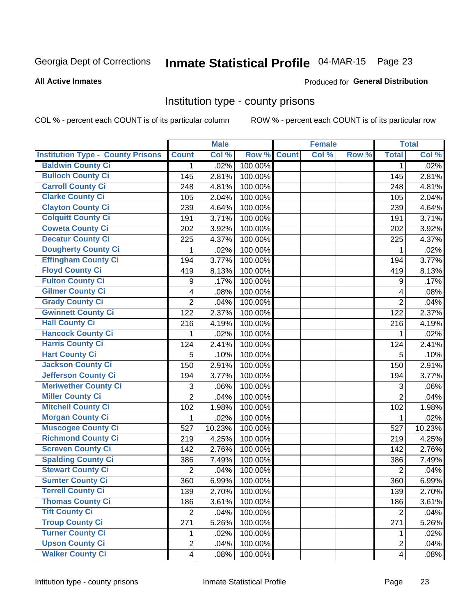# Inmate Statistical Profile 04-MAR-15 Page 23

#### **All Active Inmates**

#### Produced for General Distribution

### Institution type - county prisons

COL % - percent each COUNT is of its particular column

|                                          |                         | <b>Male</b> |         |              | <b>Female</b> |       |                  | <b>Total</b> |
|------------------------------------------|-------------------------|-------------|---------|--------------|---------------|-------|------------------|--------------|
| <b>Institution Type - County Prisons</b> | <b>Count</b>            | Col %       | Row %   | <b>Count</b> | Col %         | Row % | <b>Total</b>     | Col %        |
| <b>Baldwin County Ci</b>                 | $\mathbf{1}$            | .02%        | 100.00% |              |               |       | $\mathbf 1$      | .02%         |
| <b>Bulloch County Ci</b>                 | 145                     | 2.81%       | 100.00% |              |               |       | 145              | 2.81%        |
| <b>Carroll County Ci</b>                 | 248                     | 4.81%       | 100.00% |              |               |       | 248              | 4.81%        |
| <b>Clarke County Ci</b>                  | 105                     | 2.04%       | 100.00% |              |               |       | 105              | 2.04%        |
| <b>Clayton County Ci</b>                 | 239                     | 4.64%       | 100.00% |              |               |       | 239              | 4.64%        |
| <b>Colquitt County Ci</b>                | 191                     | 3.71%       | 100.00% |              |               |       | 191              | 3.71%        |
| <b>Coweta County Ci</b>                  | 202                     | 3.92%       | 100.00% |              |               |       | 202              | 3.92%        |
| <b>Decatur County Ci</b>                 | 225                     | 4.37%       | 100.00% |              |               |       | 225              | 4.37%        |
| <b>Dougherty County Ci</b>               | 1                       | .02%        | 100.00% |              |               |       | 1                | .02%         |
| <b>Effingham County Ci</b>               | 194                     | 3.77%       | 100.00% |              |               |       | 194              | 3.77%        |
| <b>Floyd County Ci</b>                   | 419                     | 8.13%       | 100.00% |              |               |       | 419              | 8.13%        |
| <b>Fulton County Ci</b>                  | 9                       | .17%        | 100.00% |              |               |       | $\boldsymbol{9}$ | .17%         |
| <b>Gilmer County Ci</b>                  | $\overline{\mathbf{4}}$ | .08%        | 100.00% |              |               |       | 4                | .08%         |
| <b>Grady County Ci</b>                   | $\overline{c}$          | .04%        | 100.00% |              |               |       | $\overline{2}$   | .04%         |
| <b>Gwinnett County Ci</b>                | 122                     | 2.37%       | 100.00% |              |               |       | 122              | 2.37%        |
| <b>Hall County Ci</b>                    | 216                     | 4.19%       | 100.00% |              |               |       | 216              | 4.19%        |
| <b>Hancock County Ci</b>                 | 1                       | .02%        | 100.00% |              |               |       | 1                | .02%         |
| <b>Harris County Ci</b>                  | 124                     | 2.41%       | 100.00% |              |               |       | 124              | 2.41%        |
| <b>Hart County Ci</b>                    | 5                       | .10%        | 100.00% |              |               |       | 5                | .10%         |
| <b>Jackson County Ci</b>                 | 150                     | 2.91%       | 100.00% |              |               |       | 150              | 2.91%        |
| <b>Jefferson County Ci</b>               | 194                     | 3.77%       | 100.00% |              |               |       | 194              | 3.77%        |
| <b>Meriwether County Ci</b>              | 3                       | .06%        | 100.00% |              |               |       | 3                | .06%         |
| <b>Miller County Ci</b>                  | $\overline{2}$          | .04%        | 100.00% |              |               |       | $\overline{2}$   | .04%         |
| <b>Mitchell County Ci</b>                | 102                     | 1.98%       | 100.00% |              |               |       | 102              | 1.98%        |
| <b>Morgan County Ci</b>                  | 1                       | .02%        | 100.00% |              |               |       | 1                | .02%         |
| <b>Muscogee County Ci</b>                | 527                     | 10.23%      | 100.00% |              |               |       | 527              | 10.23%       |
| <b>Richmond County Ci</b>                | 219                     | 4.25%       | 100.00% |              |               |       | 219              | 4.25%        |
| <b>Screven County Ci</b>                 | 142                     | 2.76%       | 100.00% |              |               |       | 142              | 2.76%        |
| <b>Spalding County Ci</b>                | 386                     | 7.49%       | 100.00% |              |               |       | 386              | 7.49%        |
| <b>Stewart County Ci</b>                 | $\overline{2}$          | .04%        | 100.00% |              |               |       | $\overline{2}$   | .04%         |
| <b>Sumter County Ci</b>                  | 360                     | 6.99%       | 100.00% |              |               |       | 360              | 6.99%        |
| <b>Terrell County Ci</b>                 | 139                     | 2.70%       | 100.00% |              |               |       | 139              | 2.70%        |
| <b>Thomas County Ci</b>                  | 186                     | 3.61%       | 100.00% |              |               |       | 186              | 3.61%        |
| <b>Tift County Ci</b>                    | $\overline{2}$          | .04%        | 100.00% |              |               |       | $\overline{2}$   | .04%         |
| <b>Troup County Ci</b>                   | $\overline{271}$        | 5.26%       | 100.00% |              |               |       | 271              | 5.26%        |
| <b>Turner County Ci</b>                  | 1                       | .02%        | 100.00% |              |               |       | 1                | .02%         |
| <b>Upson County Ci</b>                   | $\overline{2}$          | .04%        | 100.00% |              |               |       | $\overline{2}$   | .04%         |
| <b>Walker County Ci</b>                  | $\overline{4}$          | .08%        | 100.00% |              |               |       | $\overline{4}$   | .08%         |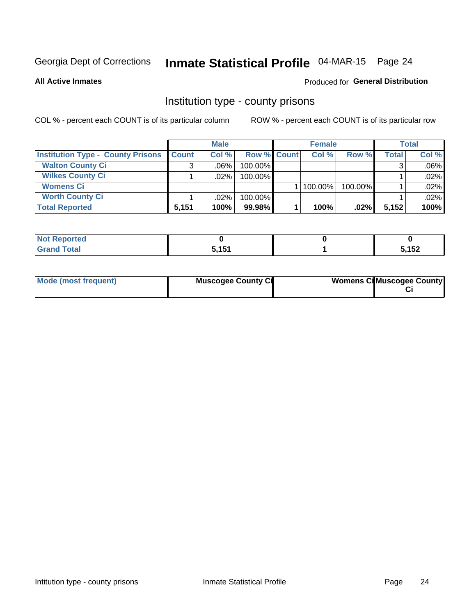# Inmate Statistical Profile 04-MAR-15 Page 24

**All Active Inmates** 

### **Produced for General Distribution**

### Institution type - county prisons

COL % - percent each COUNT is of its particular column

|                                          | <b>Male</b>  |         |                    | <b>Female</b> | Total   |              |         |
|------------------------------------------|--------------|---------|--------------------|---------------|---------|--------------|---------|
| <b>Institution Type - County Prisons</b> | <b>Count</b> | Col%    | <b>Row % Count</b> | Col%          | Row %   | <b>Total</b> | Col %   |
| <b>Walton County Ci</b>                  | 3            | $.06\%$ | 100.00%            |               |         |              | $.06\%$ |
| <b>Wilkes County Ci</b>                  |              | $.02\%$ | 100.00%            |               |         |              | .02%    |
| <b>Womens Ci</b>                         |              |         |                    | $ 100.00\% $  | 100.00% |              | .02%    |
| <b>Worth County Ci</b>                   |              | $.02\%$ | 100.00%            |               |         |              | .02%    |
| <b>Total Reported</b>                    | 5,151        | 100%    | 99.98%             | 100%          | .02%    | 5,152        | 100%    |

| ported<br><b>NOT</b><br>an tar |                    |      |
|--------------------------------|--------------------|------|
| $\sim$ $\sim$ $\sim$<br>_____  | 5151<br><b>. .</b> | ,152 |

| Mode (most frequent) | <b>Muscogee County Ci</b> | <b>Womens Ci</b> Muscogee County |
|----------------------|---------------------------|----------------------------------|
|                      |                           |                                  |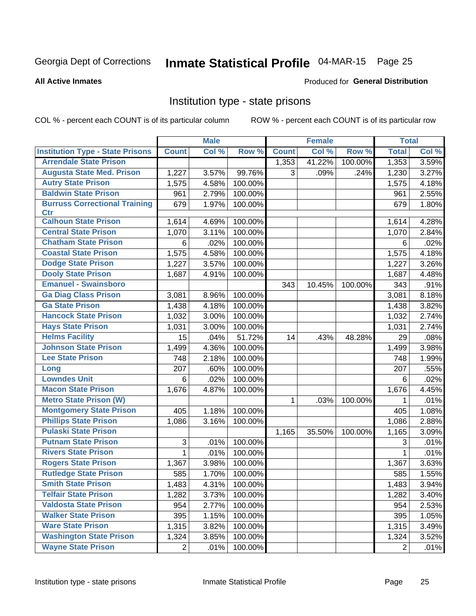# Inmate Statistical Profile 04-MAR-15 Page 25

#### **All Active Inmates**

### **Produced for General Distribution**

### Institution type - state prisons

COL % - percent each COUNT is of its particular column

|                                         |                | <b>Male</b> |         |              | <b>Female</b> |         | <b>Total</b>   |       |
|-----------------------------------------|----------------|-------------|---------|--------------|---------------|---------|----------------|-------|
| <b>Institution Type - State Prisons</b> | <b>Count</b>   | Col %       | Row %   | <b>Count</b> | Col %         | Row %   | <b>Total</b>   | Col % |
| <b>Arrendale State Prison</b>           |                |             |         | 1,353        | 41.22%        | 100.00% | 1,353          | 3.59% |
| <b>Augusta State Med. Prison</b>        | 1,227          | 3.57%       | 99.76%  | 3            | .09%          | .24%    | 1,230          | 3.27% |
| <b>Autry State Prison</b>               | 1,575          | 4.58%       | 100.00% |              |               |         | 1,575          | 4.18% |
| <b>Baldwin State Prison</b>             | 961            | 2.79%       | 100.00% |              |               |         | 961            | 2.55% |
| <b>Burruss Correctional Training</b>    | 679            | 1.97%       | 100.00% |              |               |         | 679            | 1.80% |
| <b>Ctr</b>                              |                |             |         |              |               |         |                |       |
| <b>Calhoun State Prison</b>             | 1,614          | 4.69%       | 100.00% |              |               |         | 1,614          | 4.28% |
| <b>Central State Prison</b>             | 1,070          | 3.11%       | 100.00% |              |               |         | 1,070          | 2.84% |
| <b>Chatham State Prison</b>             | 6              | .02%        | 100.00% |              |               |         | 6              | .02%  |
| <b>Coastal State Prison</b>             | 1,575          | 4.58%       | 100.00% |              |               |         | 1,575          | 4.18% |
| <b>Dodge State Prison</b>               | 1,227          | 3.57%       | 100.00% |              |               |         | 1,227          | 3.26% |
| <b>Dooly State Prison</b>               | 1,687          | 4.91%       | 100.00% |              |               |         | 1,687          | 4.48% |
| <b>Emanuel - Swainsboro</b>             |                |             |         | 343          | 10.45%        | 100.00% | 343            | .91%  |
| <b>Ga Diag Class Prison</b>             | 3,081          | 8.96%       | 100.00% |              |               |         | 3,081          | 8.18% |
| <b>Ga State Prison</b>                  | 1,438          | 4.18%       | 100.00% |              |               |         | 1,438          | 3.82% |
| <b>Hancock State Prison</b>             | 1,032          | 3.00%       | 100.00% |              |               |         | 1,032          | 2.74% |
| <b>Hays State Prison</b>                | 1,031          | 3.00%       | 100.00% |              |               |         | 1,031          | 2.74% |
| <b>Helms Facility</b>                   | 15             | .04%        | 51.72%  | 14           | .43%          | 48.28%  | 29             | .08%  |
| <b>Johnson State Prison</b>             | 1,499          | 4.36%       | 100.00% |              |               |         | 1,499          | 3.98% |
| <b>Lee State Prison</b>                 | 748            | 2.18%       | 100.00% |              |               |         | 748            | 1.99% |
| Long                                    | 207            | .60%        | 100.00% |              |               |         | 207            | .55%  |
| <b>Lowndes Unit</b>                     | 6              | .02%        | 100.00% |              |               |         | 6              | .02%  |
| <b>Macon State Prison</b>               | 1,676          | 4.87%       | 100.00% |              |               |         | 1,676          | 4.45% |
| <b>Metro State Prison (W)</b>           |                |             |         | 1            | .03%          | 100.00% | 1              | .01%  |
| <b>Montgomery State Prison</b>          | 405            | 1.18%       | 100.00% |              |               |         | 405            | 1.08% |
| <b>Phillips State Prison</b>            | 1,086          | 3.16%       | 100.00% |              |               |         | 1,086          | 2.88% |
| <b>Pulaski State Prison</b>             |                |             |         | 1,165        | 35.50%        | 100.00% | 1,165          | 3.09% |
| <b>Putnam State Prison</b>              | 3              | .01%        | 100.00% |              |               |         | 3              | .01%  |
| <b>Rivers State Prison</b>              | 1              | .01%        | 100.00% |              |               |         | 1              | .01%  |
| <b>Rogers State Prison</b>              | 1,367          | 3.98%       | 100.00% |              |               |         | 1,367          | 3.63% |
| <b>Rutledge State Prison</b>            | 585            | 1.70%       | 100.00% |              |               |         | 585            | 1.55% |
| <b>Smith State Prison</b>               | 1,483          | 4.31%       | 100.00% |              |               |         | 1,483          | 3.94% |
| <b>Telfair State Prison</b>             | 1,282          | 3.73%       | 100.00% |              |               |         | 1,282          | 3.40% |
| <b>Valdosta State Prison</b>            | 954            | 2.77%       | 100.00% |              |               |         | 954            | 2.53% |
| <b>Walker State Prison</b>              | 395            | 1.15%       | 100.00% |              |               |         | 395            | 1.05% |
| <b>Ware State Prison</b>                | 1,315          | 3.82%       | 100.00% |              |               |         | 1,315          | 3.49% |
| <b>Washington State Prison</b>          | 1,324          | 3.85%       | 100.00% |              |               |         | 1,324          | 3.52% |
| <b>Wayne State Prison</b>               | $\overline{2}$ | .01%        | 100.00% |              |               |         | $\overline{2}$ | .01%  |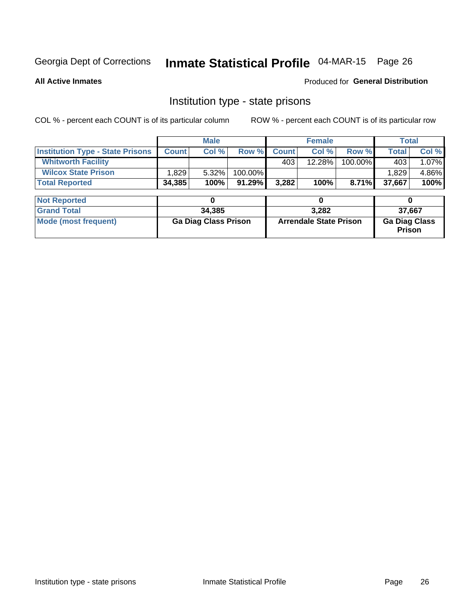# Inmate Statistical Profile 04-MAR-15 Page 26

**All Active Inmates** 

### Produced for General Distribution

## Institution type - state prisons

COL % - percent each COUNT is of its particular column

|                                         | <b>Male</b>                 |        |                               |              | <b>Female</b> | <b>Total</b>                   |              |       |
|-----------------------------------------|-----------------------------|--------|-------------------------------|--------------|---------------|--------------------------------|--------------|-------|
| <b>Institution Type - State Prisons</b> | <b>Count</b>                | Col %  | Row %                         | <b>Count</b> | Col %         | Row %                          | <b>Total</b> | Col % |
| <b>Whitworth Facility</b>               |                             |        |                               | 403          | 12.28%        | 100.00%                        | 403          | 1.07% |
| <b>Wilcox State Prison</b>              | 1,829                       | 5.32%  | 100.00%                       |              |               |                                | 1,829        | 4.86% |
| <b>Total Reported</b>                   | 34,385                      | 100%   | 91.29%                        | 3,282        | 100%          | 8.71%                          | 37,667       | 100%  |
| <b>Not Reported</b>                     |                             | 0      |                               |              | 0             |                                | 0            |       |
| <b>Grand Total</b>                      |                             | 34,385 |                               | 3,282        |               |                                | 37,667       |       |
| <b>Mode (most frequent)</b>             | <b>Ga Diag Class Prison</b> |        | <b>Arrendale State Prison</b> |              |               | <b>Ga Diag Class</b><br>Prison |              |       |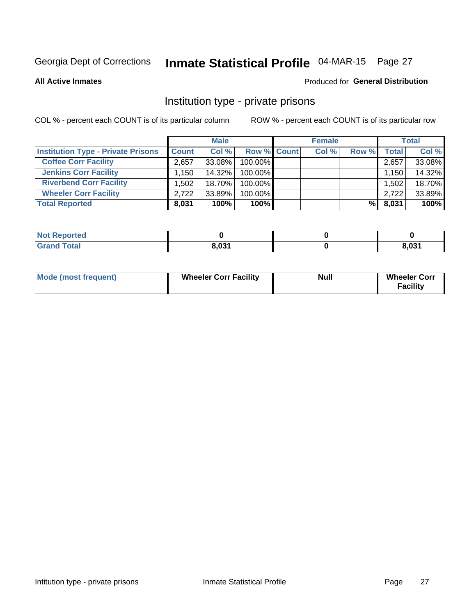# Inmate Statistical Profile 04-MAR-15 Page 27

**All Active Inmates** 

#### Produced for General Distribution

### Institution type - private prisons

COL % - percent each COUNT is of its particular column

|                                           | <b>Male</b>  |        |                    | <b>Female</b> |       |       | <b>Total</b> |        |
|-------------------------------------------|--------------|--------|--------------------|---------------|-------|-------|--------------|--------|
| <b>Institution Type - Private Prisons</b> | <b>Count</b> | Col %  | <b>Row % Count</b> |               | Col % | Row % | Total        | Col %  |
| <b>Coffee Corr Facility</b>               | 2,657        | 33.08% | 100.00%            |               |       |       | 2,657        | 33.08% |
| <b>Jenkins Corr Facility</b>              | $.150+$      | 14.32% | 100.00%            |               |       |       | 1,150        | 14.32% |
| <b>Riverbend Corr Facility</b>            | ا 502. ا     | 18.70% | 100.00%            |               |       |       | 1,502        | 18.70% |
| <b>Wheeler Corr Facility</b>              | 2,722        | 33.89% | 100.00%            |               |       |       | 2,722        | 33.89% |
| <b>Total Reported</b>                     | 8,031        | 100%   | $100\%$            |               |       | %l    | 8,031        | 100%   |

| <b>Not Reported</b> |       |       |
|---------------------|-------|-------|
| <b>Total</b>        | 8,031 | 8,031 |

| <b>Mode (most frequent)</b> | <b>Wheeler Corr Facility</b> | <b>Null</b> | <b>Wheeler Corr</b><br><b>Facility</b> |
|-----------------------------|------------------------------|-------------|----------------------------------------|
|-----------------------------|------------------------------|-------------|----------------------------------------|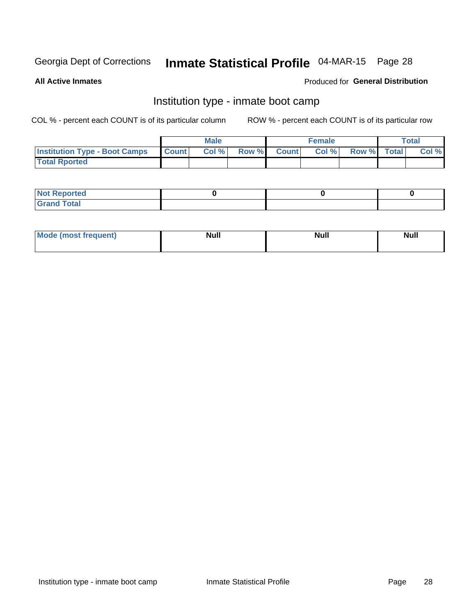# Inmate Statistical Profile 04-MAR-15 Page 28

**All Active Inmates** 

### Produced for General Distribution

## Institution type - inmate boot camp

COL % - percent each COUNT is of its particular column

|                                      |              | <b>Male</b> |               |              | <b>Female</b> |             | <b>Total</b> |
|--------------------------------------|--------------|-------------|---------------|--------------|---------------|-------------|--------------|
| <b>Institution Type - Boot Camps</b> | <b>Count</b> | Col %       | <b>Row %I</b> | <b>Count</b> | Col %         | Row % Total | Col %        |
| <b>Total Rported</b>                 |              |             |               |              |               |             |              |

| <b>Not Reported</b>            |  |  |
|--------------------------------|--|--|
| <b>Total</b><br>C <sub>r</sub> |  |  |

| Mod<br>uamo | Nul.<br>$- - - - - -$ | <b>Null</b> | . .<br>uu.<br>------ |
|-------------|-----------------------|-------------|----------------------|
|             |                       |             |                      |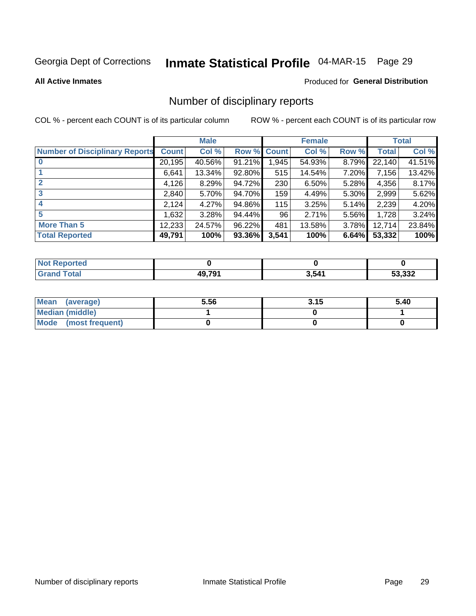# Inmate Statistical Profile 04-MAR-15 Page 29

#### **All Active Inmates**

#### Produced for General Distribution

### Number of disciplinary reports

COL % - percent each COUNT is of its particular column

|                                       |              | <b>Male</b> |        |       | <b>Female</b> |       |              | <b>Total</b> |
|---------------------------------------|--------------|-------------|--------|-------|---------------|-------|--------------|--------------|
| <b>Number of Disciplinary Reports</b> | <b>Count</b> | Col %       | Row %  | Count | Col %         | Row % | <b>Total</b> | Col %        |
| $\bf{0}$                              | 20,195       | 40.56%      | 91.21% | 1,945 | 54.93%        | 8.79% | 22,140       | 41.51%       |
|                                       | 6.641        | 13.34%      | 92.80% | 515   | 14.54%        | 7.20% | 7,156        | 13.42%       |
| $\overline{2}$                        | 4,126        | 8.29%       | 94.72% | 230   | 6.50%         | 5.28% | 4,356        | 8.17%        |
| 3                                     | 2,840        | 5.70%       | 94.70% | 159   | 4.49%         | 5.30% | 2,999        | 5.62%        |
| 4                                     | 2,124        | 4.27%       | 94.86% | 115   | 3.25%         | 5.14% | 2,239        | 4.20%        |
| 5                                     | 1,632        | 3.28%       | 94.44% | 96    | 2.71%         | 5.56% | 1,728        | 3.24%        |
| <b>More Than 5</b>                    | 12,233       | 24.57%      | 96.22% | 481   | 13.58%        | 3.78% | 12,714       | 23.84%       |
| <b>Total Reported</b>                 | 49,791       | 100%        | 93.36% | 3,541 | 100%          | 6.64% | 53,332       | 100%         |

| orted<br>NO. |              |       |        |
|--------------|--------------|-------|--------|
| Total        | <b>49791</b> | 3,541 | 53,332 |

| Mean (average)       | 5.56 | 3.15 | 5.40 |
|----------------------|------|------|------|
| Median (middle)      |      |      |      |
| Mode (most frequent) |      |      |      |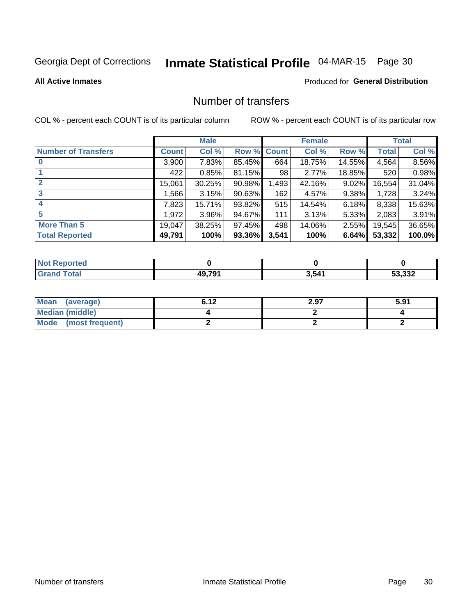# Inmate Statistical Profile 04-MAR-15 Page 30

#### **All Active Inmates**

# **Produced for General Distribution**

# Number of transfers

COL % - percent each COUNT is of its particular column

|                            | <b>Male</b>  |          |        | <b>Female</b> |        |          | <b>Total</b> |        |
|----------------------------|--------------|----------|--------|---------------|--------|----------|--------------|--------|
| <b>Number of Transfers</b> | <b>Count</b> | Col %    | Row %  | <b>Count</b>  | Col %  | Row %    | <b>Total</b> | Col %  |
|                            | 3,900        | 7.83%    | 85.45% | 664           | 18.75% | 14.55%   | 4,564        | 8.56%  |
|                            | 422          | 0.85%    | 81.15% | 98            | 2.77%  | 18.85%   | 520          | 0.98%  |
| $\mathbf{2}$               | 15,061       | 30.25%   | 90.98% | 1,493         | 42.16% | $9.02\%$ | 16,554       | 31.04% |
| 3                          | 1,566        | 3.15%    | 90.63% | 162           | 4.57%  | $9.38\%$ | 1,728        | 3.24%  |
| 4                          | 7,823        | 15.71%   | 93.82% | 515           | 14.54% | 6.18%    | 8,338        | 15.63% |
| 5                          | 1,972        | $3.96\%$ | 94.67% | 111           | 3.13%  | $5.33\%$ | 2,083        | 3.91%  |
| <b>More Than 5</b>         | 19,047       | 38.25%   | 97.45% | 498           | 14.06% | $2.55\%$ | 19,545       | 36.65% |
| <b>Total Reported</b>      | 49,791       | 100%     | 93.36% | 3,541         | 100%   | 6.64%    | 53,332       | 100.0% |

| <b>orted</b><br>NOT |        |       |                  |
|---------------------|--------|-------|------------------|
| <b>Total</b>        | 49.79' | 3,541 | າາາ<br>-^<br>∡دد |

| Mean (average)       | 6.12 | 2.97 | 5.91 |
|----------------------|------|------|------|
| Median (middle)      |      |      |      |
| Mode (most frequent) |      |      |      |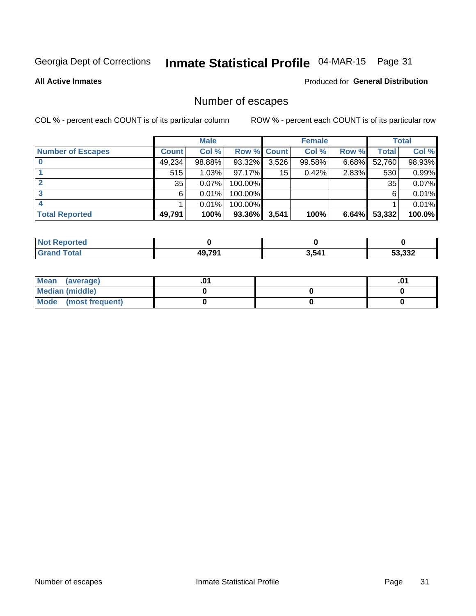# Inmate Statistical Profile 04-MAR-15 Page 31

**All Active Inmates** 

### **Produced for General Distribution**

# Number of escapes

COL % - percent each COUNT is of its particular column

|                          | <b>Male</b>  |        |             | <b>Female</b> |        |       | <b>Total</b> |        |
|--------------------------|--------------|--------|-------------|---------------|--------|-------|--------------|--------|
| <b>Number of Escapes</b> | <b>Count</b> | Col %  | Row % Count |               | Col %  | Row % | Total        | Col %  |
|                          | 49,234       | 98.88% | 93.32%      | 3,526         | 99.58% | 6.68% | 52,760       | 98.93% |
|                          | 515          | 1.03%  | $97.17\%$   | 15            | 0.42%  | 2.83% | 530          | 0.99%  |
|                          | 35           | 0.07%  | 100.00%     |               |        |       | 35           | 0.07%  |
|                          | 6            | 0.01%  | 100.00%     |               |        |       | 6            | 0.01%  |
|                          |              | 0.01%  | 100.00%     |               |        |       |              | 0.01%  |
| <b>Total Reported</b>    | 49,791       | 100%   | 93.36%      | 3,541         | 100%   | 6.64% | 53,332       | 100.0% |

| TA 0 |        |       |                |
|------|--------|-------|----------------|
|      | 10 701 | 3,541 | ED DOO<br>332. |

| Mean (average)       |  | .0 <sup>1</sup> |
|----------------------|--|-----------------|
| Median (middle)      |  |                 |
| Mode (most frequent) |  |                 |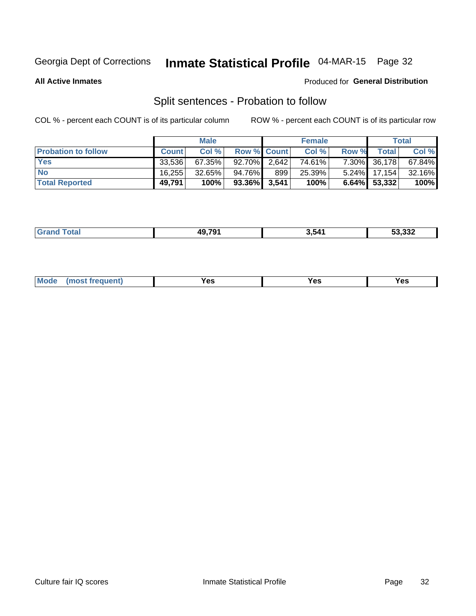# Inmate Statistical Profile 04-MAR-15 Page 32

**All Active Inmates** 

#### Produced for General Distribution

# Split sentences - Probation to follow

COL % - percent each COUNT is of its particular column

|                            | <b>Male</b>  |           |                    | <b>Female</b> |        |              | <b>Total</b>    |           |
|----------------------------|--------------|-----------|--------------------|---------------|--------|--------------|-----------------|-----------|
| <b>Probation to follow</b> | <b>Count</b> | Col%      | <b>Row % Count</b> |               | Col %  | <b>Row %</b> | <b>Total</b> i  | Col %     |
| <b>Yes</b>                 | 33.536       | 67.35%    | $92.70\%$ 2.642    |               | 74.61% | $7.30\%$     | 36,178          | $67.84\%$ |
| <b>No</b>                  | 16,255       | $32.65\%$ | 94.76%             | 899           | 25.39% | $5.24\%$     | 17.154          | 32.16%    |
| <b>Total Reported</b>      | 49.791       | 100%      | $93.36\%$ 3,541    |               | 100%   |              | $6.64\%$ 53,332 | 100%      |

| _______ | 10 701 | .<br>. | $F^{\alpha}$ and<br>53,332 |
|---------|--------|--------|----------------------------|
|         |        |        |                            |

| M<br>reauent)<br>/٥<br>$\sim$<br>v.,<br>.<br>w<br>$\cdot$ - $\cdot$ |
|---------------------------------------------------------------------|
|---------------------------------------------------------------------|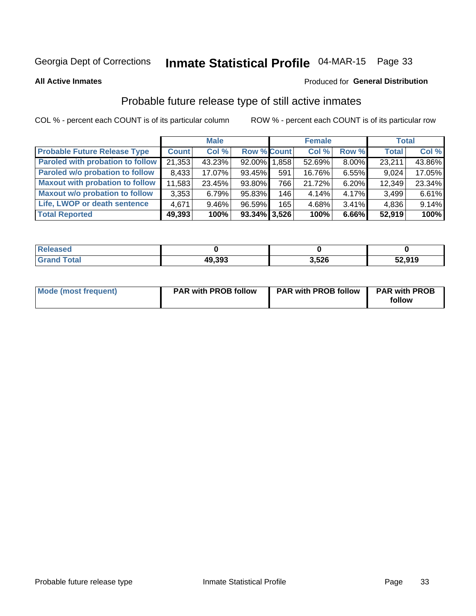# Inmate Statistical Profile 04-MAR-15 Page 33

**All Active Inmates** 

#### Produced for General Distribution

# Probable future release type of still active inmates

COL % - percent each COUNT is of its particular column

|                                         | <b>Male</b>  |          |                    | <b>Female</b> |        |          | <b>Total</b> |        |
|-----------------------------------------|--------------|----------|--------------------|---------------|--------|----------|--------------|--------|
| <b>Probable Future Release Type</b>     | <b>Count</b> | Col %    | <b>Row % Count</b> |               | Col %  | Row %    | <b>Total</b> | Col %  |
| <b>Paroled with probation to follow</b> | 21,353       | 43.23%   | 92.00% 1.858       |               | 52.69% | 8.00%    | 23,211       | 43.86% |
| Paroled w/o probation to follow         | 8,433        | 17.07%   | 93.45%             | 591           | 16.76% | 6.55%    | 9,024        | 17.05% |
| <b>Maxout with probation to follow</b>  | 11,583       | 23.45%   | 93.80%             | 766 l         | 21.72% | 6.20%    | 12,349       | 23.34% |
| <b>Maxout w/o probation to follow</b>   | 3,353        | 6.79%    | 95.83%             | 146           | 4.14%  | $4.17\%$ | 3,499        | 6.61%  |
| Life, LWOP or death sentence            | 4,671        | $9.46\%$ | 96.59%             | 165           | 4.68%  | $3.41\%$ | 4,836        | 9.14%  |
| <b>Total Reported</b>                   | 49,393       | 100%     | $93.34\%$ 3,526    |               | 100%   | 6.66%    | 52,919       | 100%   |

| eleased      |        |       |        |
|--------------|--------|-------|--------|
| <b>cotal</b> | 49,393 | 3,526 | 52,919 |

| <b>Mode (most frequent)</b> | <b>PAR with PROB follow</b> | <b>PAR with PROB follow</b> | <b>PAR with PROB</b> |
|-----------------------------|-----------------------------|-----------------------------|----------------------|
|                             |                             |                             | follow               |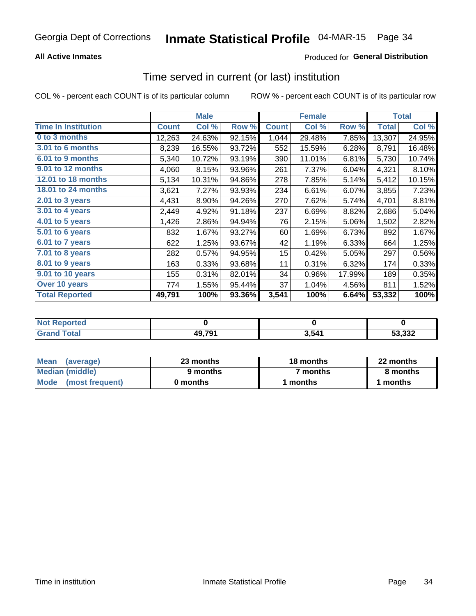### **All Active Inmates**

### Produced for General Distribution

### Time served in current (or last) institution

COL % - percent each COUNT is of its particular column

|                            |              | <b>Male</b> |        |              | <b>Female</b> |        |              | <b>Total</b> |
|----------------------------|--------------|-------------|--------|--------------|---------------|--------|--------------|--------------|
| <b>Time In Institution</b> | <b>Count</b> | Col %       | Row %  | <b>Count</b> | Col %         | Row %  | <b>Total</b> | Col %        |
| 0 to 3 months              | 12,263       | 24.63%      | 92.15% | 1,044        | 29.48%        | 7.85%  | 13,307       | 24.95%       |
| 3.01 to 6 months           | 8,239        | 16.55%      | 93.72% | 552          | 15.59%        | 6.28%  | 8,791        | 16.48%       |
| 6.01 to 9 months           | 5,340        | 10.72%      | 93.19% | 390          | 11.01%        | 6.81%  | 5,730        | 10.74%       |
| 9.01 to 12 months          | 4,060        | 8.15%       | 93.96% | 261          | 7.37%         | 6.04%  | 4,321        | 8.10%        |
| 12.01 to 18 months         | 5,134        | 10.31%      | 94.86% | 278          | 7.85%         | 5.14%  | 5,412        | 10.15%       |
| <b>18.01 to 24 months</b>  | 3,621        | 7.27%       | 93.93% | 234          | 6.61%         | 6.07%  | 3,855        | 7.23%        |
| 2.01 to 3 years            | 4,431        | 8.90%       | 94.26% | 270          | 7.62%         | 5.74%  | 4,701        | 8.81%        |
| $3.01$ to 4 years          | 2,449        | 4.92%       | 91.18% | 237          | 6.69%         | 8.82%  | 2,686        | 5.04%        |
| 4.01 to 5 years            | 1,426        | 2.86%       | 94.94% | 76           | 2.15%         | 5.06%  | 1,502        | 2.82%        |
| 5.01 to 6 years            | 832          | 1.67%       | 93.27% | 60           | 1.69%         | 6.73%  | 892          | 1.67%        |
| 6.01 to 7 years            | 622          | 1.25%       | 93.67% | 42           | 1.19%         | 6.33%  | 664          | 1.25%        |
| 7.01 to 8 years            | 282          | 0.57%       | 94.95% | 15           | 0.42%         | 5.05%  | 297          | 0.56%        |
| $8.01$ to 9 years          | 163          | 0.33%       | 93.68% | 11           | 0.31%         | 6.32%  | 174          | 0.33%        |
| 9.01 to 10 years           | 155          | 0.31%       | 82.01% | 34           | 0.96%         | 17.99% | 189          | 0.35%        |
| Over 10 years              | 774          | 1.55%       | 95.44% | 37           | 1.04%         | 4.56%  | 811          | 1.52%        |
| <b>Total Reported</b>      | 49,791       | 100%        | 93.36% | 3,541        | 100%          | 6.64%  | 53,332       | 100%         |

| onred |        |     |               |
|-------|--------|-----|---------------|
| nta.  | 49,791 | 541 | E2.222<br>ാാച |

| <b>Mean</b><br>(average) | 23 months | 18 months | 22 months |  |
|--------------------------|-----------|-----------|-----------|--|
| Median (middle)          | 9 months  | 7 months  | 8 months  |  |
| Mode<br>(most frequent)  | 0 months  | months    | ∖ months  |  |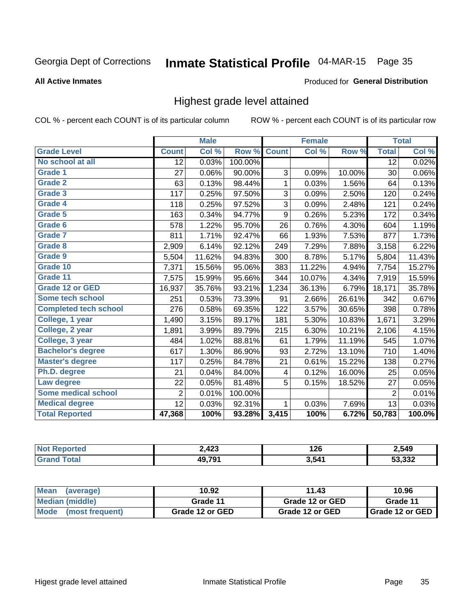# Inmate Statistical Profile 04-MAR-15 Page 35

#### **All Active Inmates**

#### Produced for General Distribution

### Highest grade level attained

COL % - percent each COUNT is of its particular column

|                              |                 | <b>Male</b> |         |                  | <b>Female</b> |        |                 | <b>Total</b> |
|------------------------------|-----------------|-------------|---------|------------------|---------------|--------|-----------------|--------------|
| <b>Grade Level</b>           | <b>Count</b>    | Col %       | Row %   | <b>Count</b>     | Col %         | Row %  | <b>Total</b>    | Col %        |
| No school at all             | $\overline{12}$ | 0.03%       | 100.00% |                  |               |        | $\overline{12}$ | 0.02%        |
| <b>Grade 1</b>               | 27              | 0.06%       | 90.00%  | 3                | 0.09%         | 10.00% | 30              | 0.06%        |
| <b>Grade 2</b>               | 63              | 0.13%       | 98.44%  | 1                | 0.03%         | 1.56%  | 64              | 0.13%        |
| <b>Grade 3</b>               | 117             | 0.25%       | 97.50%  | 3                | 0.09%         | 2.50%  | 120             | 0.24%        |
| Grade 4                      | 118             | 0.25%       | 97.52%  | $\overline{3}$   | 0.09%         | 2.48%  | 121             | 0.24%        |
| Grade 5                      | 163             | 0.34%       | 94.77%  | $\boldsymbol{9}$ | 0.26%         | 5.23%  | 172             | 0.34%        |
| Grade 6                      | 578             | 1.22%       | 95.70%  | 26               | 0.76%         | 4.30%  | 604             | 1.19%        |
| Grade 7                      | 811             | 1.71%       | 92.47%  | 66               | 1.93%         | 7.53%  | 877             | 1.73%        |
| Grade 8                      | 2,909           | 6.14%       | 92.12%  | 249              | 7.29%         | 7.88%  | 3,158           | 6.22%        |
| Grade 9                      | 5,504           | 11.62%      | 94.83%  | 300              | 8.78%         | 5.17%  | 5,804           | 11.43%       |
| Grade 10                     | 7,371           | 15.56%      | 95.06%  | 383              | 11.22%        | 4.94%  | 7,754           | 15.27%       |
| Grade 11                     | 7,575           | 15.99%      | 95.66%  | 344              | 10.07%        | 4.34%  | 7,919           | 15.59%       |
| <b>Grade 12 or GED</b>       | 16,937          | 35.76%      | 93.21%  | 1,234            | 36.13%        | 6.79%  | 18,171          | 35.78%       |
| Some tech school             | 251             | 0.53%       | 73.39%  | 91               | 2.66%         | 26.61% | 342             | 0.67%        |
| <b>Completed tech school</b> | 276             | 0.58%       | 69.35%  | 122              | 3.57%         | 30.65% | 398             | 0.78%        |
| College, 1 year              | 1,490           | 3.15%       | 89.17%  | 181              | 5.30%         | 10.83% | 1,671           | 3.29%        |
| College, 2 year              | 1,891           | 3.99%       | 89.79%  | 215              | 6.30%         | 10.21% | 2,106           | 4.15%        |
| College, 3 year              | 484             | 1.02%       | 88.81%  | 61               | 1.79%         | 11.19% | 545             | 1.07%        |
| <b>Bachelor's degree</b>     | 617             | 1.30%       | 86.90%  | 93               | 2.72%         | 13.10% | 710             | 1.40%        |
| <b>Master's degree</b>       | 117             | 0.25%       | 84.78%  | 21               | 0.61%         | 15.22% | 138             | 0.27%        |
| Ph.D. degree                 | 21              | 0.04%       | 84.00%  | 4                | 0.12%         | 16.00% | 25              | 0.05%        |
| Law degree                   | 22              | 0.05%       | 81.48%  | 5                | 0.15%         | 18.52% | 27              | 0.05%        |
| <b>Some medical school</b>   | $\overline{2}$  | 0.01%       | 100.00% |                  |               |        | $\overline{2}$  | 0.01%        |
| <b>Medical degree</b>        | 12              | 0.03%       | 92.31%  | 1                | 0.03%         | 7.69%  | 13              | 0.03%        |
| <b>Total Reported</b>        | 47,368          | 100%        | 93.28%  | 3,415            | 100%          | 6.72%  | 50,783          | 100.0%       |

| 2,423         | 1 2 6<br>140 | 2.549  |
|---------------|--------------|--------|
| <b>10 701</b> | 3.541        | E2.222 |

| <b>Mean</b><br>(average)       | 10.92           | 11.43           | 10.96           |
|--------------------------------|-----------------|-----------------|-----------------|
| Median (middle)                | Grade 11        | Grade 12 or GED | Grade 11        |
| <b>Mode</b><br>(most frequent) | Grade 12 or GED | Grade 12 or GED | Grade 12 or GED |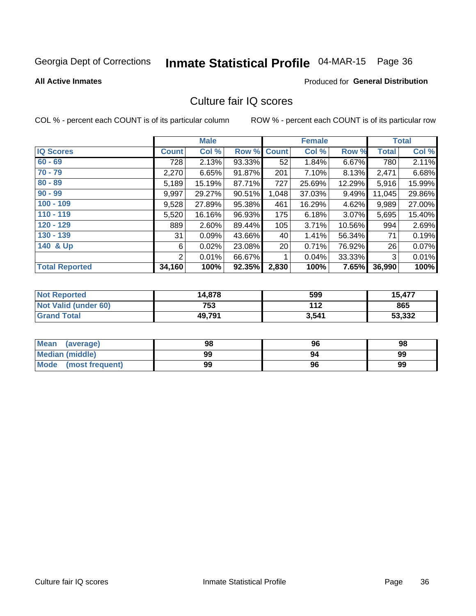# Inmate Statistical Profile 04-MAR-15 Page 36

#### **All Active Inmates**

### Produced for General Distribution

# Culture fair IQ scores

COL % - percent each COUNT is of its particular column

|                       |              | <b>Male</b> |        |              | <b>Female</b> |          |        | <b>Total</b> |
|-----------------------|--------------|-------------|--------|--------------|---------------|----------|--------|--------------|
| <b>IQ Scores</b>      | <b>Count</b> | Col %       | Row %  | <b>Count</b> | Col %         | Row %    | Total  | Col %        |
| $60 - 69$             | 728          | 2.13%       | 93.33% | 52           | 1.84%         | 6.67%    | 780    | 2.11%        |
| $70 - 79$             | 2,270        | 6.65%       | 91.87% | 201          | 7.10%         | 8.13%    | 2,471  | 6.68%        |
| $80 - 89$             | 5,189        | 15.19%      | 87.71% | 727          | 25.69%        | 12.29%   | 5,916  | 15.99%       |
| $90 - 99$             | 9,997        | 29.27%      | 90.51% | 1,048        | 37.03%        | 9.49%    | 11,045 | 29.86%       |
| $100 - 109$           | 9,528        | 27.89%      | 95.38% | 461          | 16.29%        | 4.62%    | 9,989  | 27.00%       |
| $110 - 119$           | 5,520        | 16.16%      | 96.93% | 175          | 6.18%         | $3.07\%$ | 5,695  | 15.40%       |
| 120 - 129             | 889          | 2.60%       | 89.44% | 105          | 3.71%         | 10.56%   | 994    | 2.69%        |
| 130 - 139             | 31           | 0.09%       | 43.66% | 40           | 1.41%         | 56.34%   | 71     | 0.19%        |
| 140 & Up              | 6            | 0.02%       | 23.08% | 20           | 0.71%         | 76.92%   | 26     | 0.07%        |
|                       | 2            | 0.01%       | 66.67% | 1            | 0.04%         | 33.33%   | 3      | 0.01%        |
| <b>Total Reported</b> | 34,160       | 100%        | 92.35% | 2,830        | 100%          | 7.65%    | 36,990 | 100%         |

| <b>Not Reported</b>  | 14,878 | 599   | 15,477 |
|----------------------|--------|-------|--------|
| Not Valid (under 60) | 753    | 112   | 865    |
| <b>Grand Total</b>   | 49,791 | 3,541 | 53,332 |

| Mean<br>(average)      | 98 | 96 | 98 |
|------------------------|----|----|----|
| <b>Median (middle)</b> | 99 | 94 | 99 |
| Mode (most frequent)   | 99 | 96 | 99 |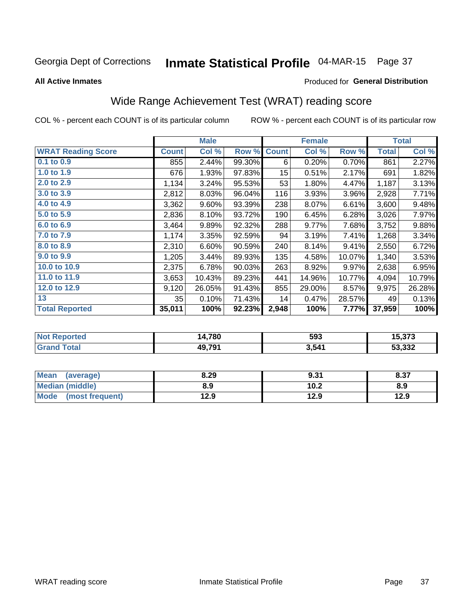# Inmate Statistical Profile 04-MAR-15 Page 37

**All Active Inmates** 

#### Produced for General Distribution

## Wide Range Achievement Test (WRAT) reading score

COL % - percent each COUNT is of its particular column

|                           |              | <b>Male</b> |        |                 | <b>Female</b> |        |              | <b>Total</b> |
|---------------------------|--------------|-------------|--------|-----------------|---------------|--------|--------------|--------------|
| <b>WRAT Reading Score</b> | <b>Count</b> | Col %       | Row %  | <b>Count</b>    | Col %         | Row %  | <b>Total</b> | Col %        |
| $0.1$ to $0.9$            | 855          | 2.44%       | 99.30% | 6               | 0.20%         | 0.70%  | 861          | 2.27%        |
| 1.0 to 1.9                | 676          | 1.93%       | 97.83% | 15 <sub>1</sub> | 0.51%         | 2.17%  | 691          | 1.82%        |
| 2.0 to 2.9                | 1,134        | 3.24%       | 95.53% | 53              | 1.80%         | 4.47%  | 1,187        | 3.13%        |
| 3.0 to 3.9                | 2,812        | 8.03%       | 96.04% | 116             | 3.93%         | 3.96%  | 2,928        | 7.71%        |
| 4.0 to 4.9                | 3,362        | 9.60%       | 93.39% | 238             | 8.07%         | 6.61%  | 3,600        | 9.48%        |
| 5.0 to 5.9                | 2,836        | 8.10%       | 93.72% | 190             | 6.45%         | 6.28%  | 3,026        | 7.97%        |
| 6.0 to 6.9                | 3,464        | 9.89%       | 92.32% | 288             | 9.77%         | 7.68%  | 3,752        | 9.88%        |
| 7.0 to 7.9                | 1,174        | 3.35%       | 92.59% | 94              | 3.19%         | 7.41%  | 1,268        | 3.34%        |
| 8.0 to 8.9                | 2,310        | 6.60%       | 90.59% | 240             | 8.14%         | 9.41%  | 2,550        | 6.72%        |
| 9.0 to 9.9                | 1,205        | 3.44%       | 89.93% | 135             | 4.58%         | 10.07% | 1,340        | 3.53%        |
| 10.0 to 10.9              | 2,375        | 6.78%       | 90.03% | 263             | 8.92%         | 9.97%  | 2,638        | 6.95%        |
| 11.0 to 11.9              | 3,653        | 10.43%      | 89.23% | 441             | 14.96%        | 10.77% | 4,094        | 10.79%       |
| 12.0 to 12.9              | 9,120        | 26.05%      | 91.43% | 855             | 29.00%        | 8.57%  | 9,975        | 26.28%       |
| 13                        | 35           | 0.10%       | 71.43% | 14              | 0.47%         | 28.57% | 49           | 0.13%        |
| <b>Total Reported</b>     | 35,011       | 100%        | 92.23% | 2,948           | 100%          | 7.77%  | 37,959       | 100%         |

| <b>Not</b><br><b>Reported</b> | 14,780 | 593   | <b>F 070</b><br>I J.J / J |
|-------------------------------|--------|-------|---------------------------|
| <b>Total</b>                  | 49,791 | 3,541 | 53,332                    |

| <b>Mean</b><br>(average) | 8.29 | 9.31 | 8.37 |
|--------------------------|------|------|------|
| <b>Median (middle)</b>   | 8.9  | 10.2 | 8.9  |
| Mode<br>(most frequent)  | 12.9 | 12.9 | 12.9 |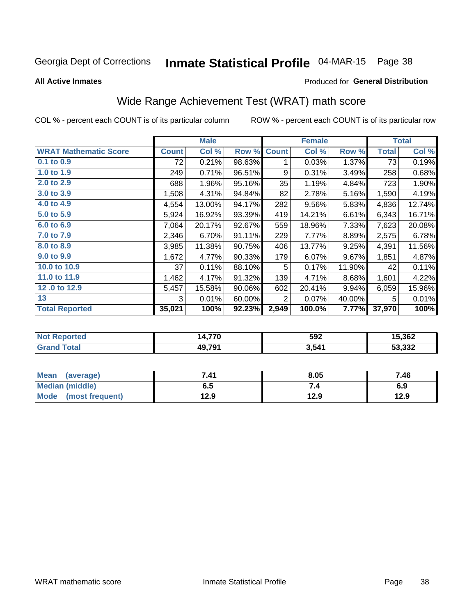# Inmate Statistical Profile 04-MAR-15 Page 38

**All Active Inmates** 

#### Produced for General Distribution

## Wide Range Achievement Test (WRAT) math score

COL % - percent each COUNT is of its particular column

|                              |              | <b>Male</b> |        |                | <b>Female</b>             |        |              | <b>Total</b> |
|------------------------------|--------------|-------------|--------|----------------|---------------------------|--------|--------------|--------------|
| <b>WRAT Mathematic Score</b> | <b>Count</b> | Col %       | Row %  | <b>Count</b>   | $\overline{\text{Col}}$ % | Row %  | <b>Total</b> | Col %        |
| $0.1$ to $0.9$               | 72           | 0.21%       | 98.63% | 1              | 0.03%                     | 1.37%  | 73           | 0.19%        |
| 1.0 to 1.9                   | 249          | 0.71%       | 96.51% | 9              | 0.31%                     | 3.49%  | 258          | 0.68%        |
| 2.0 to 2.9                   | 688          | 1.96%       | 95.16% | 35             | 1.19%                     | 4.84%  | 723          | 1.90%        |
| 3.0 to 3.9                   | 1,508        | 4.31%       | 94.84% | 82             | 2.78%                     | 5.16%  | 1,590        | 4.19%        |
| 4.0 to 4.9                   | 4,554        | 13.00%      | 94.17% | 282            | 9.56%                     | 5.83%  | 4,836        | 12.74%       |
| 5.0 to 5.9                   | 5,924        | 16.92%      | 93.39% | 419            | 14.21%                    | 6.61%  | 6,343        | 16.71%       |
| 6.0 to 6.9                   | 7,064        | 20.17%      | 92.67% | 559            | 18.96%                    | 7.33%  | 7,623        | 20.08%       |
| 7.0 to 7.9                   | 2,346        | 6.70%       | 91.11% | 229            | 7.77%                     | 8.89%  | 2,575        | 6.78%        |
| 8.0 to 8.9                   | 3,985        | 11.38%      | 90.75% | 406            | 13.77%                    | 9.25%  | 4,391        | 11.56%       |
| 9.0 to 9.9                   | 1,672        | 4.77%       | 90.33% | 179            | 6.07%                     | 9.67%  | 1,851        | 4.87%        |
| 10.0 to 10.9                 | 37           | 0.11%       | 88.10% | 5              | 0.17%                     | 11.90% | 42           | 0.11%        |
| 11.0 to 11.9                 | 1,462        | 4.17%       | 91.32% | 139            | 4.71%                     | 8.68%  | 1,601        | 4.22%        |
| 12.0 to 12.9                 | 5,457        | 15.58%      | 90.06% | 602            | 20.41%                    | 9.94%  | 6,059        | 15.96%       |
| 13                           | 3            | 0.01%       | 60.00% | $\overline{2}$ | 0.07%                     | 40.00% | 5            | 0.01%        |
| <b>Total Reported</b>        | 35,021       | 100%        | 92.23% | 2,949          | 100.0%                    | 7.77%  | 37,970       | 100%         |
|                              |              |             |        |                |                           |        |              |              |

| <b>Not Reported</b> | 14,770 | 592   | 15,362 |
|---------------------|--------|-------|--------|
| <b>Grand Total</b>  | 49,791 | 3,541 | 53,332 |

| Mean (average)         | 7.41 | 8.05 | 7.46 |
|------------------------|------|------|------|
| <b>Median (middle)</b> | כ.ס  | 74   | 6.9  |
| Mode (most frequent)   | 12.9 | 12.9 | 12.9 |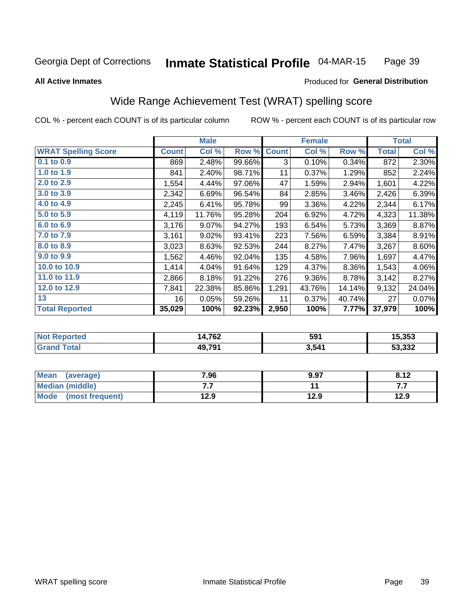#### **Inmate Statistical Profile 04-MAR-15** Page 39

#### **All Active Inmates**

#### Produced for General Distribution

### Wide Range Achievement Test (WRAT) spelling score

COL % - percent each COUNT is of its particular column

|                            |              | <b>Male</b> |        |              | <b>Female</b> |        |              | <b>Total</b> |
|----------------------------|--------------|-------------|--------|--------------|---------------|--------|--------------|--------------|
| <b>WRAT Spelling Score</b> | <b>Count</b> | Col %       | Row %  | <b>Count</b> | Col %         | Row %  | <b>Total</b> | Col %        |
| $0.1$ to $0.9$             | 869          | 2.48%       | 99.66% | 3            | 0.10%         | 0.34%  | 872          | 2.30%        |
| 1.0 to 1.9                 | 841          | 2.40%       | 98.71% | 11           | 0.37%         | 1.29%  | 852          | 2.24%        |
| 2.0 to 2.9                 | 1,554        | 4.44%       | 97.06% | 47           | 1.59%         | 2.94%  | 1,601        | 4.22%        |
| 3.0 to 3.9                 | 2,342        | 6.69%       | 96.54% | 84           | 2.85%         | 3.46%  | 2,426        | 6.39%        |
| 4.0 to 4.9                 | 2,245        | 6.41%       | 95.78% | 99           | 3.36%         | 4.22%  | 2,344        | 6.17%        |
| 5.0 to 5.9                 | 4,119        | 11.76%      | 95.28% | 204          | 6.92%         | 4.72%  | 4,323        | 11.38%       |
| 6.0 to 6.9                 | 3,176        | $9.07\%$    | 94.27% | 193          | 6.54%         | 5.73%  | 3,369        | 8.87%        |
| 7.0 to 7.9                 | 3,161        | 9.02%       | 93.41% | 223          | 7.56%         | 6.59%  | 3,384        | 8.91%        |
| 8.0 to 8.9                 | 3,023        | 8.63%       | 92.53% | 244          | 8.27%         | 7.47%  | 3,267        | 8.60%        |
| 9.0 to 9.9                 | 1,562        | 4.46%       | 92.04% | 135          | 4.58%         | 7.96%  | 1,697        | 4.47%        |
| 10.0 to 10.9               | 1,414        | 4.04%       | 91.64% | 129          | 4.37%         | 8.36%  | 1,543        | 4.06%        |
| 11.0 to 11.9               | 2,866        | 8.18%       | 91.22% | 276          | 9.36%         | 8.78%  | 3,142        | 8.27%        |
| 12.0 to 12.9               | 7,841        | 22.38%      | 85.86% | 1,291        | 43.76%        | 14.14% | 9,132        | 24.04%       |
| 13                         | 16           | 0.05%       | 59.26% | 11           | 0.37%         | 40.74% | 27           | 0.07%        |
| <b>Total Reported</b>      | 35,029       | 100%        | 92.23% | 2,950        | 100%          | 7.77%  | 37,979       | 100%         |

| Reported<br>∵N∩f | 14,762       | 591   | 5.353  |
|------------------|--------------|-------|--------|
| <b>otal</b>      | <b>49791</b> | 3,541 | 53,332 |

| Mean<br>(average)      | 7.96 | 9.97 | 8.12 |
|------------------------|------|------|------|
| <b>Median (middle)</b> | .    |      | .    |
| Mode (most frequent)   | 12.9 | 12.9 | 12.9 |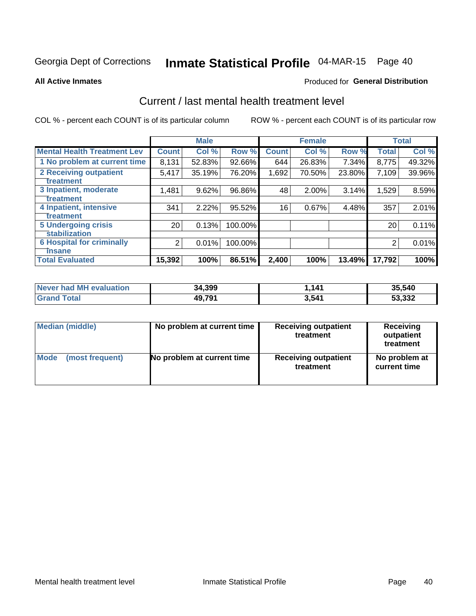# Inmate Statistical Profile 04-MAR-15 Page 40

**All Active Inmates** 

#### Produced for General Distribution

### Current / last mental health treatment level

COL % - percent each COUNT is of its particular column

|                                    |                 | <b>Male</b> |         |              | <b>Female</b> |        |              | <b>Total</b> |
|------------------------------------|-----------------|-------------|---------|--------------|---------------|--------|--------------|--------------|
| <b>Mental Health Treatment Lev</b> | <b>Count</b>    | Col%        | Row %   | <b>Count</b> | Col %         | Row %  | <b>Total</b> | Col %        |
| 1 No problem at current time       | 8,131           | 52.83%      | 92.66%  | 644          | 26.83%        | 7.34%  | 8,775        | 49.32%       |
| 2 Receiving outpatient             | 5,417           | 35.19%      | 76.20%  | 1,692        | 70.50%        | 23.80% | 7,109        | 39.96%       |
| <b>Treatment</b>                   |                 |             |         |              |               |        |              |              |
| 3 Inpatient, moderate              | 1,481           | 9.62%       | 96.86%  | 48           | $2.00\%$      | 3.14%  | 1,529        | 8.59%        |
| Treatment                          |                 |             |         |              |               |        |              |              |
| 4 Inpatient, intensive             | 341             | 2.22%       | 95.52%  | 16           | 0.67%         | 4.48%  | 357          | 2.01%        |
| <b>Treatment</b>                   |                 |             |         |              |               |        |              |              |
| 5 Undergoing crisis                | 20 <sub>1</sub> | 0.13%       | 100.00% |              |               |        | 20           | 0.11%        |
| <b>stabilization</b>               |                 |             |         |              |               |        |              |              |
| <b>6 Hospital for criminally</b>   | 2               | 0.01%       | 100.00% |              |               |        | 2            | 0.01%        |
| <b>Tinsane</b>                     |                 |             |         |              |               |        |              |              |
| <b>Total Evaluated</b>             | 15,392          | 100%        | 86.51%  | 2,400        | 100%          | 13.49% | 17,792       | 100%         |

| Never had MH evaluation | 34,399 | 1.141 | 35,540 |
|-------------------------|--------|-------|--------|
| $\tau$ otal             | 49,791 | 3,541 | 53,332 |

| Median (middle) | No problem at current time | <b>Receiving outpatient</b><br>treatment | <b>Receiving</b><br>outpatient<br>treatment |  |
|-----------------|----------------------------|------------------------------------------|---------------------------------------------|--|
| <b>Mode</b>     | No problem at current time | <b>Receiving outpatient</b>              | No problem at                               |  |
| (most frequent) |                            | treatment                                | current time                                |  |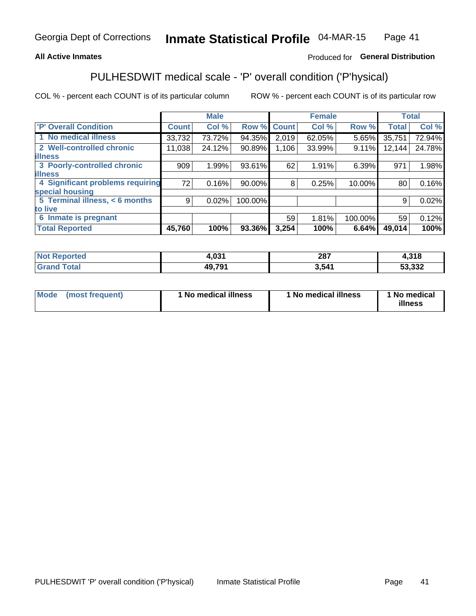### **All Active Inmates**

### Produced for General Distribution

## PULHESDWIT medical scale - 'P' overall condition ('P'hysical)

COL % - percent each COUNT is of its particular column

|                                  |              | <b>Male</b> |         |              | <b>Female</b> |         |              | <b>Total</b> |
|----------------------------------|--------------|-------------|---------|--------------|---------------|---------|--------------|--------------|
| 'P' Overall Condition            | <b>Count</b> | Col %       | Row %   | <b>Count</b> | Col %         | Row %   | <b>Total</b> | Col %        |
| 1 No medical illness             | 33,732       | 73.72%      | 94.35%  | 2,019        | 62.05%        | 5.65%   | 35,751       | 72.94%       |
| 2 Well-controlled chronic        | 11,038       | 24.12%      | 90.89%  | 1,106        | 33.99%        | 9.11%   | 12,144       | 24.78%       |
| <b>illness</b>                   |              |             |         |              |               |         |              |              |
| 3 Poorly-controlled chronic      | 909          | 1.99%       | 93.61%  | 62           | 1.91%         | 6.39%   | 971          | 1.98%        |
| <b>illness</b>                   |              |             |         |              |               |         |              |              |
| 4 Significant problems requiring | 72           | 0.16%       | 90.00%  | 8            | 0.25%         | 10.00%  | 80           | 0.16%        |
| special housing                  |              |             |         |              |               |         |              |              |
| 5 Terminal illness, < 6 months   | 9            | 0.02%       | 100.00% |              |               |         | 9            | 0.02%        |
| to live                          |              |             |         |              |               |         |              |              |
| 6 Inmate is pregnant             |              |             |         | 59           | 1.81%         | 100.00% | 59           | 0.12%        |
| <b>Total Reported</b>            | 45,760       | 100%        | 93.36%  | 3,254        | 100%          | 6.64%   | 49,014       | 100%         |

| тео | . ሰ?ረ  | 207  | <b>240</b>      |
|-----|--------|------|-----------------|
|     | ט,י    | 20 I | סו כו           |
|     | 49.79' | 541  | רכפ כא<br>20.د. |

| Mode | (most frequent) | 1 No medical illness | 1 No medical illness | 1 No medical<br>illness |
|------|-----------------|----------------------|----------------------|-------------------------|
|------|-----------------|----------------------|----------------------|-------------------------|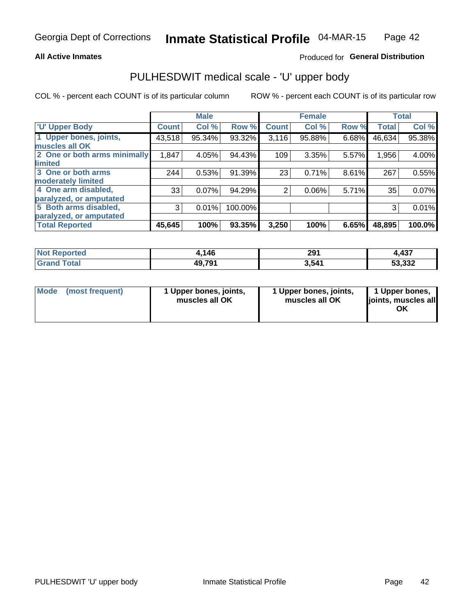#### **All Active Inmates**

### Produced for General Distribution

# PULHESDWIT medical scale - 'U' upper body

COL % - percent each COUNT is of its particular column

|                              |              | <b>Male</b> |         |                | <b>Female</b> |       |              | <b>Total</b> |
|------------------------------|--------------|-------------|---------|----------------|---------------|-------|--------------|--------------|
| <b>U' Upper Body</b>         | <b>Count</b> | Col %       | Row %   | <b>Count</b>   | Col %         | Row % | <b>Total</b> | Col %        |
| 1 Upper bones, joints,       | 43,518       | 95.34%      | 93.32%  | 3,116          | 95.88%        | 6.68% | 46,634       | 95.38%       |
| muscles all OK               |              |             |         |                |               |       |              |              |
| 2 One or both arms minimally | 1,847        | 4.05%       | 94.43%  | 109            | 3.35%         | 5.57% | 1,956        | 4.00%        |
| limited                      |              |             |         |                |               |       |              |              |
| 3 One or both arms           | 244          | 0.53%       | 91.39%  | 23             | 0.71%         | 8.61% | 267          | 0.55%        |
| <b>moderately limited</b>    |              |             |         |                |               |       |              |              |
| 4 One arm disabled,          | 33           | 0.07%       | 94.29%  | $\overline{2}$ | 0.06%         | 5.71% | 35           | 0.07%        |
| paralyzed, or amputated      |              |             |         |                |               |       |              |              |
| 5 Both arms disabled,        | 3            | 0.01%       | 100.00% |                |               |       | 3            | 0.01%        |
| paralyzed, or amputated      |              |             |         |                |               |       |              |              |
| <b>Total Reported</b>        | 45,645       | 100%        | 93.35%  | 3,250          | 100%          | 6.65% | 48,895       | 100.0%       |

| <b>Not Reported</b>   | 1,146  | 291   | 1,437  |
|-----------------------|--------|-------|--------|
| <b>Total</b><br>Grand | 49,791 | 3,541 | 53,332 |

| Mode (most frequent) | 1 Upper bones, joints,<br>muscles all OK | 1 Upper bones, joints,<br>muscles all OK | 1 Upper bones,<br>joints, muscles all<br>ΟK |
|----------------------|------------------------------------------|------------------------------------------|---------------------------------------------|
|----------------------|------------------------------------------|------------------------------------------|---------------------------------------------|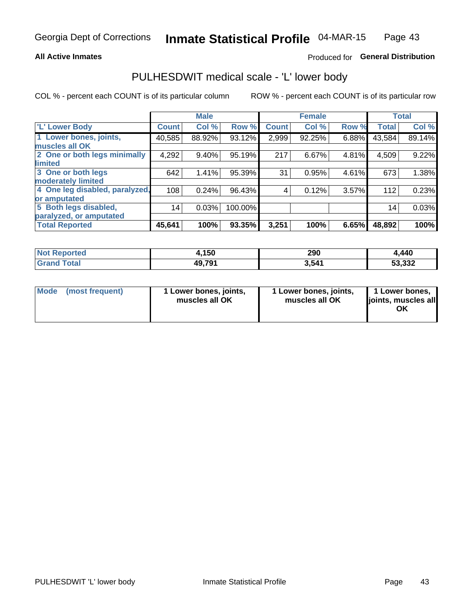#### **All Active Inmates**

### Produced for General Distribution

### PULHESDWIT medical scale - 'L' lower body

COL % - percent each COUNT is of its particular column

|                                |              | <b>Male</b> |         |              | <b>Female</b> |       |              | <b>Total</b> |
|--------------------------------|--------------|-------------|---------|--------------|---------------|-------|--------------|--------------|
| 'L' Lower Body                 | <b>Count</b> | Col %       | Row %   | <b>Count</b> | Col %         | Row % | <b>Total</b> | Col %        |
| 1 Lower bones, joints,         | 40,585       | 88.92%      | 93.12%  | 2,999        | 92.25%        | 6.88% | 43,584       | 89.14%       |
| muscles all OK                 |              |             |         |              |               |       |              |              |
| 2 One or both legs minimally   | 4,292        | 9.40%       | 95.19%  | 217          | 6.67%         | 4.81% | 4,509        | 9.22%        |
| limited                        |              |             |         |              |               |       |              |              |
| 3 One or both legs             | 642          | 1.41%       | 95.39%  | 31           | 0.95%         | 4.61% | 673          | 1.38%        |
| moderately limited             |              |             |         |              |               |       |              |              |
| 4 One leg disabled, paralyzed, | 108          | 0.24%       | 96.43%  | 4            | 0.12%         | 3.57% | 112          | 0.23%        |
| or amputated                   |              |             |         |              |               |       |              |              |
| 5 Both legs disabled,          | 14           | 0.03%       | 100.00% |              |               |       | 14           | 0.03%        |
| paralyzed, or amputated        |              |             |         |              |               |       |              |              |
| <b>Total Reported</b>          | 45,641       | 100%        | 93.35%  | 3,251        | 100%          | 6.65% | 48,892       | 100%         |

| <b>Not Reported</b>          | 1,150  | 290   | ,440   |
|------------------------------|--------|-------|--------|
| <b>Total</b><br><b>Grand</b> | 49,791 | 3,541 | 53,332 |

| Mode | (most frequent) | 1 Lower bones, joints,<br>muscles all OK | I Lower bones, joints,<br>muscles all OK | 1 Lower bones,<br>joints, muscles all<br>ΟK |
|------|-----------------|------------------------------------------|------------------------------------------|---------------------------------------------|
|------|-----------------|------------------------------------------|------------------------------------------|---------------------------------------------|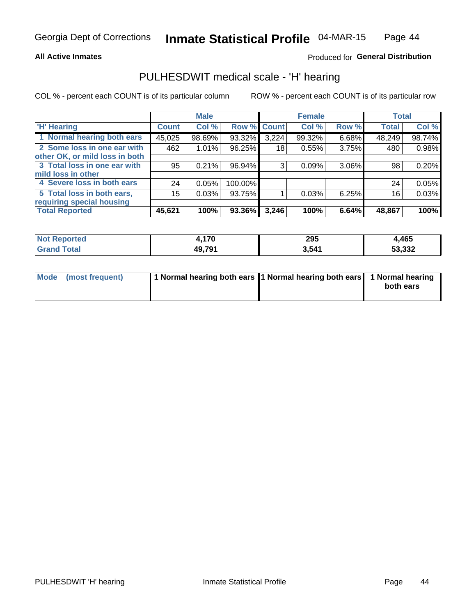#### **All Active Inmates**

### Produced for General Distribution

### PULHESDWIT medical scale - 'H' hearing

COL % - percent each COUNT is of its particular column

|                                |              | <b>Male</b> |             |       | <b>Female</b> |       | <b>Total</b> |        |
|--------------------------------|--------------|-------------|-------------|-------|---------------|-------|--------------|--------|
| <b>H'</b> Hearing              | <b>Count</b> | Col %       | Row % Count |       | Col %         | Row % | <b>Total</b> | Col %  |
| 1 Normal hearing both ears     | 45,025       | 98.69%      | 93.32%      | 3,224 | 99.32%        | 6.68% | 48,249       | 98.74% |
| 2 Some loss in one ear with    | 462          | 1.01%       | 96.25%      | 18    | 0.55%         | 3.75% | 480          | 0.98%  |
| other OK, or mild loss in both |              |             |             |       |               |       |              |        |
| 3 Total loss in one ear with   | 95           | 0.21%       | 96.94%      | 3     | 0.09%         | 3.06% | 98           | 0.20%  |
| mild loss in other             |              |             |             |       |               |       |              |        |
| 4 Severe loss in both ears     | 24           | 0.05%       | 100.00%     |       |               |       | 24           | 0.05%  |
| 5 Total loss in both ears,     | 15           | 0.03%       | 93.75%      |       | 0.03%         | 6.25% | 16           | 0.03%  |
| requiring special housing      |              |             |             |       |               |       |              |        |
| <b>Total Reported</b>          | 45,621       | 100%        | 93.36%      | 3,246 | 100%          | 6.64% | 48,867       | 100%   |

| <b>Not Reno</b><br>™orted i | 17N    | 295   | 4.465  |
|-----------------------------|--------|-------|--------|
| Total                       | 49 791 | 3,541 | 53,332 |

| Mode (most frequent) | 1 Normal hearing both ears 11 Normal hearing both ears 1 Normal hearing |           |
|----------------------|-------------------------------------------------------------------------|-----------|
|                      |                                                                         | both ears |
|                      |                                                                         |           |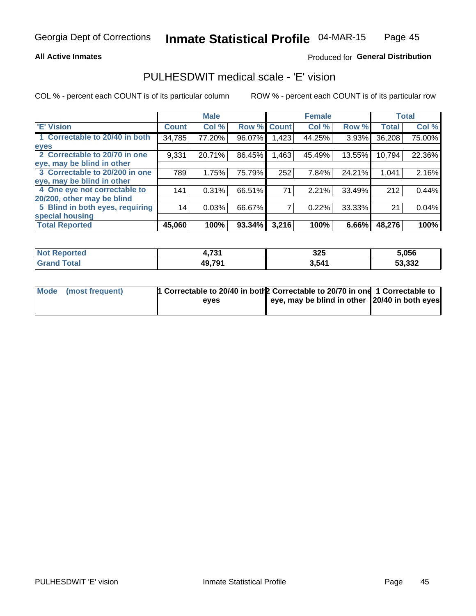#### **All Active Inmates**

### Produced for General Distribution

### PULHESDWIT medical scale - 'E' vision

COL % - percent each COUNT is of its particular column

|                                 |              | <b>Male</b> |        |              | <b>Female</b> |        |              | <b>Total</b> |
|---------------------------------|--------------|-------------|--------|--------------|---------------|--------|--------------|--------------|
| 'E' Vision                      | <b>Count</b> | Col %       | Row %  | <b>Count</b> | Col %         | Row %  | <b>Total</b> | Col %        |
| 1 Correctable to 20/40 in both  | 34,785       | 77.20%      | 96.07% | .423         | 44.25%        | 3.93%  | 36,208       | 75.00%       |
| eyes                            |              |             |        |              |               |        |              |              |
| 2 Correctable to 20/70 in one   | 9,331        | 20.71%      | 86.45% | .463         | 45.49%        | 13.55% | 10,794       | 22.36%       |
| eye, may be blind in other      |              |             |        |              |               |        |              |              |
| 3 Correctable to 20/200 in one  | 789          | 1.75%       | 75.79% | 252          | 7.84%         | 24.21% | 1,041        | 2.16%        |
| leye, may be blind in other     |              |             |        |              |               |        |              |              |
| 4 One eye not correctable to    | 141          | 0.31%       | 66.51% | 71           | 2.21%         | 33.49% | 212          | 0.44%        |
| 20/200, other may be blind      |              |             |        |              |               |        |              |              |
| 5 Blind in both eyes, requiring | 14           | 0.03%       | 66.67% |              | 0.22%         | 33.33% | 21           | 0.04%        |
| special housing                 |              |             |        |              |               |        |              |              |
| <b>Total Reported</b>           | 45,060       | 100%        | 93.34% | 3,216        | 100%          | 6.66%  | 48,276       | 100%         |

| <b>Not Reported</b> | 724<br>. | 325   | 5,056  |
|---------------------|----------|-------|--------|
| <b>Total</b>        | 49,791   | 3,541 | 53,332 |

| Mode (most frequent) | 1 Correctable to 20/40 in both 2 Correctable to 20/70 in one 1 Correctable to |                                                |  |
|----------------------|-------------------------------------------------------------------------------|------------------------------------------------|--|
|                      | eves                                                                          | eye, may be blind in other 120/40 in both eyes |  |
|                      |                                                                               |                                                |  |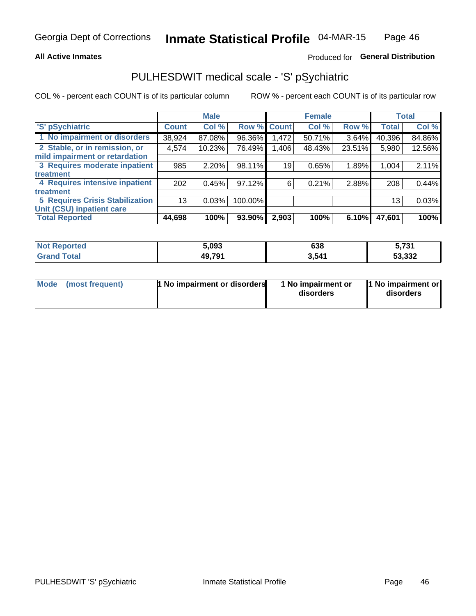#### **All Active Inmates**

### Produced for General Distribution

## PULHESDWIT medical scale - 'S' pSychiatric

COL % - percent each COUNT is of its particular column

|                                        |              | <b>Male</b> |         |             | <b>Female</b> |        |              | <b>Total</b> |
|----------------------------------------|--------------|-------------|---------|-------------|---------------|--------|--------------|--------------|
| 'S' pSychiatric                        | <b>Count</b> | Col %       |         | Row % Count | Col %         | Row %  | <b>Total</b> | Col %        |
| 1 No impairment or disorders           | 38,924       | 87.08%      | 96.36%  | 1,472       | 50.71%        | 3.64%  | 40,396       | 84.86%       |
| 2 Stable, or in remission, or          | 4,574        | 10.23%      | 76.49%  | 1,406       | 48.43%        | 23.51% | 5,980        | 12.56%       |
| mild impairment or retardation         |              |             |         |             |               |        |              |              |
| 3 Requires moderate inpatient          | 985          | 2.20%       | 98.11%  | 19          | 0.65%         | 1.89%  | 1,004        | 2.11%        |
| treatment                              |              |             |         |             |               |        |              |              |
| 4 Requires intensive inpatient         | 202          | 0.45%       | 97.12%  | 6           | 0.21%         | 2.88%  | 208          | 0.44%        |
| treatment                              |              |             |         |             |               |        |              |              |
| <b>5 Requires Crisis Stabilization</b> | 13           | 0.03%       | 100.00% |             |               |        | 13           | 0.03%        |
| Unit (CSU) inpatient care              |              |             |         |             |               |        |              |              |
| <b>Total Reported</b>                  | 44,698       | 100%        | 93.90%  | 2,903       | 100%          | 6.10%  | 47,601       | 100%         |

| <b>Not Reported</b>   | 5,093  | 638   | 5,731  |
|-----------------------|--------|-------|--------|
| <b>Total</b><br>Grand | 49,791 | 3,541 | 53,332 |

| Mode            | <b>1 No impairment or disorders</b> | 1 No impairment or | 1 No impairment or |
|-----------------|-------------------------------------|--------------------|--------------------|
| (most frequent) |                                     | disorders          | disorders          |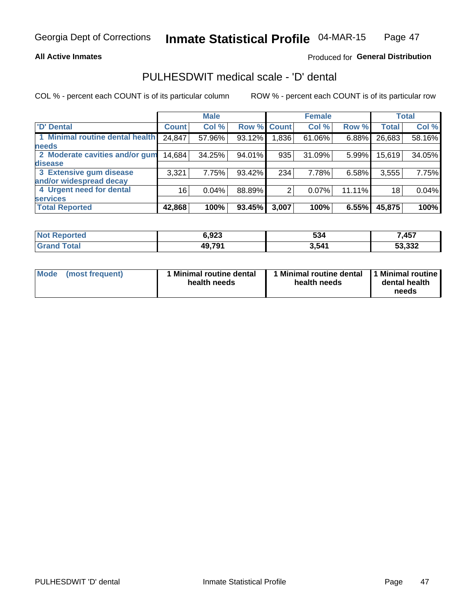#### **All Active Inmates**

### Produced for General Distribution

## PULHESDWIT medical scale - 'D' dental

COL % - percent each COUNT is of its particular column

|                                 |              | <b>Male</b> |        |              | <b>Female</b> |          |              | <b>Total</b> |
|---------------------------------|--------------|-------------|--------|--------------|---------------|----------|--------------|--------------|
| <b>D'</b> Dental                | <b>Count</b> | Col %       | Row %  | <b>Count</b> | Col %         | Row %    | <b>Total</b> | Col %        |
| 1 Minimal routine dental health | 24,847       | 57.96%      | 93.12% | .836         | 61.06%        | $6.88\%$ | 26,683       | 58.16%       |
| <b>needs</b>                    |              |             |        |              |               |          |              |              |
| 2 Moderate cavities and/or gum  | 14,684       | 34.25%      | 94.01% | 935          | 31.09%        | 5.99%    | 15,619       | 34.05%       |
| disease                         |              |             |        |              |               |          |              |              |
| 3 Extensive gum disease         | 3,321        | 7.75%       | 93.42% | 234          | 7.78%         | 6.58%    | 3,555        | 7.75%        |
| and/or widespread decay         |              |             |        |              |               |          |              |              |
| 4 Urgent need for dental        | 16           | 0.04%       | 88.89% |              | 0.07%         | 11.11%   | 18           | 0.04%        |
| <b>services</b>                 |              |             |        |              |               |          |              |              |
| <b>Total Reported</b>           | 42,868       | 100%        | 93.45% | 3,007        | 100%          | 6.55%    | 45,875       | 100%         |

| orted | גמם ג  | 534   | 7457   |
|-------|--------|-------|--------|
| NA    | J.JŁJ  |       | , יש   |
| `ota. | 49,791 | 3,541 | 53,332 |

| <b>Mode</b> | (most frequent) | <b>Minimal routine dental</b><br>health needs | 1 Minimal routine dental   1 Minimal routine  <br>health needs | dental health<br>needs |
|-------------|-----------------|-----------------------------------------------|----------------------------------------------------------------|------------------------|
|-------------|-----------------|-----------------------------------------------|----------------------------------------------------------------|------------------------|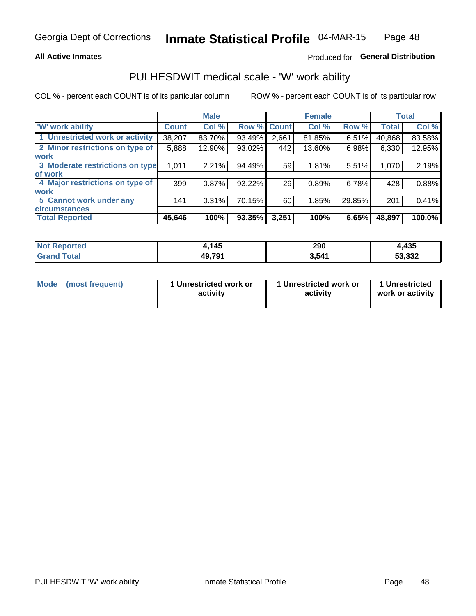#### **All Active Inmates**

### Produced for General Distribution

### PULHESDWIT medical scale - 'W' work ability

COL % - percent each COUNT is of its particular column

|                                 |              | <b>Male</b> |        |             | <b>Female</b> |        |              | <b>Total</b> |
|---------------------------------|--------------|-------------|--------|-------------|---------------|--------|--------------|--------------|
| 'W' work ability                | <b>Count</b> | Col %       |        | Row % Count | Col %         | Row %  | <b>Total</b> | Col %        |
| 1 Unrestricted work or activity | 38,207       | 83.70%      | 93.49% | 2,661       | 81.85%        | 6.51%  | 40,868       | 83.58%       |
| 2 Minor restrictions on type of | 5,888        | 12.90%      | 93.02% | 442         | 13.60%        | 6.98%  | 6,330        | 12.95%       |
| <b>work</b>                     |              |             |        |             |               |        |              |              |
| 3 Moderate restrictions on type | 1,011        | 2.21%       | 94.49% | 59          | 1.81%         | 5.51%  | 1,070        | 2.19%        |
| lof work                        |              |             |        |             |               |        |              |              |
| 4 Major restrictions on type of | 399          | 0.87%       | 93.22% | 29          | 0.89%         | 6.78%  | 428          | 0.88%        |
| <b>work</b>                     |              |             |        |             |               |        |              |              |
| 5 Cannot work under any         | 141          | 0.31%       | 70.15% | 60          | 1.85%         | 29.85% | 201          | 0.41%        |
| <b>circumstances</b>            |              |             |        |             |               |        |              |              |
| <b>Total Reported</b>           | 45,646       | 100%        | 93.35% | 3,251       | 100%          | 6.65%  | 48,897       | 100.0%       |

| <b>Not Reported</b>          | .145   | 290   | 435    |
|------------------------------|--------|-------|--------|
| <b>Total</b><br><b>Grand</b> | 49,791 | 3,541 | 53,332 |

| Mode (most frequent) | 1 Unrestricted work or | 1 Unrestricted work or | 1 Unrestricted   |
|----------------------|------------------------|------------------------|------------------|
|                      | activity               | activity               | work or activity |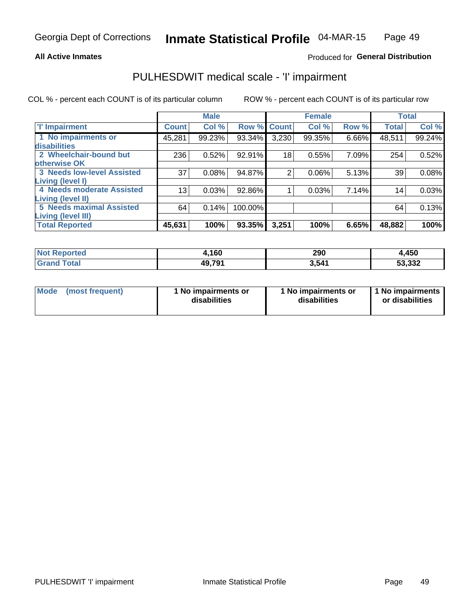#### **All Active Inmates**

### Produced for General Distribution

## PULHESDWIT medical scale - 'I' impairment

COL % - percent each COUNT is of its particular column

|                                                              |              | <b>Male</b> |         |             | <b>Female</b> |       |              | <b>Total</b> |
|--------------------------------------------------------------|--------------|-------------|---------|-------------|---------------|-------|--------------|--------------|
| <b>T' Impairment</b>                                         | <b>Count</b> | Col %       |         | Row % Count | Col %         | Row % | <b>Total</b> | Col %        |
| 1 No impairments or<br>disabilities                          | 45,281       | 99.23%      | 93.34%  | 3,230       | 99.35%        | 6.66% | 48,511       | 99.24%       |
| 2 Wheelchair-bound but<br>otherwise OK                       | 236          | 0.52%       | 92.91%  | 18          | 0.55%         | 7.09% | 254          | 0.52%        |
| <b>3 Needs low-level Assisted</b><br>Living (level I)        | 37           | 0.08%       | 94.87%  | 2           | 0.06%         | 5.13% | 39           | 0.08%        |
| 4 Needs moderate Assisted<br><b>Living (level II)</b>        | 13           | 0.03%       | 92.86%  |             | 0.03%         | 7.14% | 14           | 0.03%        |
| <b>5 Needs maximal Assisted</b><br><b>Living (level III)</b> | 64           | 0.14%       | 100.00% |             |               |       | 64           | 0.13%        |
| <b>Total Reported</b>                                        | 45,631       | 100%        | 93.35%  | 3,251       | 100%          | 6.65% | 48,882       | 100%         |

| <b>Reported</b> | l,160  | 290    | 4,450  |
|-----------------|--------|--------|--------|
| ™otai           | 49,791 | 3.54'' | 53,332 |

| Mode | (most frequent) | 1 No impairments or<br>disabilities | 1 No impairments or<br>disabilities | 1 No impairments<br>or disabilities |
|------|-----------------|-------------------------------------|-------------------------------------|-------------------------------------|
|------|-----------------|-------------------------------------|-------------------------------------|-------------------------------------|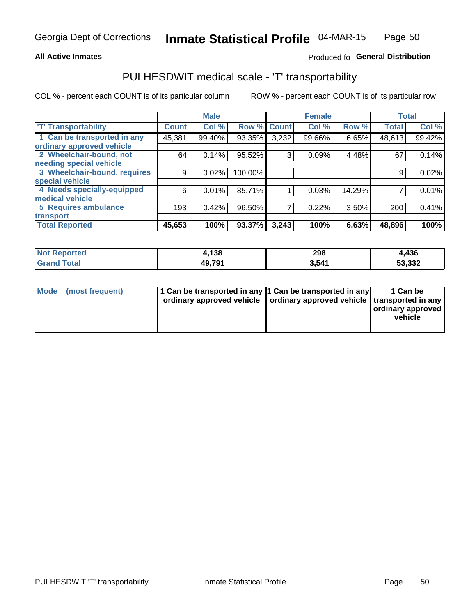#### **All Active Inmates**

### Produced fo General Distribution

### PULHESDWIT medical scale - 'T' transportability

COL % - percent each COUNT is of its particular column

|                              |              | <b>Male</b> |         |              | <b>Female</b> |        |              | <b>Total</b> |
|------------------------------|--------------|-------------|---------|--------------|---------------|--------|--------------|--------------|
| <b>T' Transportability</b>   | <b>Count</b> | Col %       | Row %   | <b>Count</b> | Col %         | Row %  | <b>Total</b> | Col %        |
| 1 Can be transported in any  | 45,381       | 99.40%      | 93.35%  | 3,232        | 99.66%        | 6.65%  | 48,613       | 99.42%       |
| ordinary approved vehicle    |              |             |         |              |               |        |              |              |
| 2 Wheelchair-bound, not      | 64           | 0.14%       | 95.52%  | 3            | 0.09%         | 4.48%  | 67           | 0.14%        |
| needing special vehicle      |              |             |         |              |               |        |              |              |
| 3 Wheelchair-bound, requires | 9            | 0.02%       | 100.00% |              |               |        | 9            | 0.02%        |
| special vehicle              |              |             |         |              |               |        |              |              |
| 4 Needs specially-equipped   | 6            | 0.01%       | 85.71%  |              | 0.03%         | 14.29% |              | 0.01%        |
| medical vehicle              |              |             |         |              |               |        |              |              |
| <b>5 Requires ambulance</b>  | 193          | 0.42%       | 96.50%  | 7            | 0.22%         | 3.50%  | 200          | 0.41%        |
| transport                    |              |             |         |              |               |        |              |              |
| <b>Total Reported</b>        | 45,653       | 100%        | 93.37%  | 3,243        | 100%          | 6.63%  | 48,896       | 100%         |

| <b>Not</b><br>Reported | l,138  | 298   | 4,436  |
|------------------------|--------|-------|--------|
| Total                  | 49,791 | 3,541 | 53,332 |

|  | Mode (most frequent) | 1 Can be transported in any 1 Can be transported in any<br>ordinary approved vehicle   ordinary approved vehicle   transported in any |  | 1 Can be<br>  ordinary approved  <br>vehicle |
|--|----------------------|---------------------------------------------------------------------------------------------------------------------------------------|--|----------------------------------------------|
|--|----------------------|---------------------------------------------------------------------------------------------------------------------------------------|--|----------------------------------------------|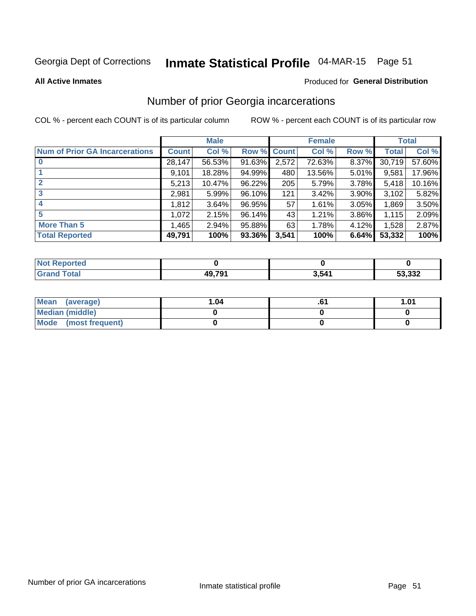# Inmate Statistical Profile 04-MAR-15 Page 51

**All Active Inmates** 

#### **Produced for General Distribution**

### Number of prior Georgia incarcerations

COL % - percent each COUNT is of its particular column

|                                       |              | <b>Male</b> |             |       | <b>Female</b> |          |        | <b>Total</b> |
|---------------------------------------|--------------|-------------|-------------|-------|---------------|----------|--------|--------------|
| <b>Num of Prior GA Incarcerations</b> | <b>Count</b> | Col %       | Row % Count |       | Col %         | Row %    | Total  | Col %        |
|                                       | 28,147       | 56.53%      | 91.63%      | 2,572 | 72.63%        | 8.37%    | 30,719 | 57.60%       |
|                                       | 9,101        | 18.28%      | 94.99%      | 480   | 13.56%        | 5.01%    | 9,581  | 17.96%       |
| $\overline{2}$                        | 5,213        | 10.47%      | 96.22%      | 205   | 5.79%         | 3.78%    | 5,418  | 10.16%       |
| 3                                     | 2,981        | 5.99%       | 96.10%      | 121   | 3.42%         | $3.90\%$ | 3,102  | 5.82%        |
| $\boldsymbol{4}$                      | 1,812        | 3.64%       | 96.95%      | 57    | 1.61%         | 3.05%    | 1,869  | 3.50%        |
| 5                                     | 1,072        | 2.15%       | 96.14%      | 43    | 1.21%         | 3.86%    | 1,115  | 2.09%        |
| <b>More Than 5</b>                    | 1,465        | 2.94%       | 95.88%      | 63    | 1.78%         | 4.12%    | 1,528  | 2.87%        |
| <b>Total Reported</b>                 | 49,791       | 100%        | 93.36%      | 3,541 | 100%          | 6.64%    | 53,332 | 100%         |

| orted<br>NO |        |       |        |
|-------------|--------|-------|--------|
| <b>otal</b> | 10 701 | 3,541 | 53,332 |

| Mean (average)       | l.04 | 1.01 |
|----------------------|------|------|
| Median (middle)      |      |      |
| Mode (most frequent) |      |      |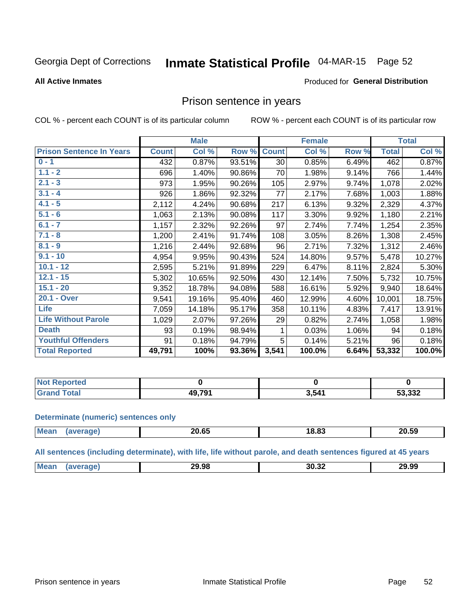# Inmate Statistical Profile 04-MAR-15 Page 52

#### **All Active Inmates**

### **Produced for General Distribution**

### Prison sentence in years

COL % - percent each COUNT is of its particular column

ROW % - percent each COUNT is of its particular row

|                                 |              | <b>Male</b> |        |              | <b>Female</b> |       |              | <b>Total</b> |
|---------------------------------|--------------|-------------|--------|--------------|---------------|-------|--------------|--------------|
| <b>Prison Sentence In Years</b> | <b>Count</b> | Col %       | Row %  | <b>Count</b> | Col %         | Row % | <b>Total</b> | Col %        |
| $0 - 1$                         | 432          | 0.87%       | 93.51% | 30           | 0.85%         | 6.49% | 462          | 0.87%        |
| $1.1 - 2$                       | 696          | 1.40%       | 90.86% | 70           | 1.98%         | 9.14% | 766          | 1.44%        |
| $2.1 - 3$                       | 973          | 1.95%       | 90.26% | 105          | 2.97%         | 9.74% | 1,078        | 2.02%        |
| $3.1 - 4$                       | 926          | 1.86%       | 92.32% | 77           | 2.17%         | 7.68% | 1,003        | 1.88%        |
| $4.1 - 5$                       | 2,112        | 4.24%       | 90.68% | 217          | 6.13%         | 9.32% | 2,329        | 4.37%        |
| $5.1 - 6$                       | 1,063        | 2.13%       | 90.08% | 117          | 3.30%         | 9.92% | 1,180        | 2.21%        |
| $6.1 - 7$                       | 1,157        | 2.32%       | 92.26% | 97           | 2.74%         | 7.74% | 1,254        | 2.35%        |
| $7.1 - 8$                       | 1,200        | 2.41%       | 91.74% | 108          | 3.05%         | 8.26% | 1,308        | 2.45%        |
| $8.1 - 9$                       | 1,216        | 2.44%       | 92.68% | 96           | 2.71%         | 7.32% | 1,312        | 2.46%        |
| $9.1 - 10$                      | 4,954        | 9.95%       | 90.43% | 524          | 14.80%        | 9.57% | 5,478        | 10.27%       |
| $10.1 - 12$                     | 2,595        | 5.21%       | 91.89% | 229          | 6.47%         | 8.11% | 2,824        | 5.30%        |
| $12.1 - 15$                     | 5,302        | 10.65%      | 92.50% | 430          | 12.14%        | 7.50% | 5,732        | 10.75%       |
| $15.1 - 20$                     | 9,352        | 18.78%      | 94.08% | 588          | 16.61%        | 5.92% | 9,940        | 18.64%       |
| 20.1 - Over                     | 9,541        | 19.16%      | 95.40% | 460          | 12.99%        | 4.60% | 10,001       | 18.75%       |
| <b>Life</b>                     | 7,059        | 14.18%      | 95.17% | 358          | 10.11%        | 4.83% | 7,417        | 13.91%       |
| <b>Life Without Parole</b>      | 1,029        | 2.07%       | 97.26% | 29           | 0.82%         | 2.74% | 1,058        | 1.98%        |
| <b>Death</b>                    | 93           | 0.19%       | 98.94% |              | 0.03%         | 1.06% | 94           | 0.18%        |
| <b>Youthful Offenders</b>       | 91           | 0.18%       | 94.79% | 5            | 0.14%         | 5.21% | 96           | 0.18%        |
| <b>Total Reported</b>           | 49,791       | 100%        | 93.36% | 3,541        | 100.0%        | 6.64% | 53,332       | 100.0%       |

| ported<br><b>NOT</b> |                      |       |        |
|----------------------|----------------------|-------|--------|
| $\sim$               | $^{\circ}$ 201<br>ДO | 3,541 | 53,332 |

#### **Determinate (numeric) sentences only**

| <b>Mean</b> | 20.65 | יה הו<br>ി8.8പ | 20.59 |
|-------------|-------|----------------|-------|
|             |       |                |       |

All sentences (including determinate), with life, life without parole, and death sentences figured at 45 years

| Me: | 29.98 | 30.32 | 29.99 |
|-----|-------|-------|-------|
|     |       |       |       |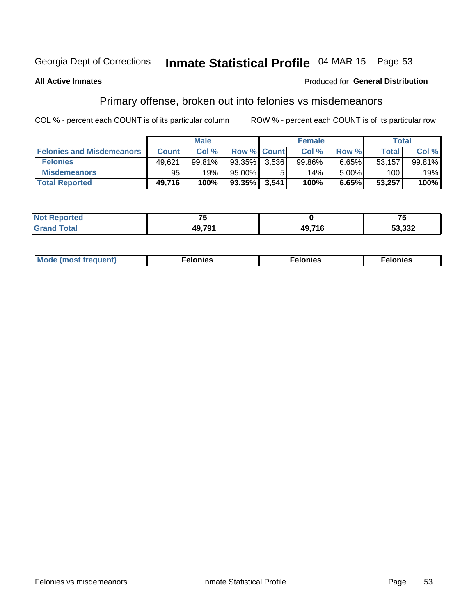# Inmate Statistical Profile 04-MAR-15 Page 53

#### **All Active Inmates**

### **Produced for General Distribution**

### Primary offense, broken out into felonies vs misdemeanors

COL % - percent each COUNT is of its particular column

|                                  |              | <b>Male</b> |           |                    | <b>Female</b> |       | Total  |        |
|----------------------------------|--------------|-------------|-----------|--------------------|---------------|-------|--------|--------|
| <b>Felonies and Misdemeanors</b> | <b>Count</b> | Col%        |           | <b>Row % Count</b> | Col%          | Row % | Total, | Col %  |
| <b>Felonies</b>                  | 49,621       | 99.81%      | 93.35%    | 3.536              | 99.86%        | 6.65% | 53,157 | 99.81% |
| <b>Misdemeanors</b>              | 95           | 19%         | 95.00%    |                    | .14% '        | 5.00% | 100    | .19%   |
| <b>Total Reported</b>            | 49,716       | 100%        | $93.35\%$ | 3,541              | 100%          | 6.65% | 53,257 | 100%   |

| <b>Not Reported</b> | - -                |       | --<br>. |
|---------------------|--------------------|-------|---------|
| Total<br>Grand      | 10 70 <sup>-</sup> | 4971F | 53,332  |

| M      | .    | nes | onies |
|--------|------|-----|-------|
| nuenti | ____ | .   | .     |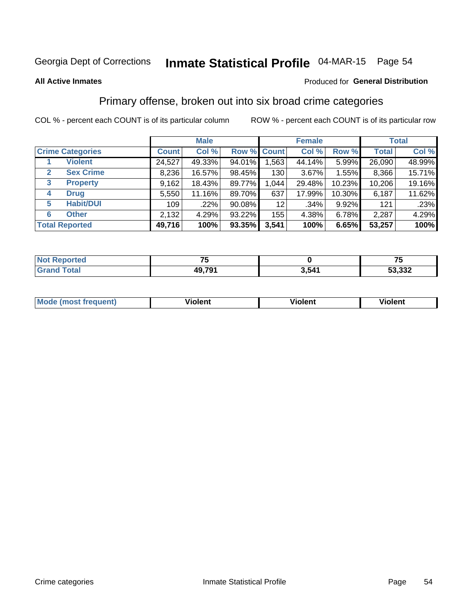# Inmate Statistical Profile 04-MAR-15 Page 54

#### **All Active Inmates**

#### Produced for General Distribution

### Primary offense, broken out into six broad crime categories

COL % - percent each COUNT is of its particular column

|                                 | <b>Male</b>  |        |           | <b>Female</b>   |        |        | <b>Total</b> |        |
|---------------------------------|--------------|--------|-----------|-----------------|--------|--------|--------------|--------|
| <b>Crime Categories</b>         | <b>Count</b> | Col %  |           | Row % Count     | Col %  | Row %  | <b>Total</b> | Col %  |
| <b>Violent</b>                  | 24,527       | 49.33% | 94.01%    | 1,563           | 44.14% | 5.99%  | 26,090       | 48.99% |
| <b>Sex Crime</b><br>2           | 8,236        | 16.57% | 98.45%    | 130             | 3.67%  | 1.55%  | 8,366        | 15.71% |
| $\mathbf{3}$<br><b>Property</b> | 9,162        | 18.43% | 89.77%    | 1,044           | 29.48% | 10.23% | 10,206       | 19.16% |
| <b>Drug</b><br>4                | 5,550        | 11.16% | 89.70%    | 637             | 17.99% | 10.30% | 6,187        | 11.62% |
| <b>Habit/DUI</b><br>5           | 109          | .22%   | $90.08\%$ | 12 <sub>2</sub> | .34%   | 9.92%  | 121          | .23%   |
| <b>Other</b><br>6               | 2,132        | 4.29%  | 93.22%    | 155             | 4.38%  | 6.78%  | 2,287        | 4.29%  |
| <b>Total Reported</b>           | 49,716       | 100%   | 93.35%    | 3,541           | 100%   | 6.65%  | 53,257       | 100%   |

| rtea<br>NOI |        |       | --<br>w |
|-------------|--------|-------|---------|
| Ento.       | 49,791 | 3,541 | 53,332  |

| Mode<br>freauent)<br>anst tr | .<br>/iolent | <br>Violent | .<br><b>Tiolent</b> |
|------------------------------|--------------|-------------|---------------------|
|                              |              |             |                     |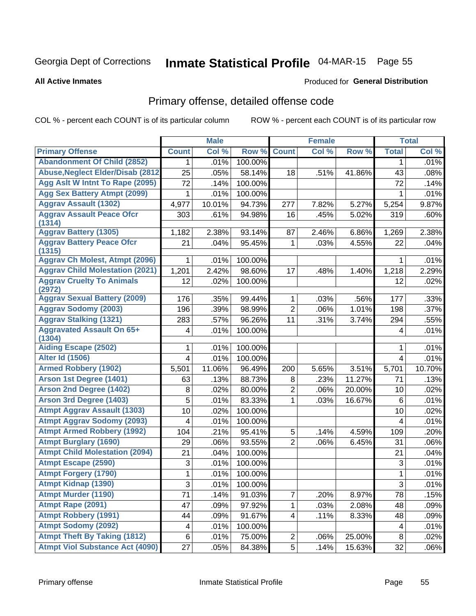# Inmate Statistical Profile 04-MAR-15 Page 55

#### **All Active Inmates**

#### Produced for General Distribution

## Primary offense, detailed offense code

COL % - percent each COUNT is of its particular column

|                                            |                | <b>Male</b> |         |                         | <b>Female</b> |        |                | <b>Total</b> |
|--------------------------------------------|----------------|-------------|---------|-------------------------|---------------|--------|----------------|--------------|
| <b>Primary Offense</b>                     | <b>Count</b>   | Col %       | Row %   | <b>Count</b>            | Col %         | Row %  | <b>Total</b>   | Col %        |
| <b>Abandonment Of Child (2852)</b>         | $\mathbf 1$    | .01%        | 100.00% |                         |               |        | 1              | .01%         |
| <b>Abuse, Neglect Elder/Disab (2812)</b>   | 25             | .05%        | 58.14%  | 18                      | .51%          | 41.86% | 43             | .08%         |
| Agg Aslt W Intnt To Rape (2095)            | 72             | .14%        | 100.00% |                         |               |        | 72             | .14%         |
| <b>Agg Sex Battery Atmpt (2099)</b>        | 1              | .01%        | 100.00% |                         |               |        | 1              | .01%         |
| <b>Aggrav Assault (1302)</b>               | 4,977          | 10.01%      | 94.73%  | 277                     | 7.82%         | 5.27%  | 5,254          | 9.87%        |
| <b>Aggrav Assault Peace Ofcr</b><br>(1314) | 303            | .61%        | 94.98%  | 16                      | .45%          | 5.02%  | 319            | .60%         |
| <b>Aggrav Battery (1305)</b>               | 1,182          | 2.38%       | 93.14%  | 87                      | 2.46%         | 6.86%  | 1,269          | 2.38%        |
| <b>Aggrav Battery Peace Ofcr</b><br>(1315) | 21             | .04%        | 95.45%  | 1                       | .03%          | 4.55%  | 22             | .04%         |
| <b>Aggrav Ch Molest, Atmpt (2096)</b>      |                | .01%        | 100.00% |                         |               |        | 1              | .01%         |
| <b>Aggrav Child Molestation (2021)</b>     | 1,201          | 2.42%       | 98.60%  | 17                      | .48%          | 1.40%  | 1,218          | 2.29%        |
| <b>Aggrav Cruelty To Animals</b><br>(2972) | 12             | .02%        | 100.00% |                         |               |        | 12             | .02%         |
| <b>Aggrav Sexual Battery (2009)</b>        | 176            | .35%        | 99.44%  | 1                       | .03%          | .56%   | 177            | .33%         |
| <b>Aggrav Sodomy (2003)</b>                | 196            | .39%        | 98.99%  | $\overline{2}$          | .06%          | 1.01%  | 198            | .37%         |
| <b>Aggrav Stalking (1321)</b>              | 283            | .57%        | 96.26%  | 11                      | .31%          | 3.74%  | 294            | .55%         |
| <b>Aggravated Assault On 65+</b><br>(1304) | 4              | .01%        | 100.00% |                         |               |        | 4              | .01%         |
| <b>Aiding Escape (2502)</b>                | 1              | .01%        | 100.00% |                         |               |        | 1              | .01%         |
| <b>Alter Id (1506)</b>                     | $\overline{4}$ | .01%        | 100.00% |                         |               |        | 4              | .01%         |
| <b>Armed Robbery (1902)</b>                | 5,501          | 11.06%      | 96.49%  | 200                     | 5.65%         | 3.51%  | 5,701          | 10.70%       |
| Arson 1st Degree (1401)                    | 63             | .13%        | 88.73%  | 8                       | .23%          | 11.27% | 71             | .13%         |
| <b>Arson 2nd Degree (1402)</b>             | 8              | .02%        | 80.00%  | $\overline{2}$          | .06%          | 20.00% | 10             | .02%         |
| <b>Arson 3rd Degree (1403)</b>             | 5              | .01%        | 83.33%  | 1                       | .03%          | 16.67% | $6\phantom{1}$ | .01%         |
| <b>Atmpt Aggrav Assault (1303)</b>         | 10             | .02%        | 100.00% |                         |               |        | 10             | .02%         |
| <b>Atmpt Aggrav Sodomy (2093)</b>          | 4              | .01%        | 100.00% |                         |               |        | 4              | .01%         |
| <b>Atmpt Armed Robbery (1992)</b>          | 104            | .21%        | 95.41%  | 5                       | .14%          | 4.59%  | 109            | .20%         |
| <b>Atmpt Burglary (1690)</b>               | 29             | .06%        | 93.55%  | $\overline{2}$          | .06%          | 6.45%  | 31             | .06%         |
| <b>Atmpt Child Molestation (2094)</b>      | 21             | .04%        | 100.00% |                         |               |        | 21             | .04%         |
| <b>Atmpt Escape (2590)</b>                 | 3              | .01%        | 100.00% |                         |               |        | 3              | .01%         |
| <b>Atmpt Forgery (1790)</b>                | 1              | .01%        | 100.00% |                         |               |        | 1              | .01%         |
| <b>Atmpt Kidnap (1390)</b>                 | 3              | .01%        | 100.00% |                         |               |        | $\overline{3}$ | .01%         |
| <b>Atmpt Murder (1190)</b>                 | 71             | .14%        | 91.03%  | $\overline{7}$          | .20%          | 8.97%  | 78             | .15%         |
| Atmpt Rape (2091)                          | 47             | .09%        | 97.92%  | 1                       | .03%          | 2.08%  | 48             | .09%         |
| <b>Atmpt Robbery (1991)</b>                | 44             | .09%        | 91.67%  | $\overline{\mathbf{4}}$ | .11%          | 8.33%  | 48             | .09%         |
| <b>Atmpt Sodomy (2092)</b>                 | 4              | .01%        | 100.00% |                         |               |        | 4              | .01%         |
| <b>Atmpt Theft By Taking (1812)</b>        | $\,6\,$        | .01%        | 75.00%  | $\overline{c}$          | .06%          | 25.00% | $\,8\,$        | .02%         |
| <b>Atmpt Viol Substance Act (4090)</b>     | 27             | .05%        | 84.38%  | 5 <sup>1</sup>          | .14%          | 15.63% | 32             | .06%         |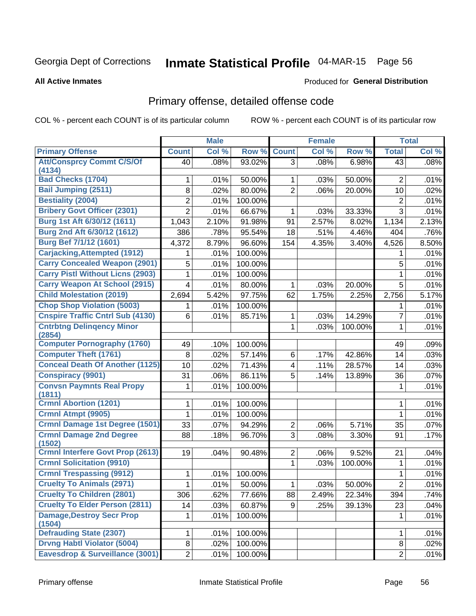# Inmate Statistical Profile 04-MAR-15 Page 56

#### **All Active Inmates**

#### Produced for General Distribution

## Primary offense, detailed offense code

COL % - percent each COUNT is of its particular column

|                                            |                | <b>Male</b> |         |                | <b>Female</b> |                |                | <b>Total</b> |
|--------------------------------------------|----------------|-------------|---------|----------------|---------------|----------------|----------------|--------------|
| <b>Primary Offense</b>                     | <b>Count</b>   | Col %       | Row %   | <b>Count</b>   | Col %         | Row %          | <b>Total</b>   | Col %        |
| <b>Att/Consprcy Commt C/S/Of</b>           | 40             | .08%        | 93.02%  | $\overline{3}$ | .08%          | 6.98%          | 43             | .08%         |
| (4134)<br><b>Bad Checks (1704)</b>         | 1              | .01%        | 50.00%  | 1              | .03%          | 50.00%         | 2              | .01%         |
| <b>Bail Jumping (2511)</b>                 | 8              | .02%        | 80.00%  | $\overline{2}$ | .06%          | 20.00%         | 10             | .02%         |
| <b>Bestiality (2004)</b>                   | $\overline{2}$ | .01%        | 100.00% |                |               |                | $\overline{2}$ | .01%         |
| <b>Bribery Govt Officer (2301)</b>         | $\overline{2}$ | .01%        | 66.67%  |                | .03%          | 33.33%         | 3              | .01%         |
| Burg 1st Aft 6/30/12 (1611)                |                | 2.10%       | 91.98%  | 1<br>91        |               |                |                |              |
| Burg 2nd Aft 6/30/12 (1612)                | 1,043          | .78%        |         |                | 2.57%         | 8.02%<br>4.46% | 1,134<br>404   | 2.13%        |
| Burg Bef 7/1/12 (1601)                     | 386            |             | 95.54%  | 18             | .51%          |                |                | .76%         |
| <b>Carjacking, Attempted (1912)</b>        | 4,372          | 8.79%       | 96.60%  | 154            | 4.35%         | 3.40%          | 4,526          | 8.50%        |
| <b>Carry Concealed Weapon (2901)</b>       |                | .01%        | 100.00% |                |               |                | 1              | .01%         |
|                                            | 5              | .01%        | 100.00% |                |               |                | 5              | .01%         |
| <b>Carry Pistl Without Licns (2903)</b>    | 1              | .01%        | 100.00% |                |               |                | 1              | .01%         |
| <b>Carry Weapon At School (2915)</b>       | 4              | .01%        | 80.00%  | 1              | .03%          | 20.00%         | 5              | .01%         |
| <b>Child Molestation (2019)</b>            | 2,694          | 5.42%       | 97.75%  | 62             | 1.75%         | 2.25%          | 2,756          | 5.17%        |
| <b>Chop Shop Violation (5003)</b>          | 1              | .01%        | 100.00% |                |               |                | 1              | .01%         |
| <b>Cnspire Traffic Cntrl Sub (4130)</b>    | 6              | .01%        | 85.71%  | 1              | .03%          | 14.29%         | 7              | .01%         |
| <b>Cntrbtng Delingency Minor</b><br>(2854) |                |             |         | 1              | .03%          | 100.00%        | $\mathbf{1}$   | .01%         |
| <b>Computer Pornography (1760)</b>         | 49             | .10%        | 100.00% |                |               |                | 49             | .09%         |
| <b>Computer Theft (1761)</b>               | 8              | .02%        | 57.14%  | 6              | .17%          | 42.86%         | 14             | .03%         |
| <b>Conceal Death Of Another (1125)</b>     | 10             | .02%        | 71.43%  | $\overline{4}$ | .11%          | 28.57%         | 14             | .03%         |
| <b>Conspiracy (9901)</b>                   | 31             | .06%        | 86.11%  | 5              | .14%          | 13.89%         | 36             | .07%         |
| <b>Convsn Paymnts Real Propy</b><br>(1811) | 1              | .01%        | 100.00% |                |               |                | $\mathbf 1$    | .01%         |
| <b>Crmnl Abortion (1201)</b>               | 1              | .01%        | 100.00% |                |               |                | 1              | .01%         |
| Crmnl Atmpt (9905)                         | 1              | .01%        | 100.00% |                |               |                | 1              | .01%         |
| Crmnl Damage 1st Degree (1501)             | 33             | .07%        | 94.29%  | $\overline{2}$ | .06%          | 5.71%          | 35             | .07%         |
| <b>Crmnl Damage 2nd Degree</b>             | 88             | .18%        | 96.70%  | 3              | .08%          | 3.30%          | 91             | .17%         |
| (1502)                                     |                |             |         |                |               |                |                |              |
| <b>Crmnl Interfere Govt Prop (2613)</b>    | 19             | .04%        | 90.48%  | $\overline{2}$ | .06%          | 9.52%          | 21             | .04%         |
| <b>Crmnl Solicitation (9910)</b>           |                |             |         | 1              | .03%          | 100.00%        | 1              | .01%         |
| <b>Crmnl Trespassing (9912)</b>            | 1              | .01%        | 100.00% |                |               |                | 1              | .01%         |
| <b>Cruelty To Animals (2971)</b>           | 1              | .01%        | 50.00%  | 1              | .03%          | 50.00%         | $\overline{2}$ | .01%         |
| <b>Cruelty To Children (2801)</b>          | 306            | .62%        | 77.66%  | 88             | 2.49%         | 22.34%         | 394            | .74%         |
| <b>Cruelty To Elder Person (2811)</b>      | 14             | .03%        | 60.87%  | 9              | .25%          | 39.13%         | 23             | .04%         |
| <b>Damage, Destroy Secr Prop</b><br>(1504) | 1              | .01%        | 100.00% |                |               |                | 1              | .01%         |
| <b>Defrauding State (2307)</b>             | 1              | .01%        | 100.00% |                |               |                | 1              | .01%         |
| <b>Drvng Habtl Violator (5004)</b>         | 8              | .02%        | 100.00% |                |               |                | 8              | .02%         |
| Eavesdrop & Surveillance (3001)            | $\overline{2}$ | .01%        | 100.00% |                |               |                | $\overline{2}$ | .01%         |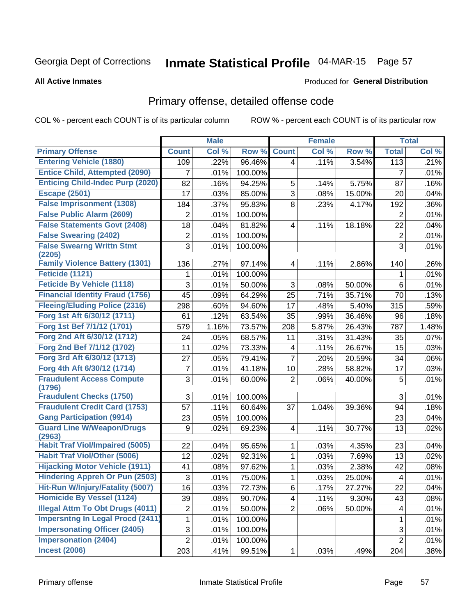# Inmate Statistical Profile 04-MAR-15 Page 57

**All Active Inmates** 

#### Produced for General Distribution

## Primary offense, detailed offense code

COL % - percent each COUNT is of its particular column

|                                            |                | <b>Male</b> |         |                | <b>Female</b> |        |                         | <b>Total</b> |
|--------------------------------------------|----------------|-------------|---------|----------------|---------------|--------|-------------------------|--------------|
| <b>Primary Offense</b>                     | <b>Count</b>   | Col %       | Row %   | <b>Count</b>   | Col %         | Row %  | <b>Total</b>            | Col %        |
| <b>Entering Vehicle (1880)</b>             | 109            | .22%        | 96.46%  | 4              | .11%          | 3.54%  | 113                     | .21%         |
| <b>Entice Child, Attempted (2090)</b>      | 7              | .01%        | 100.00% |                |               |        | 7                       | .01%         |
| <b>Enticing Child-Indec Purp (2020)</b>    | 82             | .16%        | 94.25%  | 5              | .14%          | 5.75%  | 87                      | .16%         |
| <b>Escape (2501)</b>                       | 17             | .03%        | 85.00%  | 3              | .08%          | 15.00% | 20                      | .04%         |
| <b>False Imprisonment (1308)</b>           | 184            | .37%        | 95.83%  | 8              | .23%          | 4.17%  | 192                     | .36%         |
| <b>False Public Alarm (2609)</b>           | 2              | .01%        | 100.00% |                |               |        | $\overline{2}$          | .01%         |
| <b>False Statements Govt (2408)</b>        | 18             | .04%        | 81.82%  | 4              | .11%          | 18.18% | 22                      | .04%         |
| <b>False Swearing (2402)</b>               | $\overline{2}$ | .01%        | 100.00% |                |               |        | $\overline{2}$          | .01%         |
| <b>False Swearng Writtn Stmt</b><br>(2205) | 3              | .01%        | 100.00% |                |               |        | 3                       | .01%         |
| <b>Family Violence Battery (1301)</b>      | 136            | .27%        | 97.14%  | 4              | .11%          | 2.86%  | 140                     | .26%         |
| Feticide (1121)                            | 1              | .01%        | 100.00% |                |               |        | 1                       | .01%         |
| <b>Feticide By Vehicle (1118)</b>          | 3              | .01%        | 50.00%  | 3              | .08%          | 50.00% | 6                       | .01%         |
| <b>Financial Identity Fraud (1756)</b>     | 45             | .09%        | 64.29%  | 25             | .71%          | 35.71% | 70                      | .13%         |
| <b>Fleeing/Eluding Police (2316)</b>       | 298            | .60%        | 94.60%  | 17             | .48%          | 5.40%  | 315                     | .59%         |
| Forg 1st Aft 6/30/12 (1711)                | 61             | .12%        | 63.54%  | 35             | .99%          | 36.46% | 96                      | .18%         |
| Forg 1st Bef 7/1/12 (1701)                 | 579            | 1.16%       | 73.57%  | 208            | 5.87%         | 26.43% | 787                     | 1.48%        |
| Forg 2nd Aft 6/30/12 (1712)                | 24             | .05%        | 68.57%  | 11             | .31%          | 31.43% | 35                      | .07%         |
| Forg 2nd Bef 7/1/12 (1702)                 | 11             | .02%        | 73.33%  | 4              | .11%          | 26.67% | 15                      | .03%         |
| Forg 3rd Aft 6/30/12 (1713)                | 27             | .05%        | 79.41%  | $\overline{7}$ | .20%          | 20.59% | 34                      | .06%         |
| Forg 4th Aft 6/30/12 (1714)                | $\overline{7}$ | .01%        | 41.18%  | 10             | .28%          | 58.82% | 17                      | .03%         |
| <b>Fraudulent Access Compute</b>           | 3              | .01%        | 60.00%  | $\overline{2}$ | .06%          | 40.00% | 5                       | .01%         |
| (1796)                                     |                |             |         |                |               |        |                         |              |
| <b>Fraudulent Checks (1750)</b>            | 3              | .01%        | 100.00% |                |               |        | 3                       | .01%         |
| <b>Fraudulent Credit Card (1753)</b>       | 57             | .11%        | 60.64%  | 37             | 1.04%         | 39.36% | 94                      | .18%         |
| <b>Gang Participation (9914)</b>           | 23             | .05%        | 100.00% |                |               |        | 23                      | .04%         |
| <b>Guard Line W/Weapon/Drugs</b><br>(2963) | 9              | .02%        | 69.23%  | 4              | .11%          | 30.77% | 13                      | .02%         |
| <b>Habit Traf Viol/Impaired (5005)</b>     | 22             | .04%        | 95.65%  | 1              | .03%          | 4.35%  | 23                      | .04%         |
| <b>Habit Traf Viol/Other (5006)</b>        | 12             | .02%        | 92.31%  | 1              | .03%          | 7.69%  | 13                      | .02%         |
| <b>Hijacking Motor Vehicle (1911)</b>      | 41             | .08%        | 97.62%  | 1              | .03%          | 2.38%  | 42                      | .08%         |
| <b>Hindering Appreh Or Pun (2503)</b>      | 3              | .01%        | 75.00%  | 1              | .03%          | 25.00% | $\overline{\mathbf{4}}$ | .01%         |
| Hit-Run W/Injury/Fatality (5007)           | 16             | .03%        | 72.73%  | 6              | .17%          | 27.27% | 22                      | .04%         |
| <b>Homicide By Vessel (1124)</b>           | 39             | .08%        | 90.70%  | 4              | .11%          | 9.30%  | 43                      | .08%         |
| <b>Illegal Attm To Obt Drugs (4011)</b>    | 2              | .01%        | 50.00%  | $\overline{2}$ | .06%          | 50.00% | $\overline{\mathbf{4}}$ | .01%         |
| <b>Impersntng In Legal Procd (2411)</b>    | 1              | .01%        | 100.00% |                |               |        | 1                       | .01%         |
| <b>Impersonating Officer (2405)</b>        | 3              | .01%        | 100.00% |                |               |        | $\sqrt{3}$              | .01%         |
| <b>Impersonation (2404)</b>                | $\overline{2}$ | .01%        | 100.00% |                |               |        | $\overline{2}$          | .01%         |
| <b>Incest (2006)</b>                       | 203            | .41%        | 99.51%  | 1              | .03%          | .49%   | 204                     | .38%         |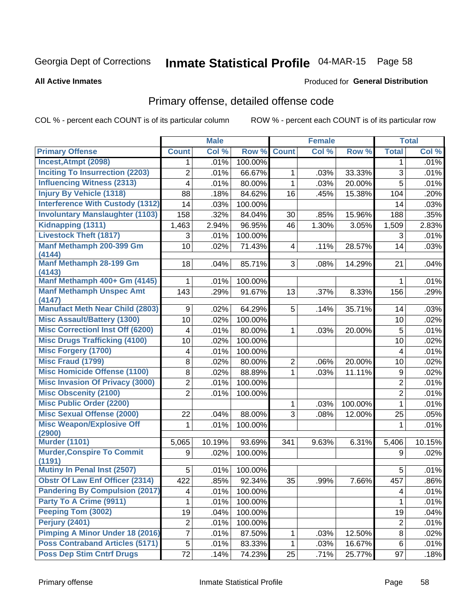# Inmate Statistical Profile 04-MAR-15 Page 58

#### **All Active Inmates**

#### Produced for General Distribution

## Primary offense, detailed offense code

COL % - percent each COUNT is of its particular column

|                                             |                  | <b>Male</b> |         |                         | <b>Female</b> |         |                  | <b>Total</b> |
|---------------------------------------------|------------------|-------------|---------|-------------------------|---------------|---------|------------------|--------------|
| <b>Primary Offense</b>                      | <b>Count</b>     | Col %       | Row %   | <b>Count</b>            | Col %         | Row %   | <b>Total</b>     | Col %        |
| Incest, Atmpt (2098)                        | $\mathbf 1$      | .01%        | 100.00% |                         |               |         | 1                | .01%         |
| <b>Inciting To Insurrection (2203)</b>      | 2                | .01%        | 66.67%  | 1                       | .03%          | 33.33%  | 3                | .01%         |
| <b>Influencing Witness (2313)</b>           | 4                | .01%        | 80.00%  | 1                       | .03%          | 20.00%  | 5                | .01%         |
| <b>Injury By Vehicle (1318)</b>             | 88               | .18%        | 84.62%  | 16                      | .45%          | 15.38%  | 104              | .20%         |
| <b>Interference With Custody (1312)</b>     | 14               | .03%        | 100.00% |                         |               |         | 14               | .03%         |
| <b>Involuntary Manslaughter (1103)</b>      | 158              | .32%        | 84.04%  | 30                      | .85%          | 15.96%  | 188              | .35%         |
| Kidnapping (1311)                           | 1,463            | 2.94%       | 96.95%  | 46                      | 1.30%         | 3.05%   | 1,509            | 2.83%        |
| <b>Livestock Theft (1817)</b>               | 3                | .01%        | 100.00% |                         |               |         | 3                | .01%         |
| Manf Methamph 200-399 Gm<br>(4144)          | 10               | .02%        | 71.43%  | $\overline{\mathbf{4}}$ | .11%          | 28.57%  | 14               | .03%         |
| <b>Manf Methamph 28-199 Gm</b><br>(4143)    | 18               | .04%        | 85.71%  | 3                       | .08%          | 14.29%  | 21               | .04%         |
| Manf Methamph 400+ Gm (4145)                | 1                | .01%        | 100.00% |                         |               |         | 1                | .01%         |
| <b>Manf Methamph Unspec Amt</b><br>(4147)   | 143              | .29%        | 91.67%  | 13                      | .37%          | 8.33%   | 156              | .29%         |
| <b>Manufact Meth Near Child (2803)</b>      | 9                | .02%        | 64.29%  | 5                       | .14%          | 35.71%  | 14               | .03%         |
| <b>Misc Assault/Battery (1300)</b>          | 10               | .02%        | 100.00% |                         |               |         | 10               | .02%         |
| <b>Misc Correctionl Inst Off (6200)</b>     | 4                | .01%        | 80.00%  | 1                       | .03%          | 20.00%  | 5                | .01%         |
| <b>Misc Drugs Trafficking (4100)</b>        | 10               | .02%        | 100.00% |                         |               |         | 10               | .02%         |
| <b>Misc Forgery (1700)</b>                  | 4                | .01%        | 100.00% |                         |               |         | 4                | .01%         |
| <b>Misc Fraud (1799)</b>                    | 8                | .02%        | 80.00%  | $\overline{2}$          | .06%          | 20.00%  | 10               | .02%         |
| <b>Misc Homicide Offense (1100)</b>         | 8                | .02%        | 88.89%  | 1                       | .03%          | 11.11%  | $\boldsymbol{9}$ | .02%         |
| <b>Misc Invasion Of Privacy (3000)</b>      | 2                | .01%        | 100.00% |                         |               |         | $\overline{2}$   | .01%         |
| <b>Misc Obscenity (2100)</b>                | $\overline{2}$   | .01%        | 100.00% |                         |               |         | $\overline{2}$   | .01%         |
| <b>Misc Public Order (2200)</b>             |                  |             |         | $\mathbf{1}$            | .03%          | 100.00% | $\mathbf{1}$     | .01%         |
| <b>Misc Sexual Offense (2000)</b>           | 22               | .04%        | 88.00%  | 3                       | .08%          | 12.00%  | 25               | .05%         |
| <b>Misc Weapon/Explosive Off</b><br>(2900)  | 1                | .01%        | 100.00% |                         |               |         | 1                | .01%         |
| <b>Murder (1101)</b>                        | 5,065            | 10.19%      | 93.69%  | 341                     | 9.63%         | 6.31%   | 5,406            | 10.15%       |
| <b>Murder, Conspire To Commit</b><br>(1191) | 9                | .02%        | 100.00% |                         |               |         | 9                | .02%         |
| Mutiny In Penal Inst (2507)                 | 5                | .01%        | 100.00% |                         |               |         | 5                | .01%         |
| <b>Obstr Of Law Enf Officer (2314)</b>      | 422              | .85%        | 92.34%  | 35                      | .99%          | 7.66%   | 457              | .86%         |
| <b>Pandering By Compulsion (2017)</b>       | 4                | .01%        | 100.00% |                         |               |         | 4                | .01%         |
| Party To A Crime (9911)                     | 1                | .01%        | 100.00% |                         |               |         | 1                | .01%         |
| Peeping Tom (3002)                          | 19               | .04%        | 100.00% |                         |               |         | 19               | .04%         |
| <b>Perjury (2401)</b>                       | $\boldsymbol{2}$ | .01%        | 100.00% |                         |               |         | $\overline{c}$   | .01%         |
| Pimping A Minor Under 18 (2016)             | 7                | .01%        | 87.50%  | 1                       | .03%          | 12.50%  | 8                | .02%         |
| <b>Poss Contraband Articles (5171)</b>      | 5                | .01%        | 83.33%  | $\mathbf{1}$            | .03%          | 16.67%  | 6                | .01%         |
| <b>Poss Dep Stim Cntrf Drugs</b>            | 72               | .14%        | 74.23%  | 25                      | .71%          | 25.77%  | 97               | .18%         |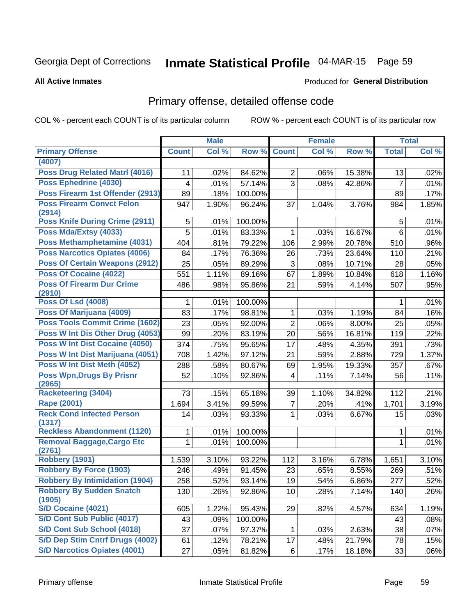# Inmate Statistical Profile 04-MAR-15 Page 59

#### **All Active Inmates**

#### Produced for General Distribution

## Primary offense, detailed offense code

COL % - percent each COUNT is of its particular column

|                                             |              | <b>Male</b> |         |                 | <b>Female</b> |        |                | <b>Total</b> |
|---------------------------------------------|--------------|-------------|---------|-----------------|---------------|--------|----------------|--------------|
| <b>Primary Offense</b>                      | <b>Count</b> | Col %       | Row %   | <b>Count</b>    | Col %         | Row %  | <b>Total</b>   | Col%         |
| (4007)                                      |              |             |         |                 |               |        |                |              |
| <b>Poss Drug Related Matri (4016)</b>       | 11           | .02%        | 84.62%  | $\overline{2}$  | .06%          | 15.38% | 13             | .02%         |
| Poss Ephedrine (4030)                       | 4            | .01%        | 57.14%  | 3               | .08%          | 42.86% | $\overline{7}$ | .01%         |
| Poss Firearm 1st Offender (2913)            | 89           | .18%        | 100.00% |                 |               |        | 89             | .17%         |
| <b>Poss Firearm Convct Felon</b>            | 947          | 1.90%       | 96.24%  | 37              | 1.04%         | 3.76%  | 984            | 1.85%        |
| (2914)                                      |              |             |         |                 |               |        |                |              |
| Poss Knife During Crime (2911)              | 5            | .01%        | 100.00% |                 |               |        | 5              | .01%         |
| Poss Mda/Extsy (4033)                       | 5            | .01%        | 83.33%  | 1               | .03%          | 16.67% | $6\phantom{1}$ | .01%         |
| Poss Methamphetamine (4031)                 | 404          | .81%        | 79.22%  | 106             | 2.99%         | 20.78% | 510            | .96%         |
| <b>Poss Narcotics Opiates (4006)</b>        | 84           | .17%        | 76.36%  | 26              | .73%          | 23.64% | 110            | .21%         |
| <b>Poss Of Certain Weapons (2912)</b>       | 25           | .05%        | 89.29%  | 3               | .08%          | 10.71% | 28             | .05%         |
| <b>Poss Of Cocaine (4022)</b>               | 551          | 1.11%       | 89.16%  | 67              | 1.89%         | 10.84% | 618            | 1.16%        |
| <b>Poss Of Firearm Dur Crime</b>            | 486          | .98%        | 95.86%  | 21              | .59%          | 4.14%  | 507            | .95%         |
| (2910)<br><b>Poss Of Lsd (4008)</b>         | 1            | .01%        | 100.00% |                 |               |        | 1              | .01%         |
| Poss Of Marijuana (4009)                    | 83           | .17%        | 98.81%  | 1               | .03%          | 1.19%  | 84             | .16%         |
| Poss Tools Commit Crime (1602)              | 23           | .05%        | 92.00%  | $\overline{2}$  | .06%          | 8.00%  | 25             | .05%         |
| Poss W Int Dis Other Drug (4053)            | 99           | .20%        | 83.19%  | 20              | .56%          | 16.81% | 119            | .22%         |
| Poss W Int Dist Cocaine (4050)              | 374          | .75%        | 95.65%  | 17              | .48%          | 4.35%  | 391            | .73%         |
| Poss W Int Dist Marijuana (4051)            | 708          | 1.42%       | 97.12%  | 21              | .59%          | 2.88%  | 729            | 1.37%        |
| Poss W Int Dist Meth (4052)                 | 288          | .58%        | 80.67%  | 69              | 1.95%         | 19.33% | 357            | .67%         |
| <b>Poss Wpn, Drugs By Prisnr</b>            | 52           | .10%        | 92.86%  | 4               | .11%          | 7.14%  | 56             | .11%         |
| (2965)                                      |              |             |         |                 |               |        |                |              |
| <b>Racketeering (3404)</b>                  | 73           | .15%        | 65.18%  | 39              | 1.10%         | 34.82% | 112            | .21%         |
| <b>Rape (2001)</b>                          | 1,694        | 3.41%       | 99.59%  | $\overline{7}$  | .20%          | .41%   | 1,701          | 3.19%        |
| <b>Reck Cond Infected Person</b>            | 14           | .03%        | 93.33%  | $\mathbf{1}$    | .03%          | 6.67%  | 15             | .03%         |
| (1317)                                      |              |             |         |                 |               |        |                |              |
| <b>Reckless Abandonment (1120)</b>          | 1            | .01%        | 100.00% |                 |               |        | 1              | .01%         |
| <b>Removal Baggage, Cargo Etc</b><br>(2761) | 1            | .01%        | 100.00% |                 |               |        | 1              | .01%         |
| Robbery (1901)                              | 1,539        | 3.10%       | 93.22%  | 112             | 3.16%         | 6.78%  | 1,651          | 3.10%        |
| <b>Robbery By Force (1903)</b>              | 246          | .49%        | 91.45%  | 23              | .65%          | 8.55%  | 269            | .51%         |
| <b>Robbery By Intimidation (1904)</b>       | 258          | .52%        | 93.14%  | 19              | .54%          | 6.86%  | 277            | .52%         |
| <b>Robbery By Sudden Snatch</b>             | 130          | .26%        | 92.86%  | 10 <sup>1</sup> | .28%          | 7.14%  | 140            | .26%         |
| (1905)                                      |              |             |         |                 |               |        |                |              |
| S/D Cocaine (4021)                          | 605          | 1.22%       | 95.43%  | 29              | .82%          | 4.57%  | 634            | 1.19%        |
| S/D Cont Sub Public (4017)                  | 43           | .09%        | 100.00% |                 |               |        | 43             | .08%         |
| S/D Cont Sub School (4018)                  | 37           | .07%        | 97.37%  | 1               | .03%          | 2.63%  | 38             | .07%         |
| S/D Dep Stim Cntrf Drugs (4002)             | 61           | .12%        | 78.21%  | 17              | .48%          | 21.79% | 78             | .15%         |
| <b>S/D Narcotics Opiates (4001)</b>         | 27           | .05%        | 81.82%  | $6 \mid$        | .17%          | 18.18% | 33             | .06%         |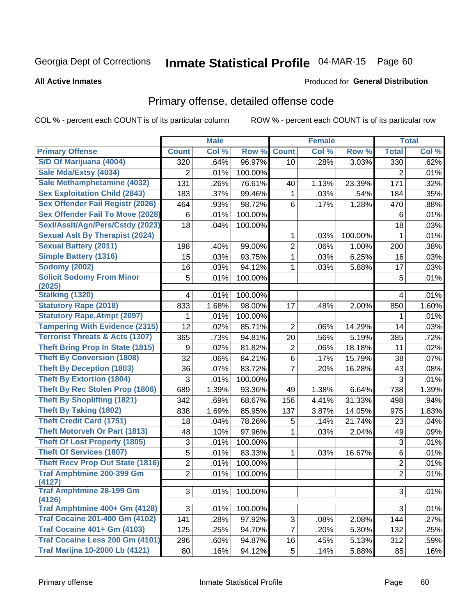# Inmate Statistical Profile 04-MAR-15 Page 60

**All Active Inmates** 

#### Produced for General Distribution

## Primary offense, detailed offense code

COL % - percent each COUNT is of its particular column

|                                            |                | <b>Male</b> |                  |                 | <b>Female</b> |         |                | <b>Total</b> |
|--------------------------------------------|----------------|-------------|------------------|-----------------|---------------|---------|----------------|--------------|
| <b>Primary Offense</b>                     | <b>Count</b>   | Col %       | Row <sup>%</sup> | <b>Count</b>    | Col %         | Row %   | <b>Total</b>   | Col %        |
| S/D Of Marijuana (4004)                    | 320            | .64%        | 96.97%           | 10 <sup>1</sup> | .28%          | 3.03%   | 330            | .62%         |
| Sale Mda/Extsy (4034)                      | $\overline{2}$ | .01%        | 100.00%          |                 |               |         | 2              | .01%         |
| Sale Methamphetamine (4032)                | 131            | .26%        | 76.61%           | 40              | 1.13%         | 23.39%  | 171            | .32%         |
| <b>Sex Exploitation Child (2843)</b>       | 183            | .37%        | 99.46%           | 1               | .03%          | .54%    | 184            | .35%         |
| <b>Sex Offender Fail Registr (2026)</b>    | 464            | .93%        | 98.72%           | 6               | .17%          | 1.28%   | 470            | .88%         |
| <b>Sex Offender Fail To Move (2028)</b>    | 6              | .01%        | 100.00%          |                 |               |         | 6              | .01%         |
| Sexl/Assit/Agn/Pers/Cstdy (2023)           | 18             | .04%        | 100.00%          |                 |               |         | 18             | .03%         |
| <b>Sexual Aslt By Therapist (2024)</b>     |                |             |                  | 1               | .03%          | 100.00% | $\mathbf{1}$   | .01%         |
| <b>Sexual Battery (2011)</b>               | 198            | .40%        | 99.00%           | $\overline{2}$  | .06%          | 1.00%   | 200            | .38%         |
| <b>Simple Battery (1316)</b>               | 15             | .03%        | 93.75%           | 1               | .03%          | 6.25%   | 16             | .03%         |
| <b>Sodomy (2002)</b>                       | 16             | .03%        | 94.12%           | 1               | .03%          | 5.88%   | 17             | .03%         |
| <b>Solicit Sodomy From Minor</b>           | 5              | .01%        | 100.00%          |                 |               |         | 5              | .01%         |
| (2025)<br><b>Stalking (1320)</b>           | 4              | .01%        | 100.00%          |                 |               |         | 4              | .01%         |
| <b>Statutory Rape (2018)</b>               | 833            | 1.68%       | 98.00%           | 17              | .48%          | 2.00%   | 850            | 1.60%        |
| <b>Statutory Rape, Atmpt (2097)</b>        | 1              | .01%        | 100.00%          |                 |               |         | 1              | .01%         |
| <b>Tampering With Evidence (2315)</b>      | 12             | .02%        | 85.71%           | 2               | .06%          | 14.29%  | 14             | .03%         |
| <b>Terrorist Threats &amp; Acts (1307)</b> | 365            | .73%        | 94.81%           | 20              | .56%          | 5.19%   | 385            | .72%         |
| <b>Theft Bring Prop In State (1815)</b>    | 9              | .02%        | 81.82%           | $\overline{2}$  | .06%          | 18.18%  | 11             | .02%         |
| <b>Theft By Conversion (1808)</b>          | 32             | .06%        | 84.21%           | 6               | .17%          | 15.79%  | 38             | .07%         |
| <b>Theft By Deception (1803)</b>           | 36             | .07%        | 83.72%           | 7               | .20%          | 16.28%  | 43             | .08%         |
| <b>Theft By Extortion (1804)</b>           | 3              | .01%        | 100.00%          |                 |               |         | 3              | .01%         |
| <b>Theft By Rec Stolen Prop (1806)</b>     | 689            | 1.39%       | 93.36%           | 49              | 1.38%         | 6.64%   | 738            | 1.39%        |
| <b>Theft By Shoplifting (1821)</b>         | 342            | .69%        | 68.67%           | 156             | 4.41%         | 31.33%  | 498            | .94%         |
| <b>Theft By Taking (1802)</b>              | 838            | 1.69%       | 85.95%           | 137             | 3.87%         | 14.05%  | 975            | 1.83%        |
| <b>Theft Credit Card (1751)</b>            | 18             | .04%        | 78.26%           | 5               | .14%          | 21.74%  | 23             | .04%         |
| <b>Theft Motorveh Or Part (1813)</b>       | 48             | .10%        | 97.96%           | 1               | .03%          | 2.04%   | 49             | .09%         |
| <b>Theft Of Lost Property (1805)</b>       | 3              | .01%        | 100.00%          |                 |               |         | 3              | .01%         |
| <b>Theft Of Services (1807)</b>            | 5              | .01%        | 83.33%           | 1               | .03%          | 16.67%  | $\,6$          | .01%         |
| <b>Theft Recv Prop Out State (1816)</b>    | $\overline{2}$ | .01%        | 100.00%          |                 |               |         | $\mathbf 2$    | .01%         |
| <b>Traf Amphtmine 200-399 Gm</b><br>(4127) | $\overline{2}$ | .01%        | 100.00%          |                 |               |         | $\overline{2}$ | .01%         |
| <b>Traf Amphtmine 28-199 Gm</b><br>(4126)  | 3              | .01%        | 100.00%          |                 |               |         | 3              | .01%         |
| Traf Amphtmine 400+ Gm (4128)              | 3              | .01%        | 100.00%          |                 |               |         | 3              | .01%         |
| <b>Traf Cocaine 201-400 Gm (4102)</b>      | 141            | .28%        | 97.92%           | 3               | .08%          | 2.08%   | 144            | .27%         |
| <b>Traf Cocaine 401+ Gm (4103)</b>         | 125            | .25%        | 94.70%           | $\overline{7}$  | .20%          | 5.30%   | 132            | .25%         |
| Traf Cocaine Less 200 Gm (4101)            | 296            | .60%        | 94.87%           | 16              | .45%          | 5.13%   | 312            | .59%         |
| <b>Traf Marijna 10-2000 Lb (4121)</b>      | 80             | .16%        | 94.12%           | 5 <sup>1</sup>  | .14%          | 5.88%   | 85             | .16%         |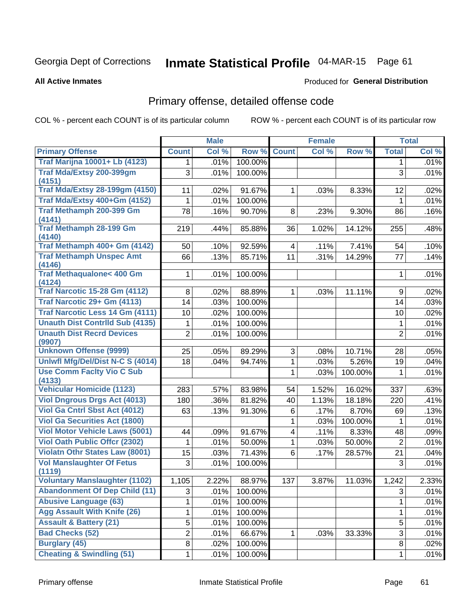# Inmate Statistical Profile 04-MAR-15 Page 61

**All Active Inmates** 

#### Produced for General Distribution

## Primary offense, detailed offense code

COL % - percent each COUNT is of its particular column

|                                            |                | <b>Male</b> |         |              | <b>Female</b> |         |                | <b>Total</b> |
|--------------------------------------------|----------------|-------------|---------|--------------|---------------|---------|----------------|--------------|
| <b>Primary Offense</b>                     | <b>Count</b>   | Col %       | Row %   | <b>Count</b> | Col %         | Row %   | <b>Total</b>   | Col %        |
| <b>Traf Marijna 10001+ Lb (4123)</b>       | $\mathbf 1$    | .01%        | 100.00% |              |               |         | 1.             | .01%         |
| Traf Mda/Extsy 200-399gm                   | 3              | .01%        | 100.00% |              |               |         | 3              | .01%         |
| (4151)                                     |                |             |         |              |               |         |                |              |
| <b>Traf Mda/Extsy 28-199gm (4150)</b>      | 11             | .02%        | 91.67%  | 1            | .03%          | 8.33%   | 12             | .02%         |
| Traf Mda/Extsy 400+Gm (4152)               | 1              | .01%        | 100.00% |              |               |         | $\mathbf{1}$   | .01%         |
| Traf Methamph 200-399 Gm                   | 78             | .16%        | 90.70%  | 8            | .23%          | 9.30%   | 86             | .16%         |
| (4141)<br><b>Traf Methamph 28-199 Gm</b>   |                |             |         |              |               |         |                |              |
| (4140)                                     | 219            | .44%        | 85.88%  | 36           | 1.02%         | 14.12%  | 255            | .48%         |
| Traf Methamph 400+ Gm (4142)               | 50             | .10%        | 92.59%  | 4            | .11%          | 7.41%   | 54             | .10%         |
| <b>Traf Methamph Unspec Amt</b>            | 66             | .13%        | 85.71%  | 11           | .31%          | 14.29%  | 77             | .14%         |
| (4146)                                     |                |             |         |              |               |         |                |              |
| <b>Traf Methaqualone&lt; 400 Gm</b>        | $\mathbf{1}$   | .01%        | 100.00% |              |               |         | 1              | .01%         |
| (4124)                                     |                |             |         |              |               |         |                |              |
| <b>Traf Narcotic 15-28 Gm (4112)</b>       | 8              | .02%        | 88.89%  | 1            | .03%          | 11.11%  | 9              | .02%         |
| Traf Narcotic 29+ Gm (4113)                | 14             | .03%        | 100.00% |              |               |         | 14             | .03%         |
| Traf Narcotic Less 14 Gm (4111)            | 10             | .02%        | 100.00% |              |               |         | 10             | .02%         |
| <b>Unauth Dist Contrild Sub (4135)</b>     | 1              | .01%        | 100.00% |              |               |         | 1              | .01%         |
| <b>Unauth Dist Recrd Devices</b>           | $\overline{2}$ | .01%        | 100.00% |              |               |         | $\overline{2}$ | .01%         |
| (9907)                                     |                |             |         |              |               |         |                |              |
| <b>Unknown Offense (9999)</b>              | 25             | .05%        | 89.29%  | 3            | .08%          | 10.71%  | 28             | .05%         |
| Uniwfl Mfg/Del/Dist N-C S (4014)           | 18             | .04%        | 94.74%  | 1            | .03%          | 5.26%   | 19             | .04%         |
| <b>Use Comm Facity Vio C Sub</b><br>(4133) |                |             |         | 1            | .03%          | 100.00% | 1              | .01%         |
| <b>Vehicular Homicide (1123)</b>           | 283            | .57%        | 83.98%  | 54           | 1.52%         | 16.02%  | 337            | .63%         |
| <b>Viol Dngrous Drgs Act (4013)</b>        | 180            | .36%        | 81.82%  | 40           | 1.13%         | 18.18%  | 220            | .41%         |
| <b>Viol Ga Cntrl Sbst Act (4012)</b>       | 63             | .13%        | 91.30%  | 6            | .17%          | 8.70%   | 69             | .13%         |
| <b>Viol Ga Securities Act (1800)</b>       |                |             |         | 1            | .03%          | 100.00% | 1              | .01%         |
| <b>Viol Motor Vehicle Laws (5001)</b>      | 44             | .09%        | 91.67%  | 4            | .11%          | 8.33%   | 48             | .09%         |
| <b>Viol Oath Public Offcr (2302)</b>       | 1              | .01%        | 50.00%  | 1            | .03%          | 50.00%  | $\overline{2}$ | .01%         |
| <b>Violatn Othr States Law (8001)</b>      | 15             | .03%        | 71.43%  | 6            | .17%          | 28.57%  | 21             | .04%         |
| <b>Vol Manslaughter Of Fetus</b>           | 3              | .01%        | 100.00% |              |               |         | 3              | .01%         |
| (1119)                                     |                |             |         |              |               |         |                |              |
| <b>Voluntary Manslaughter (1102)</b>       | 1,105          | 2.22%       | 88.97%  | 137          | 3.87%         | 11.03%  | 1,242          | 2.33%        |
| <b>Abandonment Of Dep Child (11)</b>       | 3              | .01%        | 100.00% |              |               |         | 3              | .01%         |
| <b>Abusive Language (63)</b>               | 1              | .01%        | 100.00% |              |               |         | 1              | .01%         |
| <b>Agg Assault With Knife (26)</b>         | 1              | .01%        | 100.00% |              |               |         | 1              | .01%         |
| <b>Assault &amp; Battery (21)</b>          | 5              | .01%        | 100.00% |              |               |         | 5              | .01%         |
| <b>Bad Checks (52)</b>                     | $\overline{c}$ | .01%        | 66.67%  | 1.           | .03%          | 33.33%  | 3              | .01%         |
| <b>Burglary (45)</b>                       | 8              | .02%        | 100.00% |              |               |         | 8              | .02%         |
| <b>Cheating &amp; Swindling (51)</b>       | $\mathbf{1}$   | .01%        | 100.00% |              |               |         | 1              | .01%         |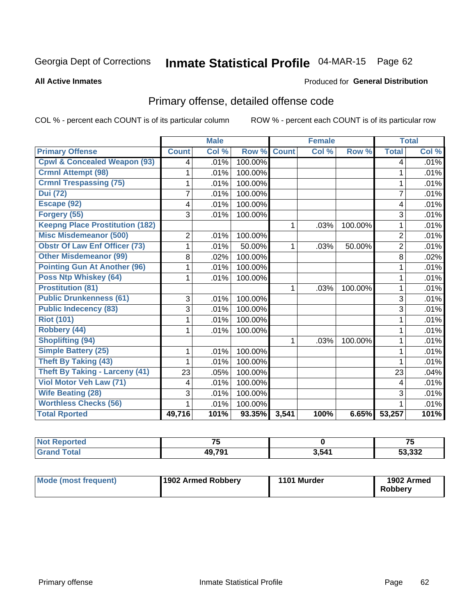# Inmate Statistical Profile 04-MAR-15 Page 62

#### **All Active Inmates**

### **Produced for General Distribution**

## Primary offense, detailed offense code

COL % - percent each COUNT is of its particular column

|                                         |                | <b>Male</b>               |         |              | <b>Female</b> |         |                | <b>Total</b> |
|-----------------------------------------|----------------|---------------------------|---------|--------------|---------------|---------|----------------|--------------|
| <b>Primary Offense</b>                  | <b>Count</b>   | $\overline{\text{Col}}$ % | Row %   | <b>Count</b> | Col %         | Row %   | <b>Total</b>   | Col %        |
| <b>Cpwl &amp; Concealed Weapon (93)</b> | 4              | .01%                      | 100.00% |              |               |         | 4              | .01%         |
| <b>Crmnl Attempt (98)</b>               | 1              | .01%                      | 100.00% |              |               |         | 1              | .01%         |
| <b>Crmnl Trespassing (75)</b>           | 1              | .01%                      | 100.00% |              |               |         | 1              | .01%         |
| <b>Dui</b> (72)                         | 7              | .01%                      | 100.00% |              |               |         | $\overline{7}$ | .01%         |
| Escape (92)                             | 4              | .01%                      | 100.00% |              |               |         | 4              | .01%         |
| Forgery (55)                            | 3              | .01%                      | 100.00% |              |               |         | 3              | .01%         |
| <b>Keepng Place Prostitution (182)</b>  |                |                           |         | 1            | .03%          | 100.00% | 1              | .01%         |
| <b>Misc Misdemeanor (500)</b>           | $\overline{2}$ | .01%                      | 100.00% |              |               |         | $\overline{2}$ | .01%         |
| <b>Obstr Of Law Enf Officer (73)</b>    |                | .01%                      | 50.00%  | 1            | .03%          | 50.00%  | $\overline{2}$ | .01%         |
| <b>Other Misdemeanor (99)</b>           | 8              | .02%                      | 100.00% |              |               |         | 8              | .02%         |
| <b>Pointing Gun At Another (96)</b>     |                | .01%                      | 100.00% |              |               |         | 1              | .01%         |
| <b>Poss Ntp Whiskey (64)</b>            |                | .01%                      | 100.00% |              |               |         |                | .01%         |
| <b>Prostitution (81)</b>                |                |                           |         | 1            | .03%          | 100.00% | 1              | .01%         |
| <b>Public Drunkenness (61)</b>          | 3              | .01%                      | 100.00% |              |               |         | 3              | .01%         |
| <b>Public Indecency (83)</b>            | 3              | .01%                      | 100.00% |              |               |         | 3              | .01%         |
| <b>Riot (101)</b>                       |                | .01%                      | 100.00% |              |               |         |                | .01%         |
| Robbery (44)                            |                | .01%                      | 100.00% |              |               |         | 1              | .01%         |
| <b>Shoplifting (94)</b>                 |                |                           |         | 1            | .03%          | 100.00% | 1              | .01%         |
| <b>Simple Battery (25)</b>              | 1              | .01%                      | 100.00% |              |               |         | 1              | .01%         |
| <b>Theft By Taking (43)</b>             |                | .01%                      | 100.00% |              |               |         |                | .01%         |
| <b>Theft By Taking - Larceny (41)</b>   | 23             | .05%                      | 100.00% |              |               |         | 23             | .04%         |
| Viol Motor Veh Law (71)                 | 4              | .01%                      | 100.00% |              |               |         | 4              | .01%         |
| <b>Wife Beating (28)</b>                | 3              | .01%                      | 100.00% |              |               |         | 3              | .01%         |
| <b>Worthless Checks (56)</b>            |                | .01%                      | 100.00% |              |               |         |                | .01%         |
| <b>Total Rported</b>                    | 49,716         | 101%                      | 93.35%  | 3,541        | 100%          | 6.65%   | 53,257         | 101%         |

| тео | $\rightarrow$ |       | --                     |
|-----|---------------|-------|------------------------|
|     | 10 701        | 3,541 | רכפ כ<br>∠دد.<br>- 1-1 |

| Mode (most frequent) | 1902 Armed Robbery | 1101 Murder | 1902 Armed<br>Robberv |
|----------------------|--------------------|-------------|-----------------------|
|----------------------|--------------------|-------------|-----------------------|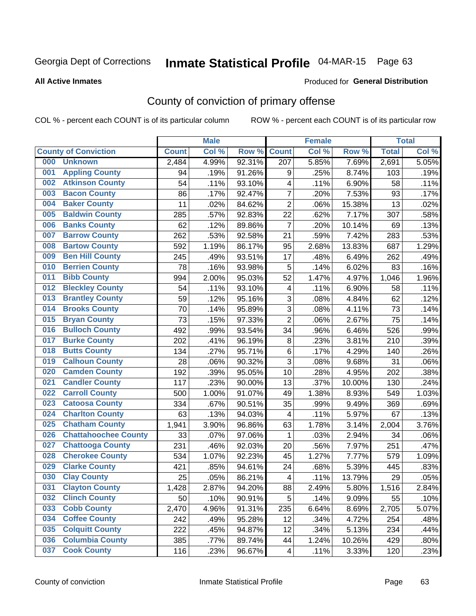# Inmate Statistical Profile 04-MAR-15 Page 63

**All Active Inmates** 

#### Produced for General Distribution

## County of conviction of primary offense

COL % - percent each COUNT is of its particular column

|     |                             |              | <b>Male</b> |        |                          | <b>Female</b> |        |              | <b>Total</b> |
|-----|-----------------------------|--------------|-------------|--------|--------------------------|---------------|--------|--------------|--------------|
|     | <b>County of Conviction</b> | <b>Count</b> | Col %       | Row %  | <b>Count</b>             | Col %         | Row %  | <b>Total</b> | Col %        |
| 000 | <b>Unknown</b>              | 2,484        | 4.99%       | 92.31% | 207                      | 5.85%         | 7.69%  | 2,691        | 5.05%        |
| 001 | <b>Appling County</b>       | 94           | .19%        | 91.26% | 9                        | .25%          | 8.74%  | 103          | .19%         |
| 002 | <b>Atkinson County</b>      | 54           | .11%        | 93.10% | 4                        | .11%          | 6.90%  | 58           | .11%         |
| 003 | <b>Bacon County</b>         | 86           | .17%        | 92.47% | $\overline{7}$           | .20%          | 7.53%  | 93           | .17%         |
| 004 | <b>Baker County</b>         | 11           | .02%        | 84.62% | $\overline{2}$           | .06%          | 15.38% | 13           | .02%         |
| 005 | <b>Baldwin County</b>       | 285          | .57%        | 92.83% | 22                       | .62%          | 7.17%  | 307          | .58%         |
| 006 | <b>Banks County</b>         | 62           | .12%        | 89.86% | $\overline{7}$           | .20%          | 10.14% | 69           | .13%         |
| 007 | <b>Barrow County</b>        | 262          | .53%        | 92.58% | 21                       | .59%          | 7.42%  | 283          | .53%         |
| 008 | <b>Bartow County</b>        | 592          | 1.19%       | 86.17% | 95                       | 2.68%         | 13.83% | 687          | 1.29%        |
| 009 | <b>Ben Hill County</b>      | 245          | .49%        | 93.51% | 17                       | .48%          | 6.49%  | 262          | .49%         |
| 010 | <b>Berrien County</b>       | 78           | .16%        | 93.98% | 5                        | .14%          | 6.02%  | 83           | .16%         |
| 011 | <b>Bibb County</b>          | 994          | 2.00%       | 95.03% | 52                       | 1.47%         | 4.97%  | 1,046        | 1.96%        |
| 012 | <b>Bleckley County</b>      | 54           | .11%        | 93.10% | 4                        | .11%          | 6.90%  | 58           | .11%         |
| 013 | <b>Brantley County</b>      | 59           | .12%        | 95.16% | 3                        | .08%          | 4.84%  | 62           | .12%         |
| 014 | <b>Brooks County</b>        | 70           | .14%        | 95.89% | $\sqrt{3}$               | .08%          | 4.11%  | 73           | .14%         |
| 015 | <b>Bryan County</b>         | 73           | .15%        | 97.33% | $\overline{2}$           | .06%          | 2.67%  | 75           | .14%         |
| 016 | <b>Bulloch County</b>       | 492          | .99%        | 93.54% | 34                       | .96%          | 6.46%  | 526          | .99%         |
| 017 | <b>Burke County</b>         | 202          | .41%        | 96.19% | 8                        | .23%          | 3.81%  | 210          | .39%         |
| 018 | <b>Butts County</b>         | 134          | .27%        | 95.71% | $\,6$                    | .17%          | 4.29%  | 140          | .26%         |
| 019 | <b>Calhoun County</b>       | 28           | .06%        | 90.32% | 3                        | .08%          | 9.68%  | 31           | .06%         |
| 020 | <b>Camden County</b>        | 192          | .39%        | 95.05% | 10                       | .28%          | 4.95%  | 202          | .38%         |
| 021 | <b>Candler County</b>       | 117          | .23%        | 90.00% | 13                       | .37%          | 10.00% | 130          | .24%         |
| 022 | <b>Carroll County</b>       | 500          | 1.00%       | 91.07% | 49                       | 1.38%         | 8.93%  | 549          | 1.03%        |
| 023 | <b>Catoosa County</b>       | 334          | .67%        | 90.51% | 35                       | .99%          | 9.49%  | 369          | .69%         |
| 024 | <b>Charlton County</b>      | 63           | .13%        | 94.03% | 4                        | .11%          | 5.97%  | 67           | .13%         |
| 025 | <b>Chatham County</b>       | 1,941        | 3.90%       | 96.86% | 63                       | 1.78%         | 3.14%  | 2,004        | 3.76%        |
| 026 | <b>Chattahoochee County</b> | 33           | .07%        | 97.06% | 1                        | .03%          | 2.94%  | 34           | .06%         |
| 027 | <b>Chattooga County</b>     | 231          | .46%        | 92.03% | 20                       | .56%          | 7.97%  | 251          | .47%         |
| 028 | <b>Cherokee County</b>      | 534          | 1.07%       | 92.23% | 45                       | 1.27%         | 7.77%  | 579          | 1.09%        |
| 029 | <b>Clarke County</b>        | 421          | .85%        | 94.61% | 24                       | .68%          | 5.39%  | 445          | .83%         |
| 030 | <b>Clay County</b>          | 25           | .05%        | 86.21% | $\overline{\mathbf{4}}$  | .11%          | 13.79% | 29           | .05%         |
| 031 | <b>Clayton County</b>       | 1,428        | 2.87%       | 94.20% | 88                       | 2.49%         | 5.80%  | 1,516        | 2.84%        |
| 032 | <b>Clinch County</b>        | 50           | .10%        | 90.91% | 5                        | .14%          | 9.09%  | 55           | .10%         |
| 033 | <b>Cobb County</b>          | 2,470        | 4.96%       | 91.31% | 235                      | 6.64%         | 8.69%  | 2,705        | 5.07%        |
| 034 | <b>Coffee County</b>        | 242          | .49%        | 95.28% | 12                       | .34%          | 4.72%  | 254          | .48%         |
| 035 | <b>Colquitt County</b>      | 222          | .45%        | 94.87% | 12                       | .34%          | 5.13%  | 234          | .44%         |
| 036 | <b>Columbia County</b>      | 385          | .77%        | 89.74% | 44                       | 1.24%         | 10.26% | 429          | .80%         |
| 037 | <b>Cook County</b>          | 116          | .23%        | 96.67% | $\overline{\mathcal{A}}$ | .11%          | 3.33%  | 120          | .23%         |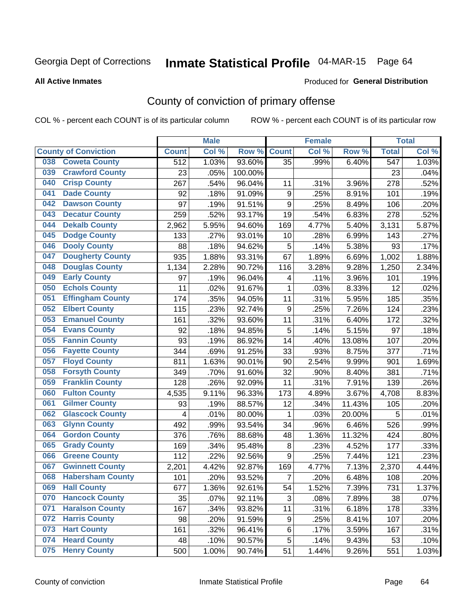# Inmate Statistical Profile 04-MAR-15 Page 64

**Produced for General Distribution** 

#### **All Active Inmates**

## County of conviction of primary offense

COL % - percent each COUNT is of its particular column

|     |                             |                  | <b>Male</b> |         |                  | <b>Female</b> |        |                  | <b>Total</b> |
|-----|-----------------------------|------------------|-------------|---------|------------------|---------------|--------|------------------|--------------|
|     | <b>County of Conviction</b> | <b>Count</b>     | Col %       | Row %   | <b>Count</b>     | Col %         | Row %  | <b>Total</b>     | Col %        |
| 038 | <b>Coweta County</b>        | $\overline{512}$ | 1.03%       | 93.60%  | 35               | .99%          | 6.40%  | $\overline{547}$ | 1.03%        |
| 039 | <b>Crawford County</b>      | 23               | .05%        | 100.00% |                  |               |        | 23               | .04%         |
| 040 | <b>Crisp County</b>         | 267              | .54%        | 96.04%  | 11               | .31%          | 3.96%  | 278              | .52%         |
| 041 | <b>Dade County</b>          | 92               | .18%        | 91.09%  | $\boldsymbol{9}$ | .25%          | 8.91%  | 101              | .19%         |
| 042 | <b>Dawson County</b>        | 97               | .19%        | 91.51%  | 9                | .25%          | 8.49%  | 106              | .20%         |
| 043 | <b>Decatur County</b>       | 259              | .52%        | 93.17%  | 19               | .54%          | 6.83%  | 278              | .52%         |
| 044 | <b>Dekalb County</b>        | 2,962            | 5.95%       | 94.60%  | 169              | 4.77%         | 5.40%  | 3,131            | 5.87%        |
| 045 | <b>Dodge County</b>         | 133              | .27%        | 93.01%  | 10               | .28%          | 6.99%  | 143              | .27%         |
| 046 | <b>Dooly County</b>         | 88               | .18%        | 94.62%  | 5                | .14%          | 5.38%  | 93               | .17%         |
| 047 | <b>Dougherty County</b>     | 935              | 1.88%       | 93.31%  | 67               | 1.89%         | 6.69%  | 1,002            | 1.88%        |
| 048 | <b>Douglas County</b>       | 1,134            | 2.28%       | 90.72%  | 116              | 3.28%         | 9.28%  | 1,250            | 2.34%        |
| 049 | <b>Early County</b>         | 97               | .19%        | 96.04%  | 4                | .11%          | 3.96%  | 101              | .19%         |
| 050 | <b>Echols County</b>        | 11               | .02%        | 91.67%  | $\mathbf{1}$     | .03%          | 8.33%  | 12               | .02%         |
| 051 | <b>Effingham County</b>     | 174              | .35%        | 94.05%  | 11               | .31%          | 5.95%  | 185              | .35%         |
| 052 | <b>Elbert County</b>        | 115              | .23%        | 92.74%  | $\boldsymbol{9}$ | .25%          | 7.26%  | 124              | .23%         |
| 053 | <b>Emanuel County</b>       | 161              | .32%        | 93.60%  | 11               | .31%          | 6.40%  | 172              | .32%         |
| 054 | <b>Evans County</b>         | 92               | .18%        | 94.85%  | 5                | .14%          | 5.15%  | 97               | .18%         |
| 055 | <b>Fannin County</b>        | 93               | .19%        | 86.92%  | 14               | .40%          | 13.08% | 107              | .20%         |
| 056 | <b>Fayette County</b>       | 344              | .69%        | 91.25%  | 33               | .93%          | 8.75%  | 377              | .71%         |
| 057 | <b>Floyd County</b>         | 811              | 1.63%       | 90.01%  | 90               | 2.54%         | 9.99%  | 901              | 1.69%        |
| 058 | <b>Forsyth County</b>       | 349              | .70%        | 91.60%  | 32               | .90%          | 8.40%  | 381              | .71%         |
| 059 | <b>Franklin County</b>      | 128              | .26%        | 92.09%  | 11               | .31%          | 7.91%  | 139              | .26%         |
| 060 | <b>Fulton County</b>        | 4,535            | 9.11%       | 96.33%  | 173              | 4.89%         | 3.67%  | 4,708            | 8.83%        |
| 061 | <b>Gilmer County</b>        | 93               | .19%        | 88.57%  | 12               | .34%          | 11.43% | 105              | .20%         |
| 062 | <b>Glascock County</b>      | 4                | .01%        | 80.00%  | 1                | .03%          | 20.00% | 5                | .01%         |
| 063 | <b>Glynn County</b>         | 492              | .99%        | 93.54%  | 34               | .96%          | 6.46%  | 526              | .99%         |
| 064 | <b>Gordon County</b>        | 376              | .76%        | 88.68%  | 48               | 1.36%         | 11.32% | 424              | .80%         |
| 065 | <b>Grady County</b>         | 169              | .34%        | 95.48%  | $\,8\,$          | .23%          | 4.52%  | 177              | .33%         |
| 066 | <b>Greene County</b>        | 112              | .22%        | 92.56%  | 9                | .25%          | 7.44%  | 121              | .23%         |
| 067 | <b>Gwinnett County</b>      | 2,201            | 4.42%       | 92.87%  | 169              | 4.77%         | 7.13%  | 2,370            | 4.44%        |
| 068 | <b>Habersham County</b>     | 101              | .20%        | 93.52%  | $\overline{7}$   | .20%          | 6.48%  | 108              | .20%         |
| 069 | <b>Hall County</b>          | 677              | 1.36%       | 92.61%  | 54               | 1.52%         | 7.39%  | 731              | 1.37%        |
| 070 | <b>Hancock County</b>       | 35               | .07%        | 92.11%  | 3                | .08%          | 7.89%  | 38               | .07%         |
| 071 | <b>Haralson County</b>      | 167              | .34%        | 93.82%  | 11               | .31%          | 6.18%  | 178              | .33%         |
| 072 | <b>Harris County</b>        | 98               | .20%        | 91.59%  | 9                | .25%          | 8.41%  | 107              | .20%         |
| 073 | <b>Hart County</b>          | 161              | .32%        | 96.41%  | 6                | .17%          | 3.59%  | 167              | .31%         |
| 074 | <b>Heard County</b>         | 48               | .10%        | 90.57%  | 5                | .14%          | 9.43%  | 53               | .10%         |
| 075 | <b>Henry County</b>         | 500              | 1.00%       | 90.74%  | 51               | 1.44%         | 9.26%  | 551              | 1.03%        |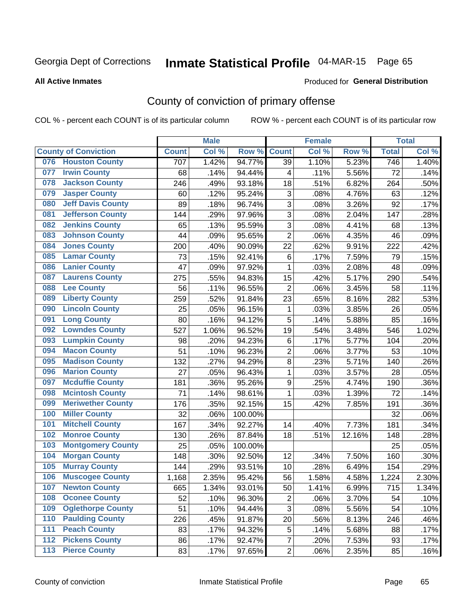# Inmate Statistical Profile 04-MAR-15 Page 65

Produced for General Distribution

#### **All Active Inmates**

## County of conviction of primary offense

COL % - percent each COUNT is of its particular column

|     |                             |              | <b>Male</b> |         |                           | <b>Female</b> |        |                  | <b>Total</b> |
|-----|-----------------------------|--------------|-------------|---------|---------------------------|---------------|--------|------------------|--------------|
|     | <b>County of Conviction</b> | <b>Count</b> | Col %       | Row %   | <b>Count</b>              | Col %         | Row %  | <b>Total</b>     | Col %        |
| 076 | <b>Houston County</b>       | 707          | 1.42%       | 94.77%  | 39                        | 1.10%         | 5.23%  | $\overline{746}$ | 1.40%        |
| 077 | <b>Irwin County</b>         | 68           | .14%        | 94.44%  | 4                         | .11%          | 5.56%  | 72               | .14%         |
| 078 | <b>Jackson County</b>       | 246          | .49%        | 93.18%  | 18                        | .51%          | 6.82%  | 264              | .50%         |
| 079 | <b>Jasper County</b>        | 60           | .12%        | 95.24%  | $\ensuremath{\mathsf{3}}$ | .08%          | 4.76%  | 63               | .12%         |
| 080 | <b>Jeff Davis County</b>    | 89           | .18%        | 96.74%  | 3                         | .08%          | 3.26%  | 92               | .17%         |
| 081 | <b>Jefferson County</b>     | 144          | .29%        | 97.96%  | 3                         | .08%          | 2.04%  | 147              | .28%         |
| 082 | <b>Jenkins County</b>       | 65           | .13%        | 95.59%  | 3                         | .08%          | 4.41%  | 68               | .13%         |
| 083 | <b>Johnson County</b>       | 44           | .09%        | 95.65%  | $\overline{2}$            | .06%          | 4.35%  | 46               | .09%         |
| 084 | <b>Jones County</b>         | 200          | .40%        | 90.09%  | 22                        | .62%          | 9.91%  | 222              | .42%         |
| 085 | <b>Lamar County</b>         | 73           | .15%        | 92.41%  | 6                         | .17%          | 7.59%  | 79               | .15%         |
| 086 | <b>Lanier County</b>        | 47           | .09%        | 97.92%  | 1                         | .03%          | 2.08%  | 48               | .09%         |
| 087 | <b>Laurens County</b>       | 275          | .55%        | 94.83%  | 15                        | .42%          | 5.17%  | 290              | .54%         |
| 088 | <b>Lee County</b>           | 56           | .11%        | 96.55%  | $\overline{2}$            | .06%          | 3.45%  | 58               | .11%         |
| 089 | <b>Liberty County</b>       | 259          | .52%        | 91.84%  | 23                        | .65%          | 8.16%  | 282              | .53%         |
| 090 | <b>Lincoln County</b>       | 25           | .05%        | 96.15%  | $\mathbf 1$               | .03%          | 3.85%  | 26               | .05%         |
| 091 | <b>Long County</b>          | 80           | .16%        | 94.12%  | 5                         | .14%          | 5.88%  | 85               | .16%         |
| 092 | <b>Lowndes County</b>       | 527          | 1.06%       | 96.52%  | 19                        | .54%          | 3.48%  | 546              | 1.02%        |
| 093 | <b>Lumpkin County</b>       | 98           | .20%        | 94.23%  | 6                         | .17%          | 5.77%  | 104              | .20%         |
| 094 | <b>Macon County</b>         | 51           | .10%        | 96.23%  | $\overline{2}$            | .06%          | 3.77%  | 53               | .10%         |
| 095 | <b>Madison County</b>       | 132          | .27%        | 94.29%  | 8                         | .23%          | 5.71%  | 140              | .26%         |
| 096 | <b>Marion County</b>        | 27           | .05%        | 96.43%  | $\mathbf{1}$              | .03%          | 3.57%  | 28               | .05%         |
| 097 | <b>Mcduffie County</b>      | 181          | .36%        | 95.26%  | $\boldsymbol{9}$          | .25%          | 4.74%  | 190              | .36%         |
| 098 | <b>Mcintosh County</b>      | 71           | .14%        | 98.61%  | $\mathbf{1}$              | .03%          | 1.39%  | 72               | .14%         |
| 099 | <b>Meriwether County</b>    | 176          | .35%        | 92.15%  | 15                        | .42%          | 7.85%  | 191              | .36%         |
| 100 | <b>Miller County</b>        | 32           | .06%        | 100.00% |                           |               |        | 32               | .06%         |
| 101 | <b>Mitchell County</b>      | 167          | .34%        | 92.27%  | 14                        | .40%          | 7.73%  | 181              | .34%         |
| 102 | <b>Monroe County</b>        | 130          | .26%        | 87.84%  | 18                        | .51%          | 12.16% | 148              | .28%         |
| 103 | <b>Montgomery County</b>    | 25           | .05%        | 100.00% |                           |               |        | 25               | .05%         |
| 104 | <b>Morgan County</b>        | 148          | .30%        | 92.50%  | 12                        | .34%          | 7.50%  | 160              | .30%         |
| 105 | <b>Murray County</b>        | 144          | .29%        | 93.51%  | 10                        | .28%          | 6.49%  | 154              | .29%         |
| 106 | <b>Muscogee County</b>      | 1,168        | 2.35%       | 95.42%  | 56                        | 1.58%         | 4.58%  | 1,224            | 2.30%        |
| 107 | <b>Newton County</b>        | 665          | 1.34%       | 93.01%  | 50                        | 1.41%         | 6.99%  | 715              | 1.34%        |
| 108 | <b>Oconee County</b>        | 52           | .10%        | 96.30%  | $\overline{2}$            | .06%          | 3.70%  | 54               | .10%         |
| 109 | <b>Oglethorpe County</b>    | 51           | .10%        | 94.44%  | 3                         | .08%          | 5.56%  | 54               | .10%         |
| 110 | <b>Paulding County</b>      | 226          | .45%        | 91.87%  | 20                        | .56%          | 8.13%  | 246              | .46%         |
| 111 | <b>Peach County</b>         | 83           | .17%        | 94.32%  | 5                         | .14%          | 5.68%  | 88               | .17%         |
| 112 | <b>Pickens County</b>       | 86           | .17%        | 92.47%  | $\overline{7}$            | .20%          | 7.53%  | 93               | .17%         |
| 113 | <b>Pierce County</b>        | 83           | .17%        | 97.65%  | $\overline{c}$            | .06%          | 2.35%  | 85               | .16%         |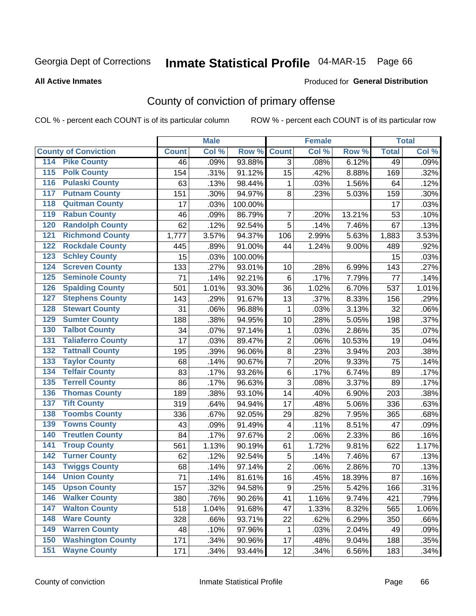# Inmate Statistical Profile 04-MAR-15 Page 66

Produced for General Distribution

#### **All Active Inmates**

## County of conviction of primary offense

COL % - percent each COUNT is of its particular column

|                                        |              | <b>Male</b> |         |                | <b>Female</b> |        |              | <b>Total</b> |
|----------------------------------------|--------------|-------------|---------|----------------|---------------|--------|--------------|--------------|
| <b>County of Conviction</b>            | <b>Count</b> | Col %       | Row %   | <b>Count</b>   | Col %         | Row %  | <b>Total</b> | Col %        |
| <b>Pike County</b><br>114              | 46           | .09%        | 93.88%  | $\overline{3}$ | .08%          | 6.12%  | 49           | .09%         |
| <b>Polk County</b><br>$\overline{115}$ | 154          | .31%        | 91.12%  | 15             | .42%          | 8.88%  | 169          | .32%         |
| <b>Pulaski County</b><br>116           | 63           | .13%        | 98.44%  | $\mathbf{1}$   | .03%          | 1.56%  | 64           | .12%         |
| <b>Putnam County</b><br>117            | 151          | .30%        | 94.97%  | 8              | .23%          | 5.03%  | 159          | .30%         |
| 118<br><b>Quitman County</b>           | 17           | .03%        | 100.00% |                |               |        | 17           | .03%         |
| <b>Rabun County</b><br>119             | 46           | .09%        | 86.79%  | 7              | .20%          | 13.21% | 53           | .10%         |
| <b>Randolph County</b><br>120          | 62           | .12%        | 92.54%  | 5              | .14%          | 7.46%  | 67           | .13%         |
| <b>Richmond County</b><br>121          | 1,777        | 3.57%       | 94.37%  | 106            | 2.99%         | 5.63%  | 1,883        | 3.53%        |
| <b>Rockdale County</b><br>122          | 445          | .89%        | 91.00%  | 44             | 1.24%         | 9.00%  | 489          | .92%         |
| <b>Schley County</b><br>123            | 15           | .03%        | 100.00% |                |               |        | 15           | .03%         |
| <b>Screven County</b><br>124           | 133          | .27%        | 93.01%  | 10             | .28%          | 6.99%  | 143          | .27%         |
| <b>Seminole County</b><br>125          | 71           | .14%        | 92.21%  | $6\phantom{1}$ | .17%          | 7.79%  | 77           | .14%         |
| <b>Spalding County</b><br>126          | 501          | 1.01%       | 93.30%  | 36             | 1.02%         | 6.70%  | 537          | 1.01%        |
| <b>Stephens County</b><br>127          | 143          | .29%        | 91.67%  | 13             | .37%          | 8.33%  | 156          | .29%         |
| <b>Stewart County</b><br>128           | 31           | .06%        | 96.88%  | $\mathbf{1}$   | .03%          | 3.13%  | 32           | .06%         |
| <b>Sumter County</b><br>129            | 188          | .38%        | 94.95%  | 10             | .28%          | 5.05%  | 198          | .37%         |
| <b>Talbot County</b><br>130            | 34           | .07%        | 97.14%  | 1              | .03%          | 2.86%  | 35           | .07%         |
| <b>Taliaferro County</b><br>131        | 17           | .03%        | 89.47%  | $\overline{c}$ | .06%          | 10.53% | 19           | .04%         |
| <b>Tattnall County</b><br>132          | 195          | .39%        | 96.06%  | $\bf 8$        | .23%          | 3.94%  | 203          | .38%         |
| <b>Taylor County</b><br>133            | 68           | .14%        | 90.67%  | 7              | .20%          | 9.33%  | 75           | .14%         |
| <b>Telfair County</b><br>134           | 83           | .17%        | 93.26%  | $\,6$          | .17%          | 6.74%  | 89           | .17%         |
| <b>Terrell County</b><br>135           | 86           | .17%        | 96.63%  | 3              | .08%          | 3.37%  | 89           | .17%         |
| <b>Thomas County</b><br>136            | 189          | .38%        | 93.10%  | 14             | .40%          | 6.90%  | 203          | .38%         |
| <b>Tift County</b><br>137              | 319          | .64%        | 94.94%  | 17             | .48%          | 5.06%  | 336          | .63%         |
| <b>Toombs County</b><br>138            | 336          | .67%        | 92.05%  | 29             | .82%          | 7.95%  | 365          | .68%         |
| <b>Towns County</b><br>139             | 43           | .09%        | 91.49%  | 4              | .11%          | 8.51%  | 47           | .09%         |
| <b>Treutlen County</b><br>140          | 84           | .17%        | 97.67%  | $\overline{c}$ | .06%          | 2.33%  | 86           | .16%         |
| <b>Troup County</b><br>141             | 561          | 1.13%       | 90.19%  | 61             | 1.72%         | 9.81%  | 622          | 1.17%        |
| <b>Turner County</b><br>142            | 62           | .12%        | 92.54%  | $\sqrt{5}$     | .14%          | 7.46%  | 67           | .13%         |
| <b>Twiggs County</b><br>143            | 68           | .14%        | 97.14%  | $\overline{c}$ | .06%          | 2.86%  | 70           | .13%         |
| <b>Union County</b><br>144             | 71           | .14%        | 81.61%  | 16             | .45%          | 18.39% | 87           | .16%         |
| 145<br><b>Upson County</b>             | 157          | .32%        | 94.58%  | 9              | .25%          | 5.42%  | 166          | .31%         |
| <b>Walker County</b><br>146            | 380          | .76%        | 90.26%  | 41             | 1.16%         | 9.74%  | 421          | .79%         |
| <b>Walton County</b><br>147            | 518          | 1.04%       | 91.68%  | 47             | 1.33%         | 8.32%  | 565          | 1.06%        |
| <b>Ware County</b><br>148              | 328          | .66%        | 93.71%  | 22             | .62%          | 6.29%  | 350          | .66%         |
| <b>Warren County</b><br>149            | 48           | .10%        | 97.96%  | $\mathbf{1}$   | .03%          | 2.04%  | 49           | .09%         |
| <b>Washington County</b><br>150        | 171          | .34%        | 90.96%  | 17             | .48%          | 9.04%  | 188          | .35%         |
| <b>Wayne County</b><br>151             | 171          | .34%        | 93.44%  | 12             | .34%          | 6.56%  | 183          | .34%         |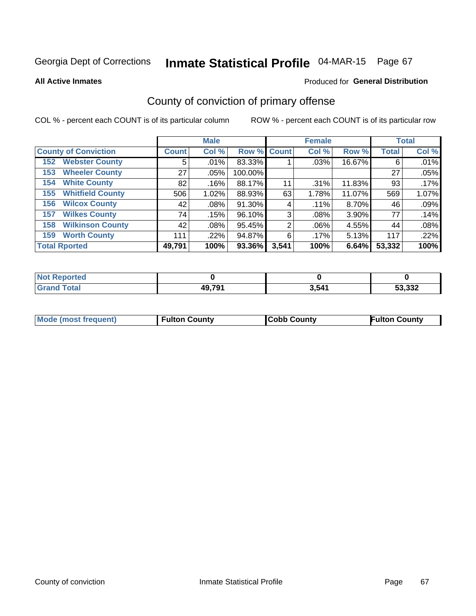# Inmate Statistical Profile 04-MAR-15 Page 67

**All Active Inmates** 

#### Produced for General Distribution

## County of conviction of primary offense

COL % - percent each COUNT is of its particular column

|                                |                    | <b>Male</b> |             |       | <b>Female</b> |        |              | <b>Total</b> |
|--------------------------------|--------------------|-------------|-------------|-------|---------------|--------|--------------|--------------|
| <b>County of Conviction</b>    | Count <sup>1</sup> | Col %       | Row % Count |       | Col %         | Row %  | <b>Total</b> | Col %        |
| <b>Webster County</b><br>152   | 5                  | .01%        | 83.33%      |       | $.03\%$       | 16.67% | 6            | .01%         |
| <b>Wheeler County</b><br>153   | 27                 | $.05\%$     | 100.00%     |       |               |        | 27           | .05%         |
| <b>White County</b><br>154     | 82                 | .16%        | 88.17%      | 11    | $.31\%$       | 11.83% | 93           | .17%         |
| <b>Whitfield County</b><br>155 | 506                | 1.02%       | 88.93%      | 63    | 1.78%         | 11.07% | 569          | 1.07%        |
| <b>Wilcox County</b><br>156    | 42                 | $.08\%$     | 91.30%      | 4     | .11%          | 8.70%  | 46           | .09%         |
| <b>Wilkes County</b><br>157    | 74                 | .15%        | 96.10%      | 3     | $.08\%$       | 3.90%  | 77           | .14%         |
| <b>Wilkinson County</b><br>158 | 42                 | $.08\%$     | 95.45%      | 2     | $.06\%$       | 4.55%  | 44           | .08%         |
| <b>Worth County</b><br>159     | 111                | .22%        | 94.87%      | 6     | .17%          | 5.13%  | 117          | .22%         |
| <b>Total Rported</b>           | 49,791             | 100%        | 93.36%      | 3,541 | 100%          | 6.64%  | 53,332       | 100%         |

| <b>Not Reported</b> |        |       |        |
|---------------------|--------|-------|--------|
| <b>Grand Total</b>  | 49,791 | 3,541 | 53,332 |

| Mode (most frequent) | <b>Fulton County</b> | <b>Cobb County</b> | <b>Fulton County</b> |
|----------------------|----------------------|--------------------|----------------------|
|                      |                      |                    |                      |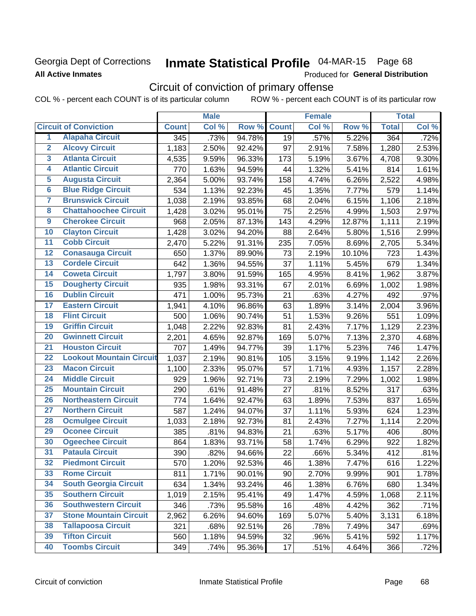### **Georgia Dept of Corrections All Active Inmates**

# Inmate Statistical Profile 04-MAR-15 Page 68

Produced for General Distribution

# Circuit of conviction of primary offense

COL % - percent each COUNT is of its particular column ROW % - percent each COUNT is of its particular row

|                         |                                 |                  | <b>Male</b> |        |              | <b>Female</b> |        |              | <b>Total</b> |
|-------------------------|---------------------------------|------------------|-------------|--------|--------------|---------------|--------|--------------|--------------|
|                         | <b>Circuit of Conviction</b>    | <b>Count</b>     | Col %       | Row %  | <b>Count</b> | Col %         | Row %  | <b>Total</b> | Col %        |
| 1                       | <b>Alapaha Circuit</b>          | $\overline{345}$ | .73%        | 94.78% | 19           | .57%          | 5.22%  | 364          | .72%         |
| $\overline{2}$          | <b>Alcovy Circuit</b>           | 1,183            | 2.50%       | 92.42% | 97           | 2.91%         | 7.58%  | 1,280        | 2.53%        |
| $\overline{\mathbf{3}}$ | <b>Atlanta Circuit</b>          | 4,535            | 9.59%       | 96.33% | 173          | 5.19%         | 3.67%  | 4,708        | 9.30%        |
| 4                       | <b>Atlantic Circuit</b>         | 770              | 1.63%       | 94.59% | 44           | 1.32%         | 5.41%  | 814          | 1.61%        |
| 5                       | <b>Augusta Circuit</b>          | 2,364            | 5.00%       | 93.74% | 158          | 4.74%         | 6.26%  | 2,522        | 4.98%        |
| $\overline{6}$          | <b>Blue Ridge Circuit</b>       | 534              | 1.13%       | 92.23% | 45           | 1.35%         | 7.77%  | 579          | 1.14%        |
| $\overline{\mathbf{7}}$ | <b>Brunswick Circuit</b>        | 1,038            | 2.19%       | 93.85% | 68           | 2.04%         | 6.15%  | 1,106        | 2.18%        |
| $\overline{\mathbf{8}}$ | <b>Chattahoochee Circuit</b>    | 1,428            | 3.02%       | 95.01% | 75           | 2.25%         | 4.99%  | 1,503        | 2.97%        |
| $\overline{9}$          | <b>Cherokee Circuit</b>         | 968              | 2.05%       | 87.13% | 143          | 4.29%         | 12.87% | 1,111        | 2.19%        |
| 10                      | <b>Clayton Circuit</b>          | 1,428            | 3.02%       | 94.20% | 88           | 2.64%         | 5.80%  | 1,516        | 2.99%        |
| $\overline{11}$         | <b>Cobb Circuit</b>             | 2,470            | 5.22%       | 91.31% | 235          | 7.05%         | 8.69%  | 2,705        | 5.34%        |
| $\overline{12}$         | <b>Conasauga Circuit</b>        | 650              | 1.37%       | 89.90% | 73           | 2.19%         | 10.10% | 723          | 1.43%        |
| 13                      | <b>Cordele Circuit</b>          | 642              | 1.36%       | 94.55% | 37           | 1.11%         | 5.45%  | 679          | 1.34%        |
| 14                      | <b>Coweta Circuit</b>           | 1,797            | 3.80%       | 91.59% | 165          | 4.95%         | 8.41%  | 1,962        | 3.87%        |
| 15                      | <b>Dougherty Circuit</b>        | 935              | 1.98%       | 93.31% | 67           | 2.01%         | 6.69%  | 1,002        | 1.98%        |
| 16                      | <b>Dublin Circuit</b>           | 471              | 1.00%       | 95.73% | 21           | .63%          | 4.27%  | 492          | .97%         |
| 17                      | <b>Eastern Circuit</b>          | 1,941            | 4.10%       | 96.86% | 63           | 1.89%         | 3.14%  | 2,004        | 3.96%        |
| 18                      | <b>Flint Circuit</b>            | 500              | 1.06%       | 90.74% | 51           | 1.53%         | 9.26%  | 551          | 1.09%        |
| 19                      | <b>Griffin Circuit</b>          | 1,048            | 2.22%       | 92.83% | 81           | 2.43%         | 7.17%  | 1,129        | 2.23%        |
| $\overline{20}$         | <b>Gwinnett Circuit</b>         | 2,201            | 4.65%       | 92.87% | 169          | 5.07%         | 7.13%  | 2,370        | 4.68%        |
| $\overline{21}$         | <b>Houston Circuit</b>          | 707              | 1.49%       | 94.77% | 39           | 1.17%         | 5.23%  | 746          | 1.47%        |
| $\overline{22}$         | <b>Lookout Mountain Circuit</b> | 1,037            | 2.19%       | 90.81% | 105          | 3.15%         | 9.19%  | 1,142        | 2.26%        |
| 23                      | <b>Macon Circuit</b>            | 1,100            | 2.33%       | 95.07% | 57           | 1.71%         | 4.93%  | 1,157        | 2.28%        |
| $\overline{24}$         | <b>Middle Circuit</b>           | 929              | 1.96%       | 92.71% | 73           | 2.19%         | 7.29%  | 1,002        | 1.98%        |
| 25                      | <b>Mountain Circuit</b>         | 290              | .61%        | 91.48% | 27           | .81%          | 8.52%  | 317          | .63%         |
| 26                      | <b>Northeastern Circuit</b>     | 774              | 1.64%       | 92.47% | 63           | 1.89%         | 7.53%  | 837          | 1.65%        |
| $\overline{27}$         | <b>Northern Circuit</b>         | 587              | 1.24%       | 94.07% | 37           | 1.11%         | 5.93%  | 624          | 1.23%        |
| 28                      | <b>Ocmulgee Circuit</b>         | 1,033            | 2.18%       | 92.73% | 81           | 2.43%         | 7.27%  | 1,114        | 2.20%        |
| 29                      | <b>Oconee Circuit</b>           | 385              | .81%        | 94.83% | 21           | .63%          | 5.17%  | 406          | .80%         |
| 30                      | <b>Ogeechee Circuit</b>         | 864              | 1.83%       | 93.71% | 58           | 1.74%         | 6.29%  | 922          | 1.82%        |
| $\overline{31}$         | <b>Pataula Circuit</b>          | 390              | .82%        | 94.66% | 22           | .66%          | 5.34%  | 412          | .81%         |
| 32                      | <b>Piedmont Circuit</b>         | 570              | 1.20%       | 92.53% | 46           | 1.38%         | 7.47%  | 616          | 1.22%        |
| 33                      | <b>Rome Circuit</b>             | 811              | 1.71%       | 90.01% | 90           | 2.70%         | 9.99%  | 901          | 1.78%        |
| 34                      | <b>South Georgia Circuit</b>    | 634              | 1.34%       | 93.24% | 46           | 1.38%         | 6.76%  | 680          | 1.34%        |
| 35                      | <b>Southern Circuit</b>         | 1,019            | 2.15%       | 95.41% | 49           | 1.47%         | 4.59%  | 1,068        | 2.11%        |
| 36                      | <b>Southwestern Circuit</b>     | 346              | .73%        | 95.58% | 16           | .48%          | 4.42%  | 362          | .71%         |
| 37                      | <b>Stone Mountain Circuit</b>   | 2,962            | 6.26%       | 94.60% | 169          | 5.07%         | 5.40%  | 3,131        | 6.18%        |
| 38                      | <b>Tallapoosa Circuit</b>       | 321              | .68%        | 92.51% | 26           | .78%          | 7.49%  | 347          | .69%         |
| 39                      | <b>Tifton Circuit</b>           | 560              | 1.18%       | 94.59% | 32           | .96%          | 5.41%  | 592          | 1.17%        |
| 40                      | <b>Toombs Circuit</b>           | 349              | .74%        | 95.36% | 17           | .51%          | 4.64%  | 366          | .72%         |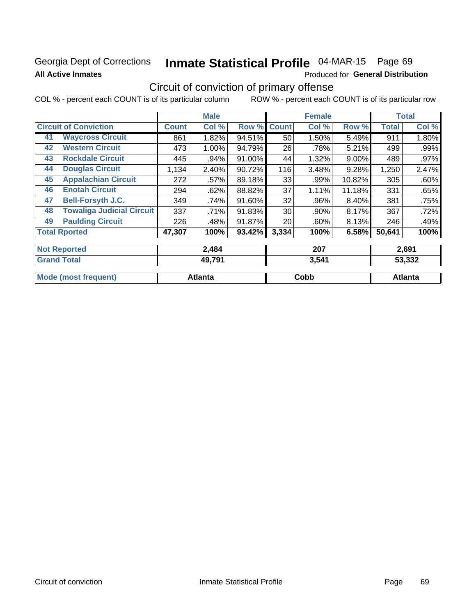### **Georgia Dept of Corrections All Active Inmates**

# Inmate Statistical Profile 04-MAR-15 Page 69

Produced for General Distribution

# Circuit of conviction of primary offense

COL % - percent each COUNT is of its particular column ROW % - percent each COUNT is of its particular row

|                              |                                  |              | <b>Male</b> |        |              | <b>Female</b> |          |              | <b>Total</b> |
|------------------------------|----------------------------------|--------------|-------------|--------|--------------|---------------|----------|--------------|--------------|
| <b>Circuit of Conviction</b> |                                  | <b>Count</b> | Col %       | Row %  | <b>Count</b> | Col %         | Row %    | <b>Total</b> | Col %        |
| 41                           | <b>Waycross Circuit</b>          | 861          | 1.82%       | 94.51% | 50           | 1.50%         | 5.49%    | 911          | 1.80%        |
| 42                           | <b>Western Circuit</b>           | 473          | 1.00%       | 94.79% | 26           | .78%          | 5.21%    | 499          | .99%         |
| 43                           | <b>Rockdale Circuit</b>          | 445          | .94%        | 91.00% | 44           | 1.32%         | $9.00\%$ | 489          | .97%         |
| 44                           | <b>Douglas Circuit</b>           | 1,134        | 2.40%       | 90.72% | 116          | 3.48%         | 9.28%    | 1,250        | 2.47%        |
| 45                           | <b>Appalachian Circuit</b>       | 272          | .57%        | 89.18% | 33           | .99%          | 10.82%   | 305          | .60%         |
| 46                           | <b>Enotah Circuit</b>            | 294          | .62%        | 88.82% | 37           | $1.11\%$      | 11.18%   | 331          | .65%         |
| 47                           | <b>Bell-Forsyth J.C.</b>         | 349          | .74%        | 91.60% | 32           | .96%          | 8.40%    | 381          | .75%         |
| 48                           | <b>Towaliga Judicial Circuit</b> | 337          | .71%        | 91.83% | 30           | .90%          | 8.17%    | 367          | .72%         |
| 49                           | <b>Paulding Circuit</b>          | 226          | .48%        | 91.87% | 20           | .60%          | 8.13%    | 246          | .49%         |
| <b>Total Rported</b>         |                                  | 47,307       | 100%        | 93.42% | 3,334        | 100%          | 6.58%    | 50,641       | 100%         |
| <b>Not Reported</b>          |                                  |              | 2,484       |        |              | 207           |          |              | 2,691        |
| <b>Grand Total</b>           |                                  |              | 49,791      |        |              | 3,541         |          |              | 53,332       |

|                                    |     |             | - - - - - |
|------------------------------------|-----|-------------|-----------|
|                                    |     |             |           |
| <b>Mo</b><br>frequent)<br>$\cdots$ | πτε | <b>Copp</b> | lanta     |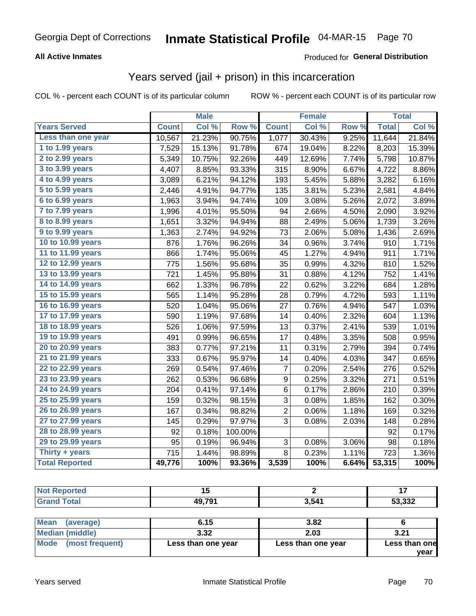### **All Active Inmates**

### Produced for General Distribution

### Years served (jail + prison) in this incarceration

COL % - percent each COUNT is of its particular column

|                       |              | <b>Male</b> |         |                | <b>Female</b> |       |              | <b>Total</b> |
|-----------------------|--------------|-------------|---------|----------------|---------------|-------|--------------|--------------|
| <b>Years Served</b>   | <b>Count</b> | Col %       | Row %   | <b>Count</b>   | Col %         | Row % | <b>Total</b> | Col %        |
| Less than one year    | 10,567       | 21.23%      | 90.75%  | 1,077          | 30.43%        | 9.25% | 11,644       | 21.84%       |
| 1 to 1.99 years       | 7,529        | 15.13%      | 91.78%  | 674            | 19.04%        | 8.22% | 8,203        | 15.39%       |
| 2 to 2.99 years       | 5,349        | 10.75%      | 92.26%  | 449            | 12.69%        | 7.74% | 5,798        | 10.87%       |
| 3 to 3.99 years       | 4,407        | 8.85%       | 93.33%  | 315            | 8.90%         | 6.67% | 4,722        | 8.86%        |
| 4 to 4.99 years       | 3,089        | 6.21%       | 94.12%  | 193            | 5.45%         | 5.88% | 3,282        | 6.16%        |
| 5 to 5.99 years       | 2,446        | 4.91%       | 94.77%  | 135            | 3.81%         | 5.23% | 2,581        | 4.84%        |
| $6$ to $6.99$ years   | 1,963        | 3.94%       | 94.74%  | 109            | 3.08%         | 5.26% | 2,072        | 3.89%        |
| 7 to 7.99 years       | 1,996        | 4.01%       | 95.50%  | 94             | 2.66%         | 4.50% | 2,090        | 3.92%        |
| 8 to 8.99 years       | 1,651        | 3.32%       | 94.94%  | 88             | 2.49%         | 5.06% | 1,739        | 3.26%        |
| 9 to 9.99 years       | 1,363        | 2.74%       | 94.92%  | 73             | 2.06%         | 5.08% | 1,436        | 2.69%        |
| 10 to 10.99 years     | 876          | 1.76%       | 96.26%  | 34             | 0.96%         | 3.74% | 910          | 1.71%        |
| 11 to 11.99 years     | 866          | 1.74%       | 95.06%  | 45             | 1.27%         | 4.94% | 911          | 1.71%        |
| 12 to 12.99 years     | 775          | 1.56%       | 95.68%  | 35             | 0.99%         | 4.32% | 810          | 1.52%        |
| 13 to 13.99 years     | 721          | 1.45%       | 95.88%  | 31             | 0.88%         | 4.12% | 752          | 1.41%        |
| 14 to 14.99 years     | 662          | 1.33%       | 96.78%  | 22             | 0.62%         | 3.22% | 684          | 1.28%        |
| 15 to 15.99 years     | 565          | 1.14%       | 95.28%  | 28             | 0.79%         | 4.72% | 593          | 1.11%        |
| 16 to 16.99 years     | 520          | 1.04%       | 95.06%  | 27             | 0.76%         | 4.94% | 547          | 1.03%        |
| 17 to 17.99 years     | 590          | 1.19%       | 97.68%  | 14             | 0.40%         | 2.32% | 604          | 1.13%        |
| 18 to 18.99 years     | 526          | 1.06%       | 97.59%  | 13             | 0.37%         | 2.41% | 539          | 1.01%        |
| 19 to 19.99 years     | 491          | 0.99%       | 96.65%  | 17             | 0.48%         | 3.35% | 508          | 0.95%        |
| 20 to 20.99 years     | 383          | 0.77%       | 97.21%  | 11             | 0.31%         | 2.79% | 394          | 0.74%        |
| 21 to 21.99 years     | 333          | 0.67%       | 95.97%  | 14             | 0.40%         | 4.03% | 347          | 0.65%        |
| 22 to 22.99 years     | 269          | 0.54%       | 97.46%  | $\overline{7}$ | 0.20%         | 2.54% | 276          | 0.52%        |
| 23 to 23.99 years     | 262          | 0.53%       | 96.68%  | 9              | 0.25%         | 3.32% | 271          | 0.51%        |
| 24 to 24.99 years     | 204          | 0.41%       | 97.14%  | 6              | 0.17%         | 2.86% | 210          | 0.39%        |
| 25 to 25.99 years     | 159          | 0.32%       | 98.15%  | 3              | 0.08%         | 1.85% | 162          | 0.30%        |
| 26 to 26.99 years     | 167          | 0.34%       | 98.82%  | $\overline{2}$ | 0.06%         | 1.18% | 169          | 0.32%        |
| 27 to 27.99 years     | 145          | 0.29%       | 97.97%  | 3              | 0.08%         | 2.03% | 148          | 0.28%        |
| 28 to 28.99 years     | 92           | 0.18%       | 100.00% |                |               |       | 92           | 0.17%        |
| 29 to 29.99 years     | 95           | 0.19%       | 96.94%  | 3              | 0.08%         | 3.06% | 98           | 0.18%        |
| Thirty $+$ years      | 715          | 1.44%       | 98.89%  | 8              | 0.23%         | 1.11% | 723          | 1.36%        |
| <b>Total Reported</b> | 49,776       | 100%        | 93.36%  | 3,539          | 100%          | 6.64% | 53,315       | 100%         |

| <b>Not</b><br>Reported | .,     |       | . .          |
|------------------------|--------|-------|--------------|
| <b>Total</b><br>Grand  | 49,791 | 3,541 | 53,332<br>ູບ |
|                        |        |       |              |

| <b>Mean</b><br>(average) | 6.15               | 3.82               |               |
|--------------------------|--------------------|--------------------|---------------|
| Median (middle)          | 3.32               | 2.03               | 3.21          |
| Mode (most frequent)     | Less than one year | Less than one year | Less than one |
|                          |                    |                    | vear          |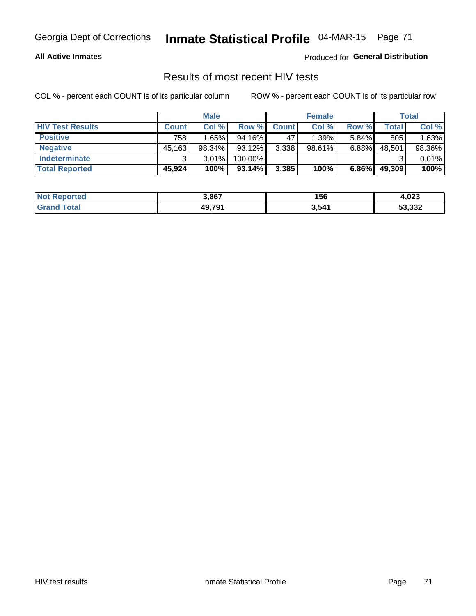# Georgia Dept of Corrections **Inmate Statistical Profile** 04-MAR-15 Page 71

#### **All Active Inmates**

Produced for **General Distribution**

### Results of most recent HIV tests

COL % - percent each COUNT is of its particular column ROW % - percent each COUNT is of its particular row

|                         |              | <b>Male</b> |           |              | <b>Female</b> |          |        | Total  |
|-------------------------|--------------|-------------|-----------|--------------|---------------|----------|--------|--------|
| <b>HIV Test Results</b> | <b>Count</b> | Col %       | Row %I    | <b>Count</b> | Col %         | Row %    | Total  | Col %  |
| <b>Positive</b>         | 758          | 1.65%       | $94.16\%$ | 47           | 1.39%         | $5.84\%$ | 805    | 1.63%  |
| <b>Negative</b>         | 45,163       | 98.34%      | 93.12%    | 3,338        | $98.61\%$     | 6.88%    | 48,501 | 98.36% |
| <b>Indeterminate</b>    | ◠            | 0.01%       | 100.00%   |              |               |          |        | 0.01%  |
| <b>Total Reported</b>   | 45,924       | 100%        | 93.14%    | 3,385        | 100%          | 6.86%    | 49,309 | 100%   |

| <b>Not Reported</b> | 3,867  | 156   | 4,023  |
|---------------------|--------|-------|--------|
| ⊺otal               | 49,791 | 3,541 | 53,332 |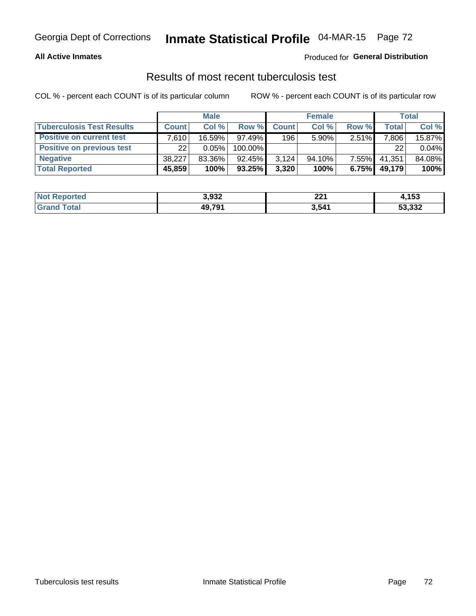# Georgia Dept of Corrections **Inmate Statistical Profile** 04-MAR-15 Page 72

#### **All Active Inmates**

### Produced for **General Distribution**

### Results of most recent tuberculosis test

COL % - percent each COUNT is of its particular column ROW % - percent each COUNT is of its particular row

|                                  |              | <b>Male</b> |           |              | <b>Female</b> |          |              | Total  |
|----------------------------------|--------------|-------------|-----------|--------------|---------------|----------|--------------|--------|
| <b>Tuberculosis Test Results</b> | <b>Count</b> | Col%        | Row %     | <b>Count</b> | Col %         | Row %    | <b>Total</b> | Col %  |
| <b>Positive on current test</b>  | 7.610        | 16.59%      | $97.49\%$ | 196          | $5.90\%$      | 2.51%    | 7,806        | 15.87% |
| <b>Positive on previous test</b> | 22           | 0.05%       | 100.00%   |              |               |          | 22           | 0.04%  |
| <b>Negative</b>                  | 38.227       | 83.36%      | $92.45\%$ | 3,124        | 94.10%        | $7.55\%$ | 41,351       | 84.08% |
| <b>Total Reported</b>            | 45,859       | 100%        | $93.25\%$ | 3,320        | 100%          | 6.75%    | 49,179       | 100%   |

| <b>Not Reported</b> | 3,932  | つつ1<br>ZZ I | ,153   |
|---------------------|--------|-------------|--------|
| ⊺otal               | 49,791 | 3,541       | 53,332 |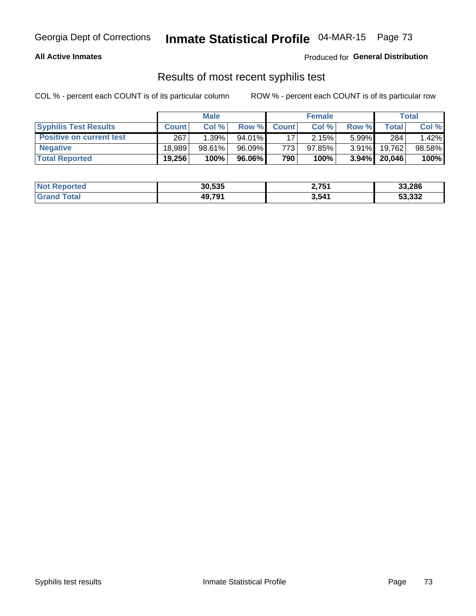# Georgia Dept of Corrections **Inmate Statistical Profile** 04-MAR-15 Page 73

### **All Active Inmates**

Produced for **General Distribution**

## Results of most recent syphilis test

COL % - percent each COUNT is of its particular column ROW % - percent each COUNT is of its particular row

|                                 | <b>Male</b>  |           |           | <b>Female</b> |           |          | Total   |        |
|---------------------------------|--------------|-----------|-----------|---------------|-----------|----------|---------|--------|
| <b>Syphilis Test Results</b>    | <b>Count</b> | Col%      | Row %I    | <b>Count</b>  | Col %     | Row %    | Total I | Col %  |
| <b>Positive on current test</b> | 267          | 1.39%     | $94.01\%$ |               | 2.15%     | $5.99\%$ | 284     | 1.42%  |
| <b>Negative</b>                 | 18.989       | $98.61\%$ | 96.09%    | 7731          | $97.85\%$ | $3.91\%$ | 19,762  | 98.58% |
| <b>Total Reported</b>           | 19,256       | 100%      | 96.06% l  | 790           | 100%      | $3.94\%$ | 20,046  | 100%   |

| <b>Not Reported</b> | 30,535 | 2,751 | 33,286 |
|---------------------|--------|-------|--------|
| <b>Grand Total</b>  | 49,791 | 3,541 | 53,332 |